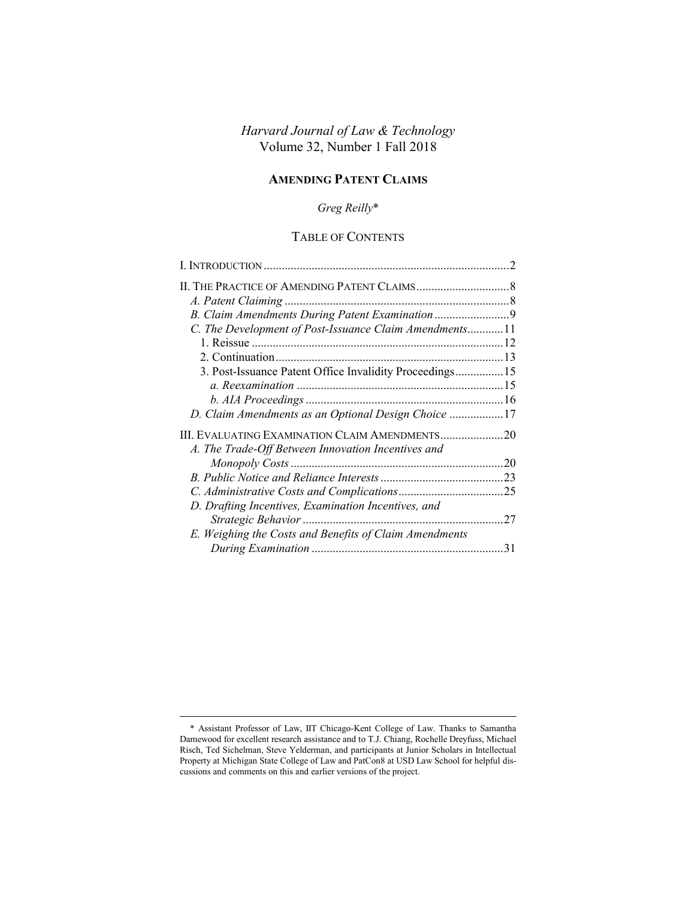# *Harvard Journal of Law & Technology* Volume 32, Number 1 Fall 2018

### **AMENDING PATENT CLAIMS**

# *Greg Reilly*\*

# TABLE OF CONTENTS

| B. Claim Amendments During Patent Examination            |    |
|----------------------------------------------------------|----|
| C. The Development of Post-Issuance Claim Amendments11   |    |
|                                                          |    |
|                                                          |    |
| 3. Post-Issuance Patent Office Invalidity Proceedings 15 |    |
|                                                          |    |
|                                                          |    |
| D. Claim Amendments as an Optional Design Choice 17      |    |
| III. EVALUATING EXAMINATION CLAIM AMENDMENTS20           |    |
| A. The Trade-Off Between Innovation Incentives and       |    |
|                                                          | 20 |
|                                                          |    |
|                                                          |    |
| D. Drafting Incentives, Examination Incentives, and      |    |
|                                                          |    |
| E. Weighing the Costs and Benefits of Claim Amendments   |    |
|                                                          |    |

<sup>\*</sup> Assistant Professor of Law, IIT Chicago-Kent College of Law. Thanks to Samantha Damewood for excellent research assistance and to T.J. Chiang, Rochelle Dreyfuss, Michael Risch, Ted Sichelman, Steve Yelderman, and participants at Junior Scholars in Intellectual Property at Michigan State College of Law and PatCon8 at USD Law School for helpful discussions and comments on this and earlier versions of the project.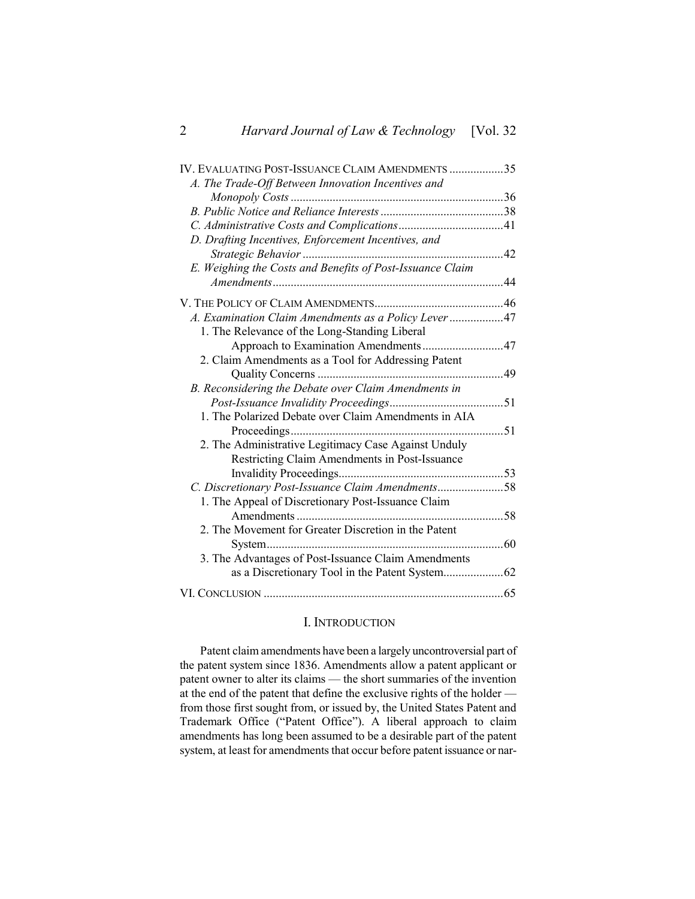| IV. EVALUATING POST-ISSUANCE CLAIM AMENDMENTS 35          |  |
|-----------------------------------------------------------|--|
| A. The Trade-Off Between Innovation Incentives and        |  |
|                                                           |  |
|                                                           |  |
|                                                           |  |
| D. Drafting Incentives, Enforcement Incentives, and       |  |
|                                                           |  |
| E. Weighing the Costs and Benefits of Post-Issuance Claim |  |
|                                                           |  |
|                                                           |  |
| A. Examination Claim Amendments as a Policy Lever47       |  |
| 1. The Relevance of the Long-Standing Liberal             |  |
| Approach to Examination Amendments47                      |  |
| 2. Claim Amendments as a Tool for Addressing Patent       |  |
|                                                           |  |
| B. Reconsidering the Debate over Claim Amendments in      |  |
|                                                           |  |
| 1. The Polarized Debate over Claim Amendments in AIA      |  |
|                                                           |  |
| 2. The Administrative Legitimacy Case Against Unduly      |  |
| Restricting Claim Amendments in Post-Issuance             |  |
|                                                           |  |
| C. Discretionary Post-Issuance Claim Amendments58         |  |
| 1. The Appeal of Discretionary Post-Issuance Claim        |  |
|                                                           |  |
| 2. The Movement for Greater Discretion in the Patent      |  |
|                                                           |  |
| 3. The Advantages of Post-Issuance Claim Amendments       |  |
|                                                           |  |
|                                                           |  |

# <span id="page-1-0"></span>I. INTRODUCTION

Patent claim amendments have been a largely uncontroversial part of the patent system since 1836. Amendments allow a patent applicant or patent owner to alter its claims — the short summaries of the invention at the end of the patent that define the exclusive rights of the holder from those first sought from, or issued by, the United States Patent and Trademark Office ("Patent Office"). A liberal approach to claim amendments has long been assumed to be a desirable part of the patent system, at least for amendments that occur before patent issuance or nar-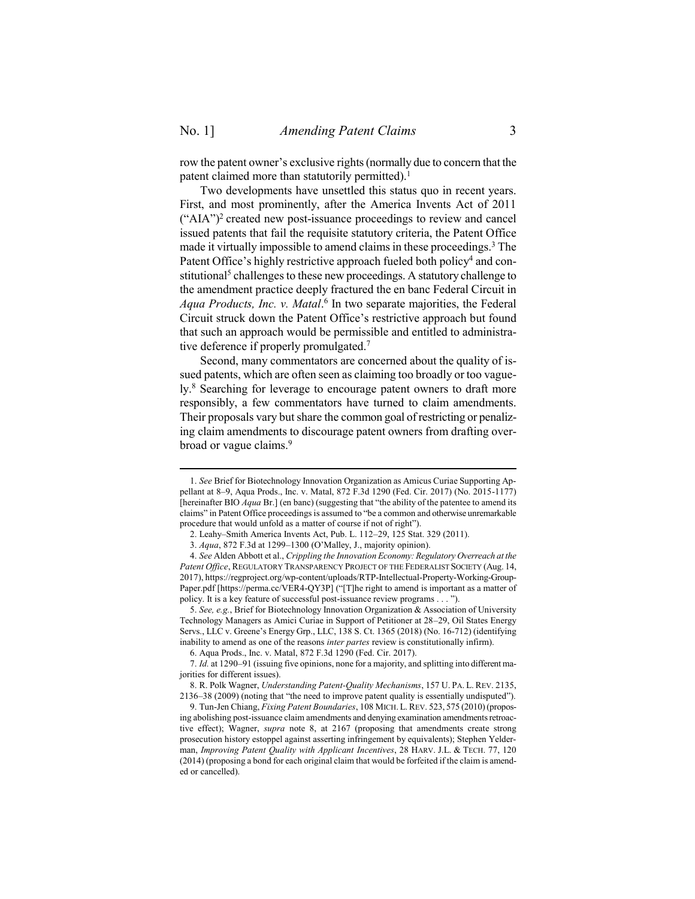<span id="page-2-1"></span> $\overline{a}$ 

row the patent owner's exclusive rights (normally due to concern that the patent claimed more than statutorily permitted).<sup>1</sup>

Two developments have unsettled this status quo in recent years. First, and most prominently, after the America Invents Act of 2011  $("AIA")<sup>2</sup>$  created new post-issuance proceedings to review and cancel issued patents that fail the requisite statutory criteria, the Patent Office made it virtually impossible to amend claims in these proceedings. <sup>3</sup> The Patent Office's highly restrictive approach fueled both policy<sup>4</sup> and constitutional<sup>5</sup> challenges to these new proceedings. A statutory challenge to the amendment practice deeply fractured the en banc Federal Circuit in *Aqua Products, Inc. v. Matal*. 6 In two separate majorities, the Federal Circuit struck down the Patent Office's restrictive approach but found that such an approach would be permissible and entitled to administrative deference if properly promulgated.<sup>7</sup>

<span id="page-2-0"></span>Second, many commentators are concerned about the quality of issued patents, which are often seen as claiming too broadly or too vaguely.<sup>8</sup> Searching for leverage to encourage patent owners to draft more responsibly, a few commentators have turned to claim amendments. Their proposals vary but share the common goal of restricting or penalizing claim amendments to discourage patent owners from drafting overbroad or vague claims.<sup>9</sup>

<sup>1.</sup> *See* Brief for Biotechnology Innovation Organization as Amicus Curiae Supporting Appellant at 8–9, Aqua Prods., Inc. v. Matal, 872 F.3d 1290 (Fed. Cir. 2017) (No. 2015-1177) [hereinafter BIO *Aqua* Br.] (en banc) (suggesting that "the ability of the patentee to amend its claims" in Patent Office proceedings is assumed to "be a common and otherwise unremarkable procedure that would unfold as a matter of course if not of right").

<sup>2.</sup> Leahy–Smith America Invents Act, Pub. L. 112–29, 125 Stat. 329 (2011).

<sup>3.</sup> *Aqua*, 872 F.3d at 1299–1300 (O'Malley, J., majority opinion).

<sup>4.</sup> *See* Alden Abbott et al., *Crippling the Innovation Economy: Regulatory Overreach at the Patent Office*, REGULATORY TRANSPARENCY PROJECT OF THE FEDERALIST SOCIETY (Aug. 14, 2017), https://regproject.org/wp-content/uploads/RTP-Intellectual-Property-Working-Group-Paper.pdf [https://perma.cc/VER4-QY3P] ("[T]he right to amend is important as a matter of policy. It is a key feature of successful post-issuance review programs . . . ").

<sup>5.</sup> *See, e.g.*, Brief for Biotechnology Innovation Organization & Association of University Technology Managers as Amici Curiae in Support of Petitioner at 28–29, Oil States Energy Servs., LLC v. Greene's Energy Grp., LLC, 138 S. Ct. 1365 (2018) (No. 16-712) (identifying inability to amend as one of the reasons *inter partes* review is constitutionally infirm).

<sup>6.</sup> Aqua Prods., Inc. v. Matal, 872 F.3d 1290 (Fed. Cir. 2017).

<sup>7.</sup> *Id.* at 1290–91 (issuing five opinions, none for a majority, and splitting into different majorities for different issues).

<sup>8.</sup> R. Polk Wagner, *Understanding Patent-Quality Mechanisms*, 157 U. PA. L. REV. 2135, 2136–38 (2009) (noting that "the need to improve patent quality is essentially undisputed").

<sup>9.</sup> Tun-Jen Chiang, *Fixing Patent Boundaries*, 108 MICH. L. REV. 523, 575 (2010) (proposing abolishing post-issuance claim amendments and denying examination amendments retroactive effect); Wagner, *supra* note [8,](#page-2-0) at 2167 (proposing that amendments create strong prosecution history estoppel against asserting infringement by equivalents); Stephen Yelderman, *Improving Patent Quality with Applicant Incentives*, 28 HARV. J.L. & TECH. 77, 120 (2014) (proposing a bond for each original claim that would be forfeited if the claim is amended or cancelled).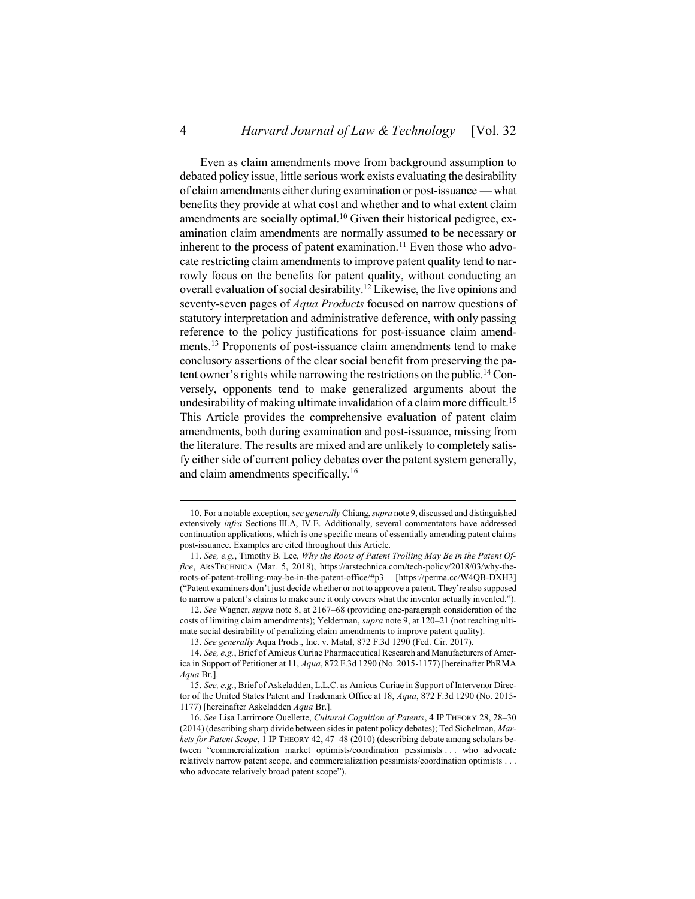Even as claim amendments move from background assumption to debated policy issue, little serious work exists evaluating the desirability of claim amendments either during examination or post-issuance — what benefits they provide at what cost and whether and to what extent claim amendments are socially optimal.<sup>10</sup> Given their historical pedigree, examination claim amendments are normally assumed to be necessary or inherent to the process of patent examination.<sup>11</sup> Even those who advocate restricting claim amendments to improve patent quality tend to narrowly focus on the benefits for patent quality, without conducting an overall evaluation of social desirability. <sup>12</sup> Likewise, the five opinions and seventy-seven pages of *Aqua Products* focused on narrow questions of statutory interpretation and administrative deference, with only passing reference to the policy justifications for post-issuance claim amendments.<sup>13</sup> Proponents of post-issuance claim amendments tend to make conclusory assertions of the clear social benefit from preserving the patent owner's rights while narrowing the restrictions on the public.<sup>14</sup> Conversely, opponents tend to make generalized arguments about the undesirability of making ultimate invalidation of a claim more difficult.<sup>15</sup> This Article provides the comprehensive evaluation of patent claim amendments, both during examination and post-issuance, missing from the literature. The results are mixed and are unlikely to completely satisfy either side of current policy debates over the patent system generally, and claim amendments specifically.<sup>16</sup>

<span id="page-3-2"></span><span id="page-3-1"></span><span id="page-3-0"></span><sup>10.</sup> For a notable exception, *see generally* Chiang, *supra* not[e 9,](#page-2-1) discussed and distinguished extensively *infra* Sections [III](#page-19-0)[.A,](#page-19-1) [IV.](#page-34-0)[E.](#page-43-0) Additionally, several commentators have addressed continuation applications, which is one specific means of essentially amending patent claims post-issuance. Examples are cited throughout this Article.

<sup>11.</sup> *See, e.g.*, Timothy B. Lee, *Why the Roots of Patent Trolling May Be in the Patent Office*, ARSTECHNICA (Mar. 5, 2018), https://arstechnica.com/tech-policy/2018/03/why-theroots-of-patent-trolling-may-be-in-the-patent-office/#p3 [https://perma.cc/W4QB-DXH3] ("Patent examiners don't just decide whether or not to approve a patent. They're also supposed to narrow a patent's claims to make sure it only covers what the inventor actually invented.").

<sup>12.</sup> *See* Wagner, *supra* not[e 8,](#page-2-0) at 2167–68 (providing one-paragraph consideration of the costs of limiting claim amendments); Yelderman, *supra* not[e 9,](#page-2-1) at 120–21 (not reaching ultimate social desirability of penalizing claim amendments to improve patent quality).

<sup>13.</sup> *See generally* Aqua Prods., Inc. v. Matal, 872 F.3d 1290 (Fed. Cir. 2017).

<sup>14.</sup> *See, e.g.*, Brief of Amicus Curiae Pharmaceutical Research and Manufacturers of America in Support of Petitioner at 11, *Aqua*, 872 F.3d 1290 (No. 2015-1177) [hereinafter PhRMA *Aqua* Br.].

<sup>15.</sup> *See, e.g.*, Brief of Askeladden, L.L.C. as Amicus Curiae in Support of Intervenor Director of the United States Patent and Trademark Office at 18, *Aqua*, 872 F.3d 1290 (No. 2015- 1177) [hereinafter Askeladden *Aqua* Br.].

<sup>16.</sup> *See* Lisa Larrimore Ouellette, *Cultural Cognition of Patents*, 4 IP THEORY 28, 28–30 (2014) (describing sharp divide between sides in patent policy debates); Ted Sichelman, *Markets for Patent Scope*, 1 IP THEORY 42, 47–48 (2010) (describing debate among scholars between "commercialization market optimists/coordination pessimists . . . who advocate relatively narrow patent scope, and commercialization pessimists/coordination optimists . . . who advocate relatively broad patent scope").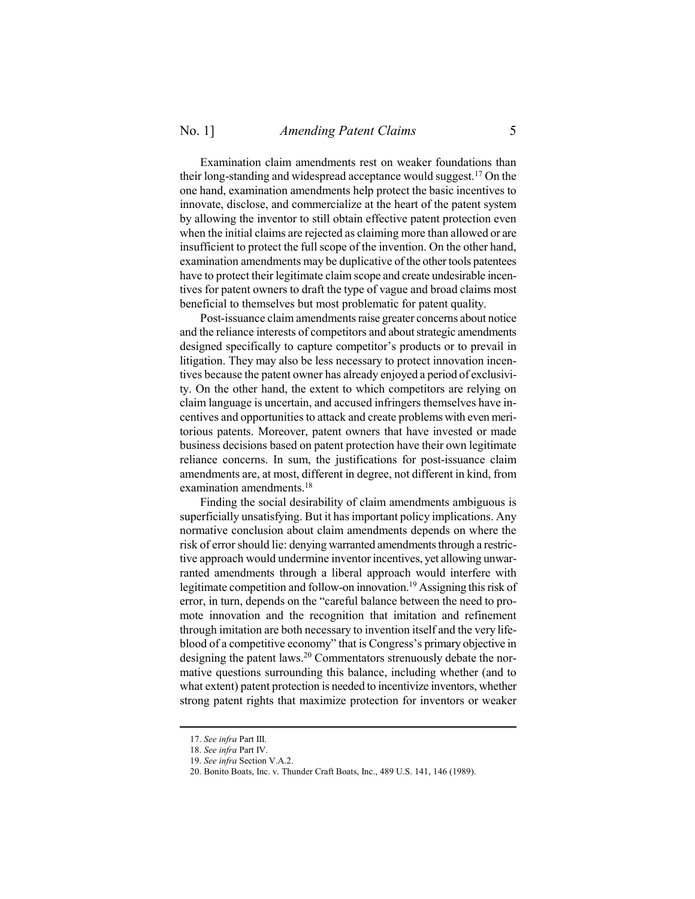Examination claim amendments rest on weaker foundations than their long-standing and widespread acceptance would suggest.<sup>17</sup> On the one hand, examination amendments help protect the basic incentives to innovate, disclose, and commercialize at the heart of the patent system by allowing the inventor to still obtain effective patent protection even when the initial claims are rejected as claiming more than allowed or are insufficient to protect the full scope of the invention. On the other hand, examination amendments may be duplicative of the other tools patentees have to protect their legitimate claim scope and create undesirable incentives for patent owners to draft the type of vague and broad claims most beneficial to themselves but most problematic for patent quality.

Post-issuance claim amendments raise greater concerns about notice and the reliance interests of competitors and about strategic amendments designed specifically to capture competitor's products or to prevail in litigation. They may also be less necessary to protect innovation incentives because the patent owner has already enjoyed a period of exclusivity. On the other hand, the extent to which competitors are relying on claim language is uncertain, and accused infringers themselves have incentives and opportunities to attack and create problems with even meritorious patents. Moreover, patent owners that have invested or made business decisions based on patent protection have their own legitimate reliance concerns. In sum, the justifications for post-issuance claim amendments are, at most, different in degree, not different in kind, from examination amendments. 18

Finding the social desirability of claim amendments ambiguous is superficially unsatisfying. But it has important policy implications. Any normative conclusion about claim amendments depends on where the risk of error should lie: denying warranted amendments through a restrictive approach would undermine inventor incentives, yet allowing unwarranted amendments through a liberal approach would interfere with legitimate competition and follow-on innovation.<sup>19</sup> Assigning this risk of error, in turn, depends on the "careful balance between the need to promote innovation and the recognition that imitation and refinement through imitation are both necessary to invention itself and the very lifeblood of a competitive economy" that is Congress's primary objective in designing the patent laws.<sup>20</sup> Commentators strenuously debate the normative questions surrounding this balance, including whether (and to what extent) patent protection is needed to incentivize inventors, whether strong patent rights that maximize protection for inventors or weaker

<sup>17.</sup> *See infra* Part [III.](#page-19-0)

<sup>18.</sup> *See infra* Part [IV.](#page-34-0)

<sup>19.</sup> *See infra* Section [V.](#page-45-0)[A.](#page-46-0)[2.](#page-48-0)

<sup>20.</sup> Bonito Boats, Inc. v. Thunder Craft Boats, Inc., 489 U.S. 141, 146 (1989).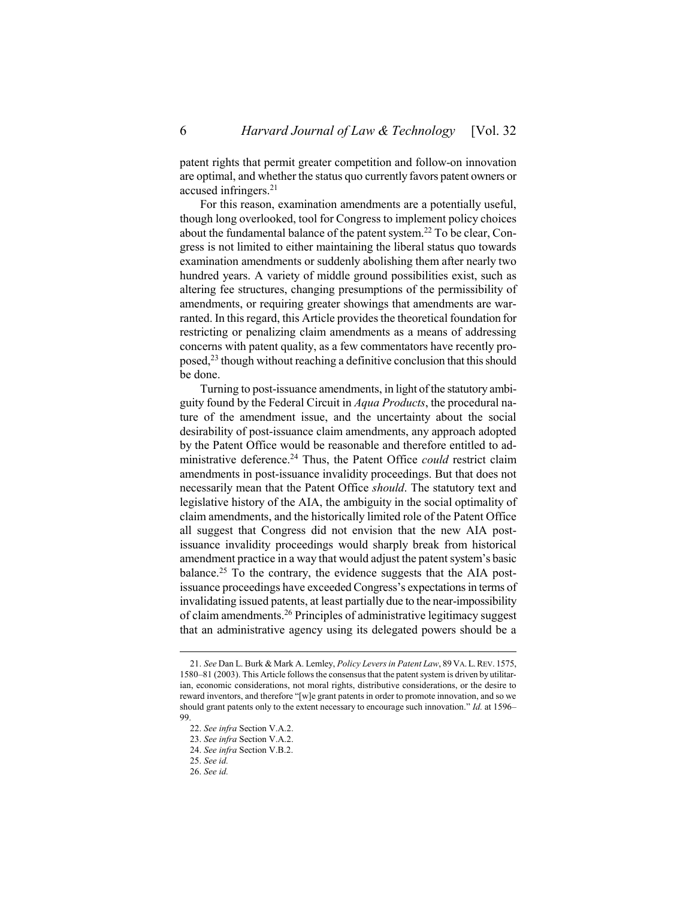patent rights that permit greater competition and follow-on innovation are optimal, and whether the status quo currently favors patent owners or accused infringers.<sup>21</sup>

<span id="page-5-0"></span>For this reason, examination amendments are a potentially useful, though long overlooked, tool for Congress to implement policy choices about the fundamental balance of the patent system.<sup>22</sup> To be clear, Congress is not limited to either maintaining the liberal status quo towards examination amendments or suddenly abolishing them after nearly two hundred years. A variety of middle ground possibilities exist, such as altering fee structures, changing presumptions of the permissibility of amendments, or requiring greater showings that amendments are warranted. In this regard, this Article provides the theoretical foundation for restricting or penalizing claim amendments as a means of addressing concerns with patent quality, as a few commentators have recently proposed,<sup>23</sup> though without reaching a definitive conclusion that this should be done.

Turning to post-issuance amendments, in light of the statutory ambiguity found by the Federal Circuit in *Aqua Products*, the procedural nature of the amendment issue, and the uncertainty about the social desirability of post-issuance claim amendments, any approach adopted by the Patent Office would be reasonable and therefore entitled to administrative deference.<sup>24</sup> Thus, the Patent Office *could* restrict claim amendments in post-issuance invalidity proceedings. But that does not necessarily mean that the Patent Office *should*. The statutory text and legislative history of the AIA, the ambiguity in the social optimality of claim amendments, and the historically limited role of the Patent Office all suggest that Congress did not envision that the new AIA postissuance invalidity proceedings would sharply break from historical amendment practice in a way that would adjust the patent system's basic balance.<sup>25</sup> To the contrary, the evidence suggests that the AIA postissuance proceedings have exceeded Congress's expectations in terms of invalidating issued patents, at least partially due to the near-impossibility of claim amendments.<sup>26</sup> Principles of administrative legitimacy suggest that an administrative agency using its delegated powers should be a

<sup>21.</sup> *See* Dan L. Burk & Mark A. Lemley, *Policy Levers in Patent Law*, 89 VA.L.REV. 1575, 1580–81 (2003). This Article follows the consensus that the patent system is driven by utilitarian, economic considerations, not moral rights, distributive considerations, or the desire to reward inventors, and therefore "[w]e grant patents in order to promote innovation, and so we should grant patents only to the extent necessary to encourage such innovation." *Id.* at 1596– 99.

<sup>22.</sup> *See infra* Section [V.](#page-45-0)[A.](#page-46-0)[2.](#page-48-0)

<sup>23.</sup> *See infra* Section [V.](#page-45-0)[A.](#page-46-0)[2.](#page-48-0)

<sup>24.</sup> *See infra* Section [V.](#page-45-0)[B](#page-50-0)[.2.](#page-52-0)

<sup>25.</sup> *See id.*

<sup>26.</sup> *See id.*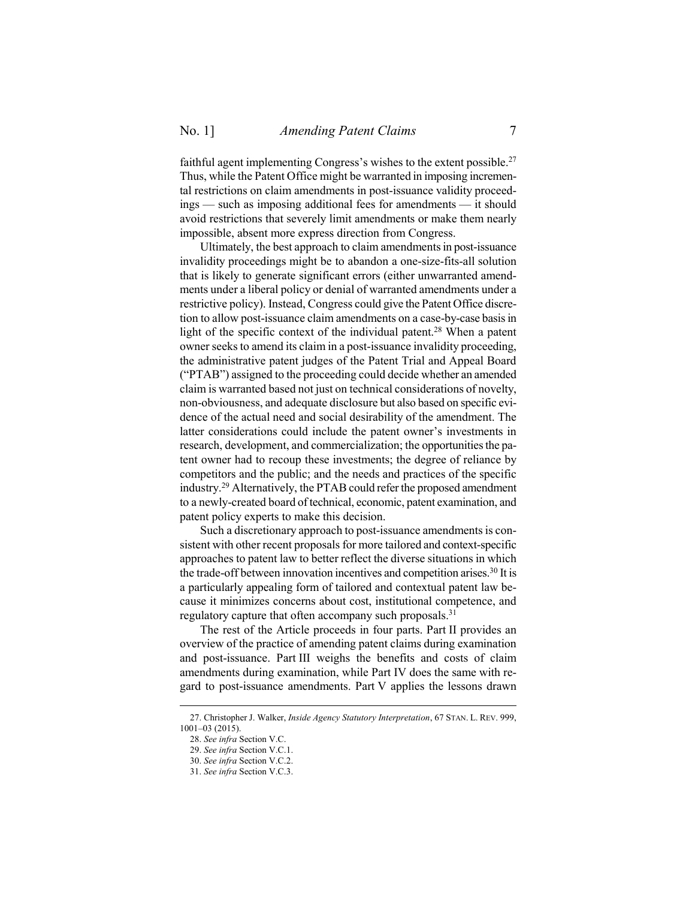faithful agent implementing Congress's wishes to the extent possible.<sup>27</sup> Thus, while the Patent Office might be warranted in imposing incremental restrictions on claim amendments in post-issuance validity proceedings — such as imposing additional fees for amendments — it should avoid restrictions that severely limit amendments or make them nearly impossible, absent more express direction from Congress.

Ultimately, the best approach to claim amendments in post-issuance invalidity proceedings might be to abandon a one-size-fits-all solution that is likely to generate significant errors (either unwarranted amendments under a liberal policy or denial of warranted amendments under a restrictive policy). Instead, Congress could give the Patent Office discretion to allow post-issuance claim amendments on a case-by-case basis in light of the specific context of the individual patent. <sup>28</sup> When a patent owner seeks to amend its claim in a post-issuance invalidity proceeding, the administrative patent judges of the Patent Trial and Appeal Board ("PTAB") assigned to the proceeding could decide whether an amended claim is warranted based not just on technical considerations of novelty, non-obviousness, and adequate disclosure but also based on specific evidence of the actual need and social desirability of the amendment. The latter considerations could include the patent owner's investments in research, development, and commercialization; the opportunities the patent owner had to recoup these investments; the degree of reliance by competitors and the public; and the needs and practices of the specific industry. <sup>29</sup> Alternatively, the PTAB could refer the proposed amendment to a newly-created board of technical, economic, patent examination, and patent policy experts to make this decision.

Such a discretionary approach to post-issuance amendments is consistent with other recent proposals for more tailored and context-specific approaches to patent law to better reflect the diverse situations in which the trade-off between innovation incentives and competition arises. <sup>30</sup> It is a particularly appealing form of tailored and contextual patent law because it minimizes concerns about cost, institutional competence, and regulatory capture that often accompany such proposals.<sup>31</sup>

The rest of the Article proceeds in four parts. Part II provides an overview of the practice of amending patent claims during examination and post-issuance. Part III weighs the benefits and costs of claim amendments during examination, while Part IV does the same with regard to post-issuance amendments. Part V applies the lessons drawn

<sup>27.</sup> Christopher J. Walker, *Inside Agency Statutory Interpretation*, 67 STAN. L. REV. 999, 1001–03 (2015).

<sup>28.</sup> *See infra* Section [V.](#page-45-0)[C.](#page-57-0)

<sup>29.</sup> *See infra* Section [V.](#page-45-0)[C](#page-57-0)[.1.](#page-57-1)

<sup>30.</sup> *See infra* Section [V.](#page-45-0)[C](#page-57-0)[.2.](#page-59-0)

<sup>31.</sup> *See infra* Section [V.](#page-45-0)[C](#page-57-0)[.3.](#page-61-0)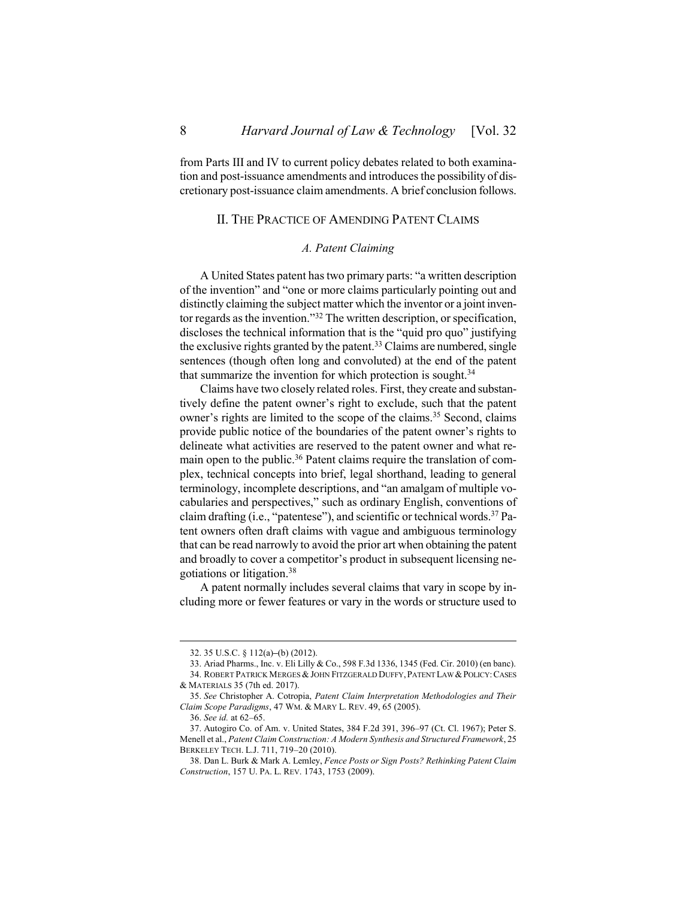<span id="page-7-0"></span>from Parts III and IV to current policy debates related to both examination and post-issuance amendments and introduces the possibility of discretionary post-issuance claim amendments. A brief conclusion follows.

# II. THE PRACTICE OF AMENDING PATENT CLAIMS

### <span id="page-7-3"></span>*A. Patent Claiming*

<span id="page-7-1"></span>A United States patent has two primary parts: "a written description of the invention" and "one or more claims particularly pointing out and distinctly claiming the subject matter which the inventor or a joint inventor regards as the invention."<sup>32</sup> The written description, or specification, discloses the technical information that is the "quid pro quo" justifying the exclusive rights granted by the patent.<sup>33</sup> Claims are numbered, single sentences (though often long and convoluted) at the end of the patent that summarize the invention for which protection is sought.<sup>34</sup>

Claims have two closely related roles. First, they create and substantively define the patent owner's right to exclude, such that the patent owner's rights are limited to the scope of the claims.<sup>35</sup> Second, claims provide public notice of the boundaries of the patent owner's rights to delineate what activities are reserved to the patent owner and what remain open to the public.<sup>36</sup> Patent claims require the translation of complex, technical concepts into brief, legal shorthand, leading to general terminology, incomplete descriptions, and "an amalgam of multiple vocabularies and perspectives," such as ordinary English, conventions of claim drafting (i.e., "patentese"), and scientific or technical words. <sup>37</sup> Patent owners often draft claims with vague and ambiguous terminology that can be read narrowly to avoid the prior art when obtaining the patent and broadly to cover a competitor's product in subsequent licensing negotiations or litigation.<sup>38</sup>

<span id="page-7-4"></span><span id="page-7-2"></span>A patent normally includes several claims that vary in scope by including more or fewer features or vary in the words or structure used to

<sup>32.</sup> 35 U.S.C. § 112(a)**–**(b) (2012).

<sup>33.</sup> Ariad Pharms., Inc. v. Eli Lilly & Co., 598 F.3d 1336, 1345 (Fed. Cir. 2010) (en banc). 34. ROBERT PATRICK MERGES & JOHN FITZGERALD DUFFY, PATENT LAW & POLICY: CASES & MATERIALS 35 (7th ed. 2017).

<sup>35.</sup> *See* Christopher A. Cotropia, *Patent Claim Interpretation Methodologies and Their Claim Scope Paradigms*, 47 WM. & MARY L. REV. 49, 65 (2005).

<sup>36.</sup> *See id.* at 62–65.

<sup>37.</sup> Autogiro Co. of Am. v. United States, 384 F.2d 391, 396–97 (Ct. Cl. 1967); Peter S. Menell et al., *Patent Claim Construction: A Modern Synthesis and Structured Framework*, 25 BERKELEY TECH. L.J. 711, 719–20 (2010).

<sup>38.</sup> Dan L. Burk & Mark A. Lemley, *Fence Posts or Sign Posts? Rethinking Patent Claim Construction*, 157 U. PA. L. REV. 1743, 1753 (2009).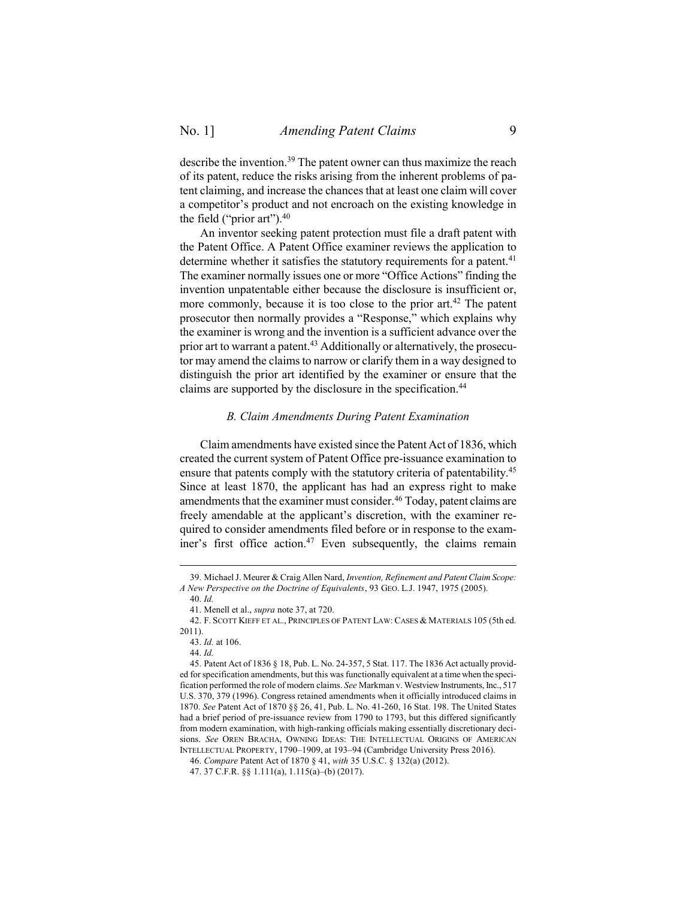<span id="page-8-2"></span>describe the invention.<sup>39</sup> The patent owner can thus maximize the reach of its patent, reduce the risks arising from the inherent problems of patent claiming, and increase the chances that at least one claim will cover a competitor's product and not encroach on the existing knowledge in the field ("prior art"). 40

An inventor seeking patent protection must file a draft patent with the Patent Office. A Patent Office examiner reviews the application to determine whether it satisfies the statutory requirements for a patent.<sup>41</sup> The examiner normally issues one or more "Office Actions" finding the invention unpatentable either because the disclosure is insufficient or, more commonly, because it is too close to the prior art.<sup>42</sup> The patent prosecutor then normally provides a "Response," which explains why the examiner is wrong and the invention is a sufficient advance over the prior art to warrant a patent.<sup>43</sup> Additionally or alternatively, the prosecutor may amend the claims to narrow or clarify them in a way designed to distinguish the prior art identified by the examiner or ensure that the claims are supported by the disclosure in the specification.<sup>44</sup>

#### <span id="page-8-1"></span>*B. Claim Amendments During Patent Examination*

<span id="page-8-0"></span>Claim amendments have existed since the Patent Act of 1836, which created the current system of Patent Office pre-issuance examination to ensure that patents comply with the statutory criteria of patentability.<sup>45</sup> Since at least 1870, the applicant has had an express right to make amendments that the examiner must consider.<sup>46</sup> Today, patent claims are freely amendable at the applicant's discretion, with the examiner required to consider amendments filed before or in response to the examiner's first office action.<sup>47</sup> Even subsequently, the claims remain

<sup>39.</sup> Michael J. Meurer & Craig Allen Nard, *Invention, Refinement and Patent Claim Scope: A New Perspective on the Doctrine of Equivalents*, 93 GEO. L.J. 1947, 1975 (2005).

<sup>40.</sup> *Id.*

<sup>41.</sup> Menell et al., *supra* not[e 37,](#page-7-2) at 720.

<sup>42.</sup> F. SCOTT KIEFF ET AL., PRINCIPLES OF PATENT LAW: CASES & MATERIALS 105 (5th ed. 2011).

<sup>43.</sup> *Id.* at 106.

<sup>44.</sup> *Id.*

<sup>45.</sup> Patent Act of 1836 § 18, Pub. L. No. 24-357, 5 Stat. 117. The 1836 Act actually provided forspecification amendments, but this was functionally equivalent at a time when the specification performed the role of modern claims. *See* Markman v. Westview Instruments, Inc., 517 U.S. 370, 379 (1996). Congress retained amendments when it officially introduced claims in 1870. *See* Patent Act of 1870 §§ 26, 41, Pub. L. No. 41-260, 16 Stat. 198. The United States had a brief period of pre-issuance review from 1790 to 1793, but this differed significantly from modern examination, with high-ranking officials making essentially discretionary decisions. *See* OREN BRACHA, OWNING IDEAS: THE INTELLECTUAL ORIGINS OF AMERICAN INTELLECTUAL PROPERTY, 1790–1909, at 193–94 (Cambridge University Press 2016).

<sup>46.</sup> *Compare* Patent Act of 1870 § 41, *with* 35 U.S.C. § 132(a) (2012).

<sup>47.</sup> 37 C.F.R. §§ 1.111(a), 1.115(a)–(b) (2017).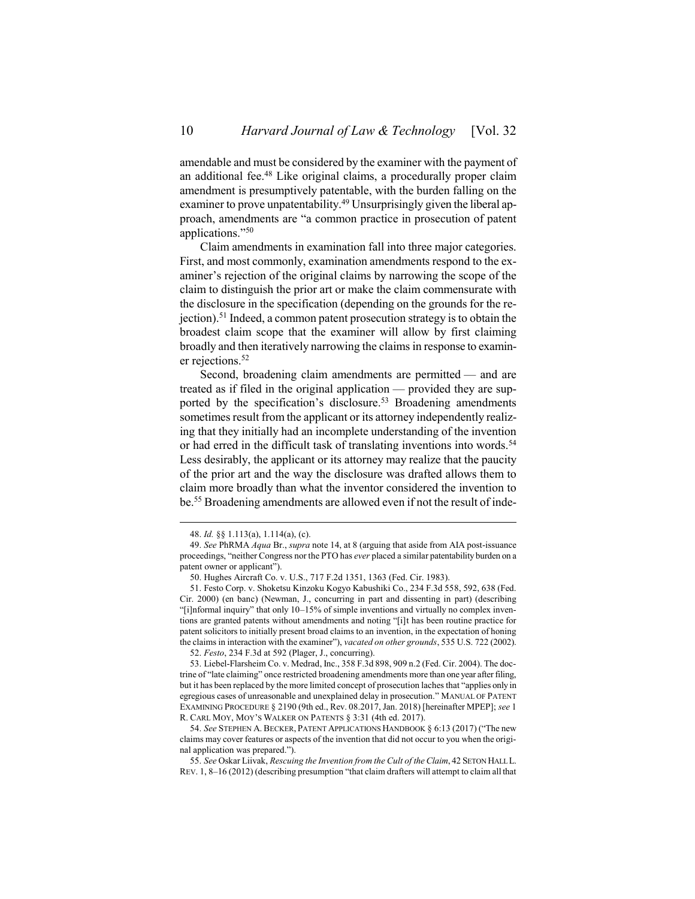amendable and must be considered by the examiner with the payment of an additional fee. <sup>48</sup> Like original claims, a procedurally proper claim amendment is presumptively patentable, with the burden falling on the examiner to prove unpatentability.<sup>49</sup> Unsurprisingly given the liberal approach, amendments are "a common practice in prosecution of patent applications."<sup>50</sup>

Claim amendments in examination fall into three major categories. First, and most commonly, examination amendments respond to the examiner's rejection of the original claims by narrowing the scope of the claim to distinguish the prior art or make the claim commensurate with the disclosure in the specification (depending on the grounds for the rejection). <sup>51</sup> Indeed, a common patent prosecution strategy is to obtain the broadest claim scope that the examiner will allow by first claiming broadly and then iteratively narrowing the claims in response to examiner rejections.<sup>52</sup>

<span id="page-9-0"></span>Second, broadening claim amendments are permitted — and are treated as if filed in the original application — provided they are supported by the specification's disclosure.<sup>53</sup> Broadening amendments sometimes result from the applicant or its attorney independently realizing that they initially had an incomplete understanding of the invention or had erred in the difficult task of translating inventions into words.<sup>54</sup> Less desirably, the applicant or its attorney may realize that the paucity of the prior art and the way the disclosure was drafted allows them to claim more broadly than what the inventor considered the invention to be.<sup>55</sup> Broadening amendments are allowed even if not the result of inde-

<span id="page-9-1"></span><sup>48.</sup> *Id.* §§ 1.113(a), 1.114(a), (c).

<sup>49.</sup> *See* PhRMA *Aqua* Br., *supra* not[e 14,](#page-3-0) at 8 (arguing that aside from AIA post-issuance proceedings, "neither Congress nor the PTO has *ever* placed a similar patentability burden on a patent owner or applicant").

<sup>50.</sup> Hughes Aircraft Co. v. U.S., 717 F.2d 1351, 1363 (Fed. Cir. 1983).

<sup>51.</sup> Festo Corp. v. Shoketsu Kinzoku Kogyo Kabushiki Co., 234 F.3d 558, 592, 638 (Fed. Cir. 2000) (en banc) (Newman, J., concurring in part and dissenting in part) (describing "[i]nformal inquiry" that only 10–15% of simple inventions and virtually no complex inventions are granted patents without amendments and noting "[i]t has been routine practice for patent solicitors to initially present broad claims to an invention, in the expectation of honing the claims in interaction with the examiner"), *vacated on other grounds*, 535 U.S. 722 (2002).

<sup>52.</sup> *Festo*, 234 F.3d at 592 (Plager, J., concurring).

<sup>53.</sup> Liebel-Flarsheim Co. v. Medrad, Inc., 358 F.3d 898, 909 n.2 (Fed. Cir. 2004). The doctrine of "late claiming" once restricted broadening amendments more than one year after filing, but it has been replaced by the more limited concept of prosecution laches that "applies only in egregious cases of unreasonable and unexplained delay in prosecution." MANUAL OF PATENT EXAMINING PROCEDURE § 2190 (9th ed., Rev. 08.2017, Jan. 2018) [hereinafter MPEP]; *see* 1 R. CARL MOY, MOY'S WALKER ON PATENTS § 3:31 (4th ed. 2017).

<sup>54.</sup> *See* STEPHEN A. BECKER, PATENT APPLICATIONS HANDBOOK § 6:13 (2017) ("The new claims may cover features or aspects of the invention that did not occur to you when the original application was prepared.").

<sup>55.</sup> *See* Oskar Liivak, *Rescuing the Invention from the Cult of the Claim*, 42 SETON HALL L. REV. 1, 8–16 (2012) (describing presumption "that claim drafters will attempt to claim all that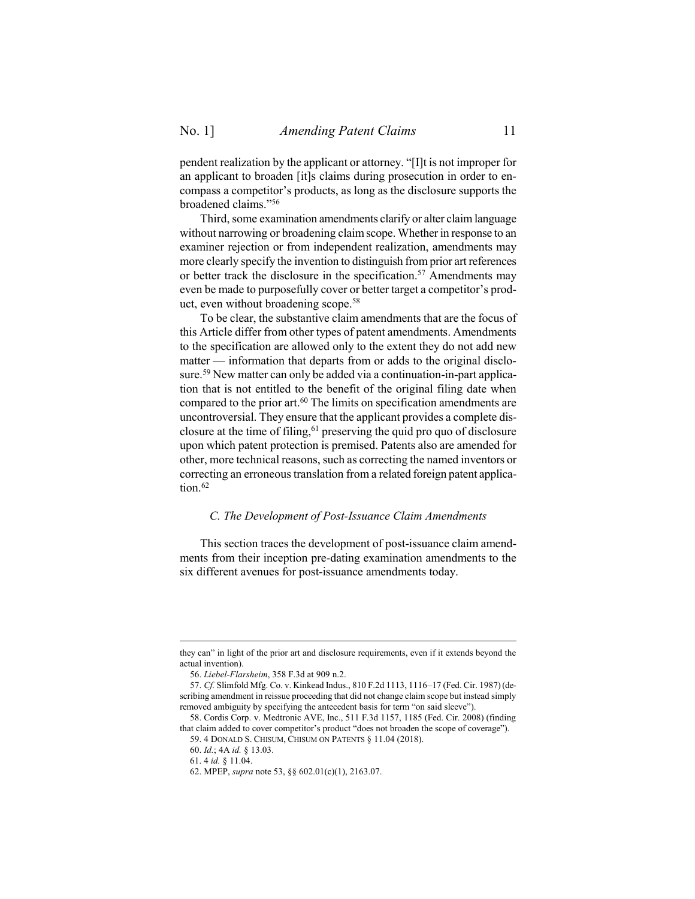pendent realization by the applicant or attorney. "[I]t is not improper for an applicant to broaden [it]s claims during prosecution in order to encompass a competitor's products, as long as the disclosure supports the broadened claims."<sup>56</sup>

Third, some examination amendments clarify or alter claim language without narrowing or broadening claim scope. Whether in response to an examiner rejection or from independent realization, amendments may more clearly specify the invention to distinguish from prior art references or better track the disclosure in the specification.<sup>57</sup> Amendments may even be made to purposefully cover or better target a competitor's product, even without broadening scope.<sup>58</sup>

<span id="page-10-1"></span>To be clear, the substantive claim amendments that are the focus of this Article differ from other types of patent amendments. Amendments to the specification are allowed only to the extent they do not add new matter — information that departs from or adds to the original disclosure.<sup>59</sup> New matter can only be added via a continuation-in-part application that is not entitled to the benefit of the original filing date when compared to the prior art.<sup>60</sup> The limits on specification amendments are uncontroversial. They ensure that the applicant provides a complete disclosure at the time of filing,  $61$  preserving the quid pro quo of disclosure upon which patent protection is premised. Patents also are amended for other, more technical reasons, such as correcting the named inventors or correcting an erroneous translation from a related foreign patent application.<sup>62</sup>

#### <span id="page-10-0"></span>*C. The Development of Post-Issuance Claim Amendments*

This section traces the development of post-issuance claim amendments from their inception pre-dating examination amendments to the six different avenues for post-issuance amendments today.

they can" in light of the prior art and disclosure requirements, even if it extends beyond the actual invention).

<sup>56.</sup> *Liebel-Flarsheim*, 358 F.3d at 909 n.2.

<sup>57.</sup> *Cf.* Slimfold Mfg. Co. v. Kinkead Indus., 810 F.2d 1113, 1116–17 (Fed. Cir. 1987) (describing amendment in reissue proceeding that did not change claim scope but instead simply removed ambiguity by specifying the antecedent basis for term "on said sleeve").

<sup>58.</sup> Cordis Corp. v. Medtronic AVE, Inc., 511 F.3d 1157, 1185 (Fed. Cir. 2008) (finding that claim added to cover competitor's product "does not broaden the scope of coverage"). 59. 4 DONALD S. CHISUM, CHISUM ON PATENTS § 11.04 (2018).

<sup>60.</sup> *Id.*; 4A *id.* § 13.03.

<sup>61.</sup> 4 *id.* § 11.04.

<sup>62.</sup> MPEP, *supra* not[e 53,](#page-9-0) §§ 602.01(c)(1), 2163.07.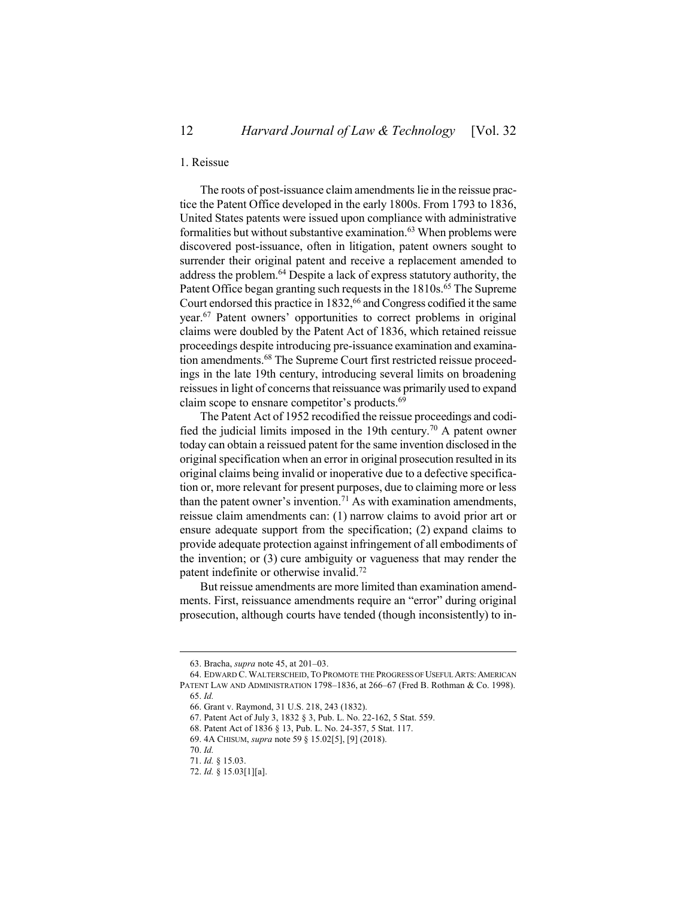### <span id="page-11-0"></span>1. Reissue

The roots of post-issuance claim amendments lie in the reissue practice the Patent Office developed in the early 1800s. From 1793 to 1836, United States patents were issued upon compliance with administrative formalities but without substantive examination.<sup>63</sup> When problems were discovered post-issuance, often in litigation, patent owners sought to surrender their original patent and receive a replacement amended to address the problem. <sup>64</sup> Despite a lack of express statutory authority, the Patent Office began granting such requests in the 1810s.<sup>65</sup> The Supreme Court endorsed this practice in 1832,<sup>66</sup> and Congress codified it the same year.<sup>67</sup> Patent owners' opportunities to correct problems in original claims were doubled by the Patent Act of 1836, which retained reissue proceedings despite introducing pre-issuance examination and examination amendments.<sup>68</sup> The Supreme Court first restricted reissue proceedings in the late 19th century, introducing several limits on broadening reissues in light of concerns that reissuance was primarily used to expand claim scope to ensnare competitor's products.<sup>69</sup>

The Patent Act of 1952 recodified the reissue proceedings and codified the judicial limits imposed in the 19th century.<sup>70</sup> A patent owner today can obtain a reissued patent for the same invention disclosed in the original specification when an error in original prosecution resulted in its original claims being invalid or inoperative due to a defective specification or, more relevant for present purposes, due to claiming more or less than the patent owner's invention.<sup>71</sup> As with examination amendments, reissue claim amendments can: (1) narrow claims to avoid prior art or ensure adequate support from the specification; (2) expand claims to provide adequate protection against infringement of all embodiments of the invention; or (3) cure ambiguity or vagueness that may render the patent indefinite or otherwise invalid.<sup>72</sup>

But reissue amendments are more limited than examination amendments. First, reissuance amendments require an "error" during original prosecution, although courts have tended (though inconsistently) to in-

<sup>63.</sup> Bracha, *supra* not[e 45,](#page-8-1) at 201–03.

<sup>64.</sup> EDWARD C. WALTERSCHEID, TO PROMOTE THE PROGRESS OF USEFUL ARTS: AMERICAN PATENT LAW AND ADMINISTRATION 1798-1836, at 266-67 (Fred B. Rothman & Co. 1998). 65. *Id.*

<sup>66.</sup> Grant v. Raymond, 31 U.S. 218, 243 (1832).

<sup>67.</sup> Patent Act of July 3, 1832 § 3, Pub. L. No. 22-162, 5 Stat. 559.

<sup>68.</sup> Patent Act of 1836 § 13, Pub. L. No. 24-357, 5 Stat. 117.

<sup>69.</sup> 4A CHISUM, *supra* note [59](#page-10-1) § 15.02[5], [9] (2018).

<sup>70.</sup> *Id.*

<sup>71.</sup> *Id.* § 15.03.

<sup>72.</sup> *Id.* § 15.03[1][a].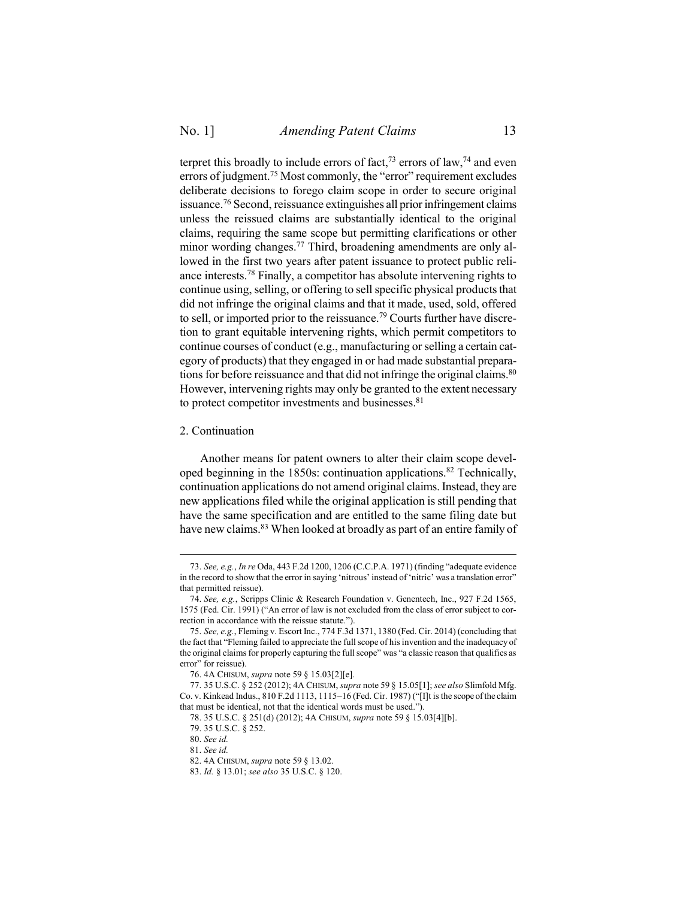terpret this broadly to include errors of fact,<sup>73</sup> errors of law,<sup>74</sup> and even errors of judgment.<sup>75</sup> Most commonly, the "error" requirement excludes deliberate decisions to forego claim scope in order to secure original issuance.<sup>76</sup> Second, reissuance extinguishes all prior infringement claims unless the reissued claims are substantially identical to the original claims, requiring the same scope but permitting clarifications or other minor wording changes.<sup>77</sup> Third, broadening amendments are only allowed in the first two years after patent issuance to protect public reliance interests. <sup>78</sup> Finally, a competitor has absolute intervening rights to continue using, selling, or offering to sell specific physical products that did not infringe the original claims and that it made, used, sold, offered to sell, or imported prior to the reissuance.<sup>79</sup> Courts further have discretion to grant equitable intervening rights, which permit competitors to continue courses of conduct (e.g., manufacturing or selling a certain category of products) that they engaged in or had made substantial preparations for before reissuance and that did not infringe the original claims.<sup>80</sup> However, intervening rights may only be granted to the extent necessary to protect competitor investments and businesses.<sup>81</sup>

#### <span id="page-12-0"></span>2. Continuation

 $\overline{a}$ 

Another means for patent owners to alter their claim scope developed beginning in the 1850s: continuation applications.<sup>82</sup> Technically, continuation applications do not amend original claims. Instead, they are new applications filed while the original application is still pending that have the same specification and are entitled to the same filing date but have new claims.<sup>83</sup> When looked at broadly as part of an entire family of

<sup>73.</sup> *See, e.g.*, *In re* Oda, 443 F.2d 1200, 1206 (C.C.P.A. 1971) (finding "adequate evidence in the record to show that the error in saying 'nitrous' instead of 'nitric' was a translation error" that permitted reissue).

<sup>74.</sup> *See, e.g.*, Scripps Clinic & Research Foundation v. Genentech, Inc., 927 F.2d 1565, 1575 (Fed. Cir. 1991) ("An error of law is not excluded from the class of error subject to correction in accordance with the reissue statute.").

<sup>75.</sup> *See, e.g.*, Fleming v. Escort Inc., 774 F.3d 1371, 1380 (Fed. Cir. 2014) (concluding that the fact that "Fleming failed to appreciate the full scope of his invention and the inadequacy of the original claims for properly capturing the full scope" was "a classic reason that qualifies as error" for reissue).

<sup>76.</sup> 4A CHISUM, *supra* note [59](#page-10-1) § 15.03[2][e].

<sup>77.</sup> 35 U.S.C. § 252 (2012); 4A CHISUM, *supra* not[e 59](#page-10-1) § 15.05[1]; *see also* Slimfold Mfg. Co. v. Kinkead Indus., 810 F.2d 1113, 1115–16 (Fed. Cir. 1987) ("[I]t is the scope of the claim that must be identical, not that the identical words must be used.").

<sup>78.</sup> 35 U.S.C. § 251(d) (2012); 4A CHISUM, *supra* not[e 59](#page-10-1) § 15.03[4][b].

<sup>79.</sup> 35 U.S.C. § 252.

<sup>80.</sup> *See id.*

<sup>81.</sup> *See id.*

<sup>82.</sup> 4A CHISUM, *supra* note [59](#page-10-1) § 13.02.

<sup>83.</sup> *Id.* § 13.01; *see also* 35 U.S.C. § 120.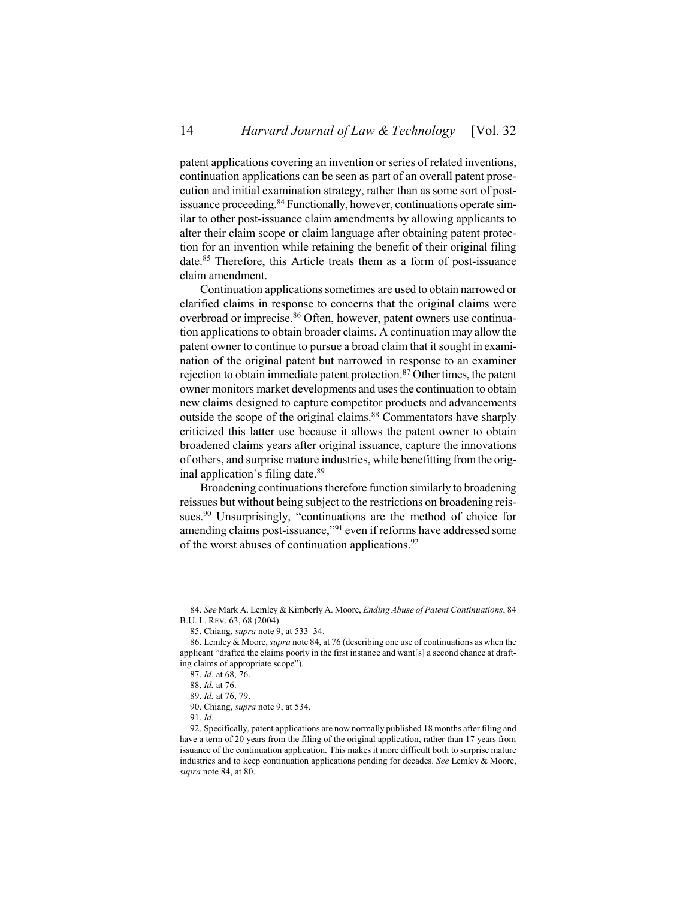<span id="page-13-0"></span>patent applications covering an invention or series of related inventions, continuation applications can be seen as part of an overall patent prosecution and initial examination strategy, rather than as some sort of postissuance proceeding.<sup>84</sup> Functionally, however, continuations operate similar to other post-issuance claim amendments by allowing applicants to alter their claim scope or claim language after obtaining patent protection for an invention while retaining the benefit of their original filing date.<sup>85</sup> Therefore, this Article treats them as a form of post-issuance claim amendment.

Continuation applications sometimes are used to obtain narrowed or clarified claims in response to concerns that the original claims were overbroad or imprecise. <sup>86</sup> Often, however, patent owners use continuation applications to obtain broader claims. A continuation may allow the patent owner to continue to pursue a broad claim that it sought in examination of the original patent but narrowed in response to an examiner rejection to obtain immediate patent protection.<sup>87</sup> Other times, the patent owner monitors market developments and uses the continuation to obtain new claims designed to capture competitor products and advancements outside the scope of the original claims.<sup>88</sup> Commentators have sharply criticized this latter use because it allows the patent owner to obtain broadened claims years after original issuance, capture the innovations of others, and surprise mature industries, while benefitting from the original application's filing date. 89

Broadening continuations therefore function similarly to broadening reissues but without being subject to the restrictions on broadening reissues.<sup>90</sup> Unsurprisingly, "continuations are the method of choice for amending claims post-issuance,"<sup>91</sup> even if reforms have addressed some of the worst abuses of continuation applications.<sup>92</sup>

<sup>84.</sup> *See* Mark A. Lemley & Kimberly A. Moore, *Ending Abuse of Patent Continuations*, 84 B.U. L. REV. 63, 68 (2004).

<sup>85.</sup> Chiang, *supra* not[e 9,](#page-2-1) at 533–34.

<sup>86.</sup> Lemley & Moore, *supra* not[e 84,](#page-13-0) at 76 (describing one use of continuations as when the applicant "drafted the claims poorly in the first instance and want[s] a second chance at drafting claims of appropriate scope").

<sup>87.</sup> *Id.* at 68, 76.

<sup>88.</sup> *Id.* at 76.

<sup>89.</sup> *Id.* at 76, 79.

<sup>90.</sup> Chiang, *supra* not[e 9,](#page-2-1) at 534.

<sup>91.</sup> *Id.*

<sup>92.</sup> Specifically, patent applications are now normally published 18 months after filing and have a term of 20 years from the filing of the original application, rather than 17 years from issuance of the continuation application. This makes it more difficult both to surprise mature industries and to keep continuation applications pending for decades. *See* Lemley & Moore, *supra* not[e 84,](#page-13-0) at 80.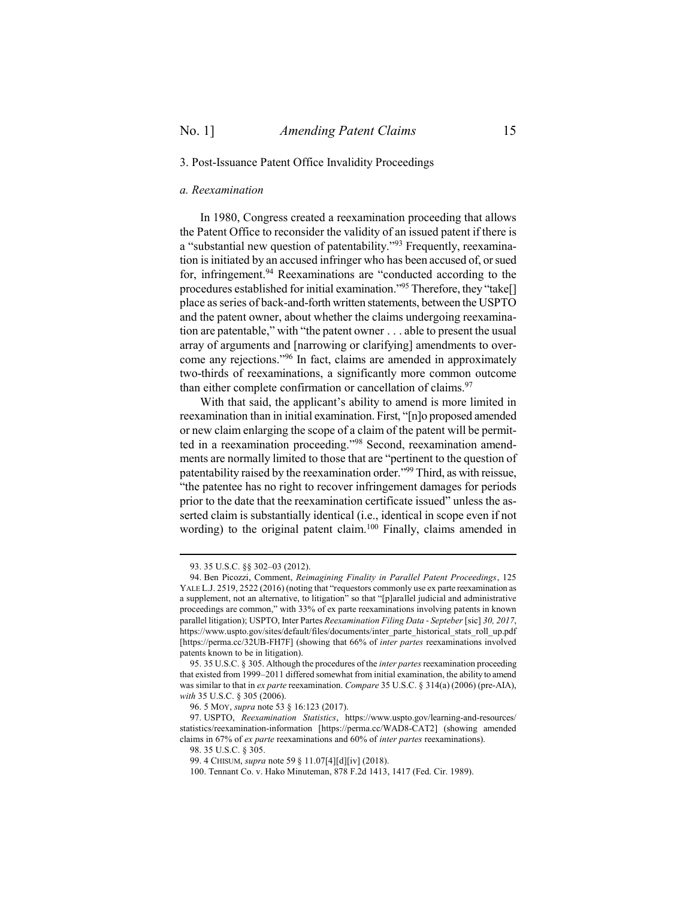### <span id="page-14-0"></span>3. Post-Issuance Patent Office Invalidity Proceedings

#### <span id="page-14-1"></span>*a. Reexamination*

In 1980, Congress created a reexamination proceeding that allows the Patent Office to reconsider the validity of an issued patent if there is a "substantial new question of patentability."<sup>93</sup> Frequently, reexamination is initiated by an accused infringer who has been accused of, or sued for, infringement.<sup>94</sup> Reexaminations are "conducted according to the procedures established for initial examination."<sup>95</sup> Therefore, they "take[] place as series of back-and-forth written statements, between the USPTO and the patent owner, about whether the claims undergoing reexamination are patentable," with "the patent owner . . . able to present the usual array of arguments and [narrowing or clarifying] amendments to overcome any rejections."<sup>96</sup> In fact, claims are amended in approximately two-thirds of reexaminations, a significantly more common outcome than either complete confirmation or cancellation of claims.<sup>97</sup>

With that said, the applicant's ability to amend is more limited in reexamination than in initial examination. First, "[n]o proposed amended or new claim enlarging the scope of a claim of the patent will be permitted in a reexamination proceeding."<sup>98</sup> Second, reexamination amendments are normally limited to those that are "pertinent to the question of patentability raised by the reexamination order."<sup>99</sup> Third, as with reissue, "the patentee has no right to recover infringement damages for periods prior to the date that the reexamination certificate issued" unless the asserted claim is substantially identical (i.e., identical in scope even if not wording) to the original patent claim.<sup>100</sup> Finally, claims amended in

<sup>93.</sup> 35 U.S.C. §§ 302–03 (2012).

<sup>94.</sup> Ben Picozzi, Comment, *Reimagining Finality in Parallel Patent Proceedings*, 125 YALE L.J. 2519, 2522 (2016) (noting that "requestors commonly use ex parte reexamination as a supplement, not an alternative, to litigation" so that "[p]arallel judicial and administrative proceedings are common," with 33% of ex parte reexaminations involving patents in known parallel litigation); USPTO, Inter Partes *Reexamination Filing Data ‐ Septeber* [sic] *30, 2017*, https://www.uspto.gov/sites/default/files/documents/inter\_parte\_historical\_stats\_roll\_up.pdf [https://perma.cc/32UB-FH7F] (showing that 66% of *inter partes* reexaminations involved patents known to be in litigation).

<sup>95.</sup> 35 U.S.C. § 305. Although the procedures of the *inter partes* reexamination proceeding that existed from 1999–2011 differed somewhat from initial examination, the ability to amend was similar to that in *ex parte* reexamination. *Compare* 35 U.S.C. § 314(a) (2006) (pre-AIA), *with* 35 U.S.C. § 305 (2006).

<sup>96.</sup> 5 MOY, *supra* not[e 53](#page-9-0) § 16:123 (2017).

<sup>97.</sup> USPTO, *Reexamination Statistics*, https://www.uspto.gov/learning-and-resources/ statistics/reexamination-information [https://perma.cc/WAD8-CAT2] (showing amended claims in 67% of *ex parte* reexaminations and 60% of *inter partes* reexaminations).

<sup>98.</sup> 35 U.S.C. § 305.

<sup>99.</sup> 4 CHISUM, *supra* not[e 59](#page-10-1) § 11.07[4][d][iv] (2018).

<sup>100.</sup> Tennant Co. v. Hako Minuteman, 878 F.2d 1413, 1417 (Fed. Cir. 1989).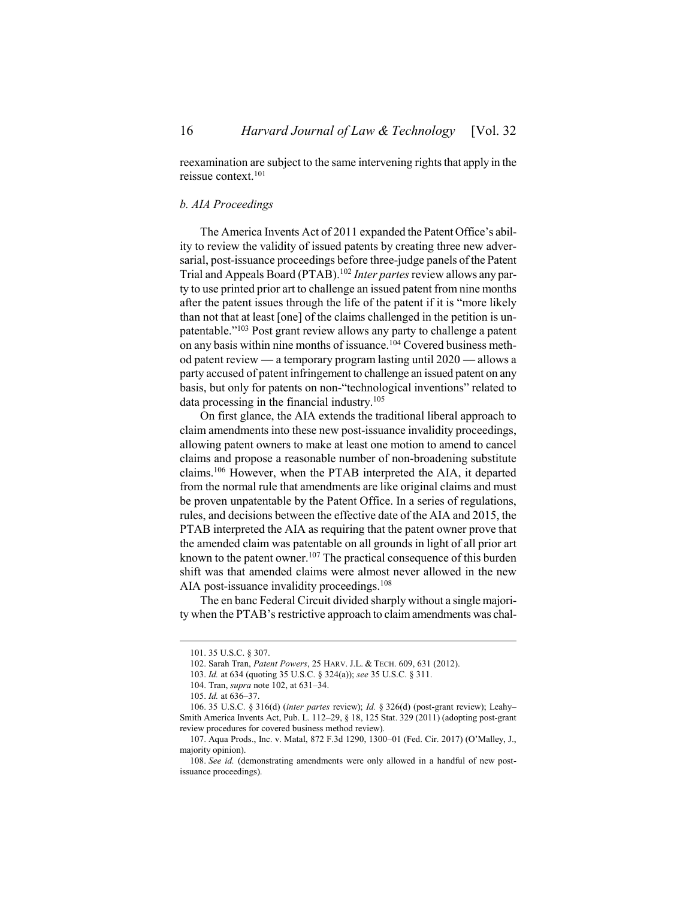reexamination are subject to the same intervening rights that apply in the reissue context.<sup>101</sup>

#### <span id="page-15-0"></span>*b. AIA Proceedings*

<span id="page-15-1"></span>The America Invents Act of 2011 expanded the Patent Office's ability to review the validity of issued patents by creating three new adversarial, post-issuance proceedings before three-judge panels of the Patent Trial and Appeals Board (PTAB). <sup>102</sup> *Inter partes*review allows any party to use printed prior art to challenge an issued patent from nine months after the patent issues through the life of the patent if it is "more likely than not that at least [one] of the claims challenged in the petition is unpatentable."<sup>103</sup> Post grant review allows any party to challenge a patent on any basis within nine months of issuance.<sup>104</sup> Covered business method patent review — a temporary program lasting until 2020 — allows a party accused of patent infringement to challenge an issued patent on any basis, but only for patents on non-"technological inventions" related to data processing in the financial industry.<sup>105</sup>

On first glance, the AIA extends the traditional liberal approach to claim amendments into these new post-issuance invalidity proceedings, allowing patent owners to make at least one motion to amend to cancel claims and propose a reasonable number of non-broadening substitute claims.<sup>106</sup> However, when the PTAB interpreted the AIA, it departed from the normal rule that amendments are like original claims and must be proven unpatentable by the Patent Office. In a series of regulations, rules, and decisions between the effective date of the AIA and 2015, the PTAB interpreted the AIA as requiring that the patent owner prove that the amended claim was patentable on all grounds in light of all prior art known to the patent owner.<sup>107</sup> The practical consequence of this burden shift was that amended claims were almost never allowed in the new AIA post-issuance invalidity proceedings.<sup>108</sup>

The en banc Federal Circuit divided sharply without a single majority when the PTAB's restrictive approach to claim amendments was chal-

<sup>101.</sup> 35 U.S.C. § 307.

<sup>102.</sup> Sarah Tran, *Patent Powers*, 25 HARV. J.L. & TECH. 609, 631 (2012).

<sup>103.</sup> *Id.* at 634 (quoting 35 U.S.C. § 324(a)); *see* 35 U.S.C. § 311.

<sup>104.</sup> Tran, *supra* not[e 102,](#page-15-1) at 631–34.

<sup>105.</sup> *Id.* at 636–37.

<sup>106.</sup> 35 U.S.C. § 316(d) (*inter partes* review); *Id.* § 326(d) (post-grant review); Leahy– Smith America Invents Act, Pub. L. 112–29, § 18, 125 Stat. 329 (2011) (adopting post-grant review procedures for covered business method review).

<sup>107.</sup> Aqua Prods., Inc. v. Matal, 872 F.3d 1290, 1300–01 (Fed. Cir. 2017) (O'Malley, J., majority opinion).

<sup>108.</sup> *See id.* (demonstrating amendments were only allowed in a handful of new postissuance proceedings).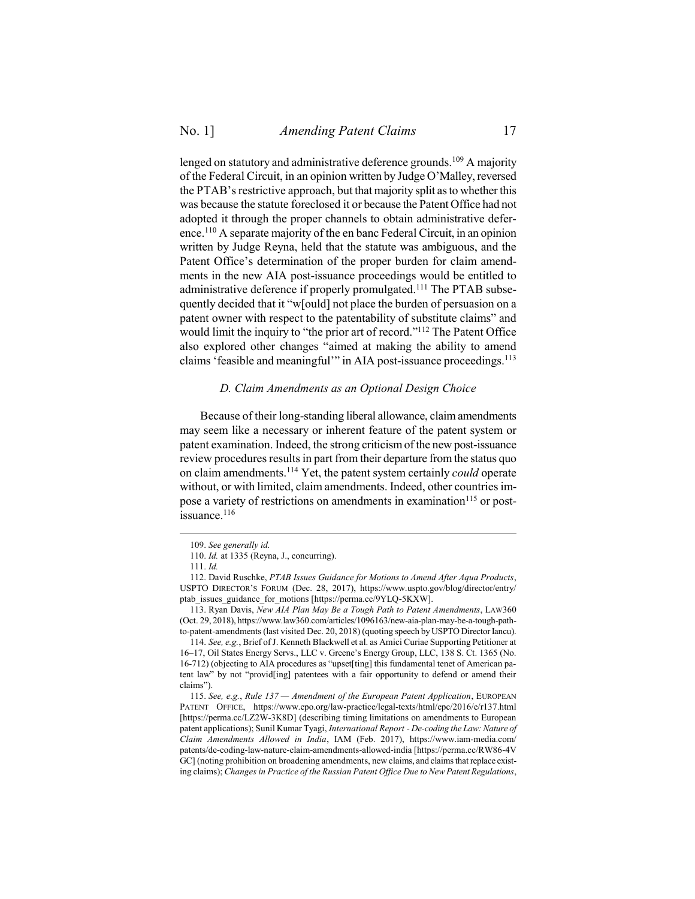lenged on statutory and administrative deference grounds. <sup>109</sup> A majority of the Federal Circuit, in an opinion written by Judge O'Malley, reversed the PTAB's restrictive approach, but that majority split as to whether this was because the statute foreclosed it or because the Patent Office had not adopted it through the proper channels to obtain administrative deference.<sup>110</sup> A separate majority of the en banc Federal Circuit, in an opinion written by Judge Reyna, held that the statute was ambiguous, and the Patent Office's determination of the proper burden for claim amendments in the new AIA post-issuance proceedings would be entitled to administrative deference if properly promulgated.<sup>111</sup> The PTAB subsequently decided that it "w[ould] not place the burden of persuasion on a patent owner with respect to the patentability of substitute claims" and would limit the inquiry to "the prior art of record."<sup>112</sup> The Patent Office also explored other changes "aimed at making the ability to amend claims 'feasible and meaningful'" in AIA post-issuance proceedings.<sup>113</sup>

#### <span id="page-16-2"></span><span id="page-16-1"></span>*D. Claim Amendments as an Optional Design Choice*

<span id="page-16-0"></span>Because of their long-standing liberal allowance, claim amendments may seem like a necessary or inherent feature of the patent system or patent examination. Indeed, the strong criticism of the new post-issuance review procedures results in part from their departure from the status quo on claim amendments.<sup>114</sup> Yet, the patent system certainly *could* operate without, or with limited, claim amendments. Indeed, other countries impose a variety of restrictions on amendments in examination<sup>115</sup> or postissuance.<sup>116</sup>

<sup>109.</sup> *See generally id.*

<sup>110.</sup> *Id.* at 1335 (Reyna, J., concurring).

<sup>111.</sup> *Id.*

<sup>112.</sup> David Ruschke, *PTAB Issues Guidance for Motions to Amend After Aqua Products*, USPTO DIRECTOR'S FORUM (Dec. 28, 2017), https://www.uspto.gov/blog/director/entry/ ptab\_issues\_guidance\_for\_motions [https://perma.cc/9YLQ-5KXW].

<sup>113.</sup> Ryan Davis, *New AIA Plan May Be a Tough Path to Patent Amendments*, LAW360 (Oct. 29, 2018), https://www.law360.com/articles/1096163/new-aia-plan-may-be-a-tough-pathto-patent-amendments (last visited Dec. 20, 2018) (quoting speech by USPTO Director Iancu).

<sup>114.</sup> *See, e.g.*, Brief of J. Kenneth Blackwell et al. as Amici Curiae Supporting Petitioner at 16–17, Oil States Energy Servs., LLC v. Greene's Energy Group, LLC, 138 S. Ct. 1365 (No. 16-712) (objecting to AIA procedures as "upset[ting] this fundamental tenet of American patent law" by not "provid[ing] patentees with a fair opportunity to defend or amend their claims").

<sup>115.</sup> *See, e.g.*, *Rule 137 — Amendment of the European Patent Application*, EUROPEAN PATENT OFFICE, https://www.epo.org/law-practice/legal-texts/html/epc/2016/e/r137.html [https://perma.cc/LZ2W-3K8D] (describing timing limitations on amendments to European patent applications); Sunil Kumar Tyagi, *International Report - De-coding the Law: Nature of Claim Amendments Allowed in India*, IAM (Feb. 2017), https://www.iam-media.com/ patents/de-coding-law-nature-claim-amendments-allowed-india [https://perma.cc/RW86-4V GC] (noting prohibition on broadening amendments, new claims, and claims that replace existing claims); *Changes in Practice of the Russian Patent Office Due to New Patent Regulations*,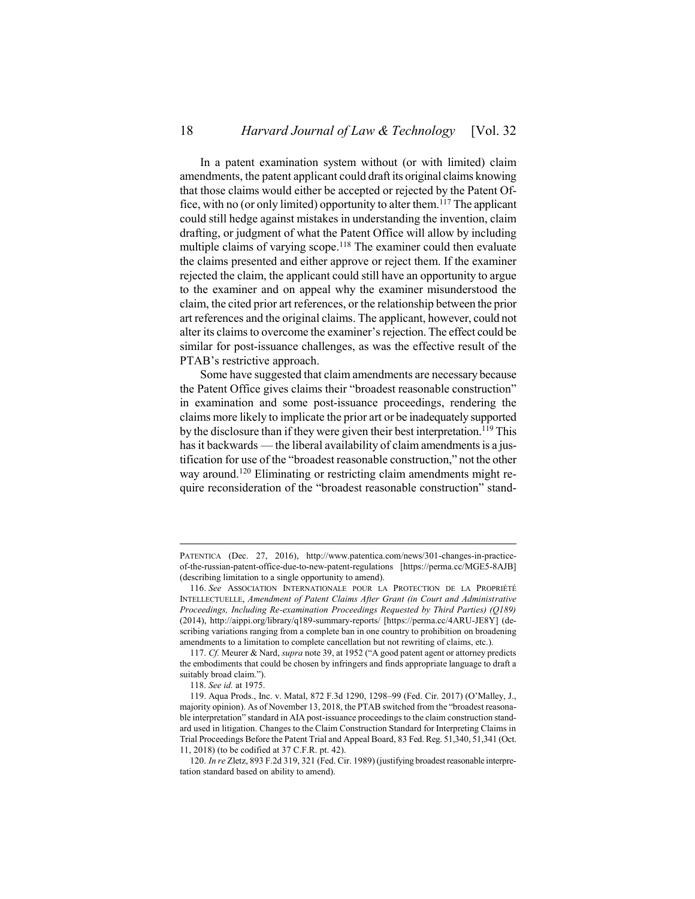In a patent examination system without (or with limited) claim amendments, the patent applicant could draft its original claims knowing that those claims would either be accepted or rejected by the Patent Office, with no (or only limited) opportunity to alter them.<sup>117</sup> The applicant could still hedge against mistakes in understanding the invention, claim drafting, or judgment of what the Patent Office will allow by including multiple claims of varying scope.<sup>118</sup> The examiner could then evaluate the claims presented and either approve or reject them. If the examiner rejected the claim, the applicant could still have an opportunity to argue to the examiner and on appeal why the examiner misunderstood the claim, the cited prior art references, or the relationship between the prior art references and the original claims. The applicant, however, could not alter its claims to overcome the examiner's rejection. The effect could be similar for post-issuance challenges, as was the effective result of the PTAB's restrictive approach.

Some have suggested that claim amendments are necessary because the Patent Office gives claims their "broadest reasonable construction" in examination and some post-issuance proceedings, rendering the claims more likely to implicate the prior art or be inadequately supported by the disclosure than if they were given their best interpretation.<sup>119</sup> This has it backwards — the liberal availability of claim amendments is a justification for use of the "broadest reasonable construction," not the other way around. <sup>120</sup> Eliminating or restricting claim amendments might require reconsideration of the "broadest reasonable construction" stand-

PATENTICA (Dec. 27, 2016), http://www.patentica.com/news/301-changes-in-practiceof-the-russian-patent-office-due-to-new-patent-regulations [https://perma.cc/MGE5-8AJB] (describing limitation to a single opportunity to amend).

<sup>116.</sup> *See* ASSOCIATION INTERNATIONALE POUR LA PROTECTION DE LA PROPRIÉTÉ INTELLECTUELLE, *Amendment of Patent Claims After Grant (in Court and Administrative Proceedings, Including Re-examination Proceedings Requested by Third Parties) (Q189)* (2014), http://aippi.org/library/q189-summary-reports/ [https://perma.cc/4ARU-JE8Y] (describing variations ranging from a complete ban in one country to prohibition on broadening amendments to a limitation to complete cancellation but not rewriting of claims, etc.).

<sup>117.</sup> *Cf.* Meurer & Nard, *supra* not[e 39](#page-8-2), at 1952 ("A good patent agent or attorney predicts the embodiments that could be chosen by infringers and finds appropriate language to draft a suitably broad claim.").

<sup>118.</sup> *See id.* at 1975.

<sup>119.</sup> Aqua Prods., Inc. v. Matal, 872 F.3d 1290, 1298–99 (Fed. Cir. 2017) (O'Malley, J., majority opinion). As of November 13, 2018, the PTAB switched from the "broadest reasonable interpretation" standard in AIA post-issuance proceedings to the claim construction standard used in litigation. Changes to the Claim Construction Standard for Interpreting Claims in Trial Proceedings Before the Patent Trial and Appeal Board, 83 Fed. Reg. 51,340, 51,341 (Oct. 11, 2018) (to be codified at 37 C.F.R. pt. 42).

<sup>120.</sup> *In re* Zletz, 893 F.2d 319, 321 (Fed. Cir. 1989) (justifying broadest reasonable interpretation standard based on ability to amend).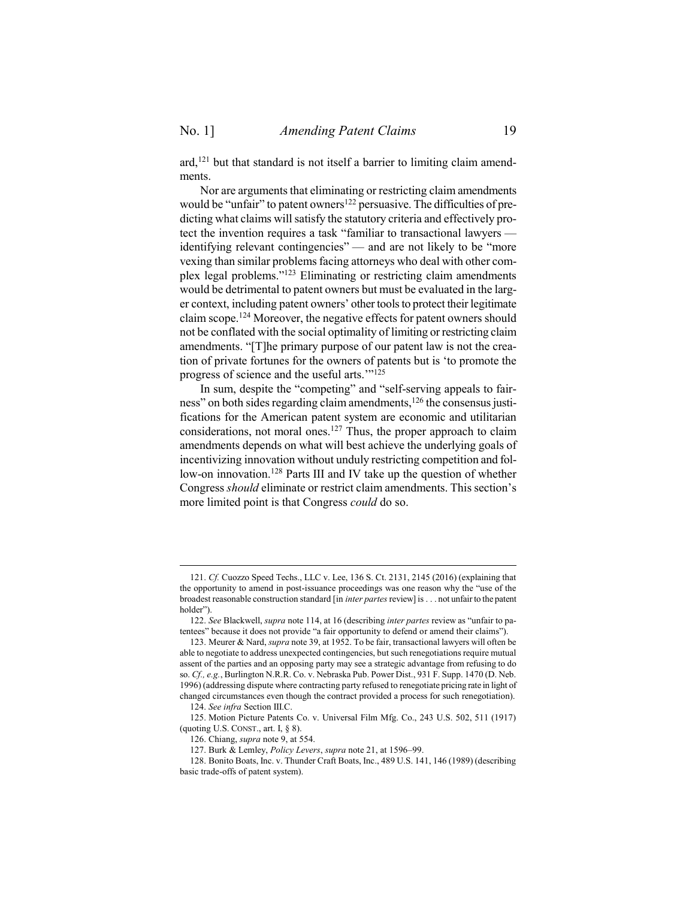ard, <sup>121</sup> but that standard is not itself a barrier to limiting claim amendments.

Nor are arguments that eliminating or restricting claim amendments would be "unfair" to patent owners<sup>122</sup> persuasive. The difficulties of predicting what claims will satisfy the statutory criteria and effectively protect the invention requires a task "familiar to transactional lawyers identifying relevant contingencies" — and are not likely to be "more vexing than similar problems facing attorneys who deal with other complex legal problems."<sup>123</sup> Eliminating or restricting claim amendments would be detrimental to patent owners but must be evaluated in the larger context, including patent owners' other tools to protect their legitimate claim scope.<sup>124</sup> Moreover, the negative effects for patent owners should not be conflated with the social optimality of limiting or restricting claim amendments. "[T]he primary purpose of our patent law is not the creation of private fortunes for the owners of patents but is 'to promote the progress of science and the useful arts.'" 125

In sum, despite the "competing" and "self-serving appeals to fairness" on both sides regarding claim amendments,<sup>126</sup> the consensus justifications for the American patent system are economic and utilitarian considerations, not moral ones. <sup>127</sup> Thus, the proper approach to claim amendments depends on what will best achieve the underlying goals of incentivizing innovation without unduly restricting competition and follow-on innovation.<sup>128</sup> Parts III and IV take up the question of whether Congress *should* eliminate or restrict claim amendments. This section's more limited point is that Congress *could* do so.

<sup>121.</sup> *Cf.* Cuozzo Speed Techs., LLC v. Lee, 136 S. Ct. 2131, 2145 (2016) (explaining that the opportunity to amend in post-issuance proceedings was one reason why the "use of the broadest reasonable construction standard [in *inter partes* review] is . . . not unfair to the patent holder").

<sup>122.</sup> *See* Blackwell, *supra* not[e 114,](#page-16-1) at 16 (describing *inter partes* review as "unfair to patentees" because it does not provide "a fair opportunity to defend or amend their claims").

<sup>123.</sup> Meurer & Nard, *supra* not[e 39,](#page-8-2) at 1952. To be fair, transactional lawyers will often be able to negotiate to address unexpected contingencies, but such renegotiations require mutual assent of the parties and an opposing party may see a strategic advantage from refusing to do so. *Cf., e.g.*, Burlington N.R.R. Co. v. Nebraska Pub. Power Dist., 931 F. Supp. 1470 (D. Neb. 1996) (addressing dispute where contracting party refused to renegotiate pricing rate in light of changed circumstances even though the contract provided a process for such renegotiation).

<sup>124.</sup> *See infra* Section [III.](#page-19-0)[C.](#page-24-0)

<sup>125.</sup> Motion Picture Patents Co. v. Universal Film Mfg. Co., 243 U.S. 502, 511 (1917) (quoting U.S. CONST., art. I, § 8).

<sup>126.</sup> Chiang, *supra* not[e 9,](#page-2-1) at 554.

<sup>127.</sup> Burk & Lemley, *Policy Levers*, *supra* note [21,](#page-5-0) at 1596–99.

<sup>128.</sup> Bonito Boats, Inc. v. Thunder Craft Boats, Inc., 489 U.S. 141, 146 (1989) (describing basic trade-offs of patent system).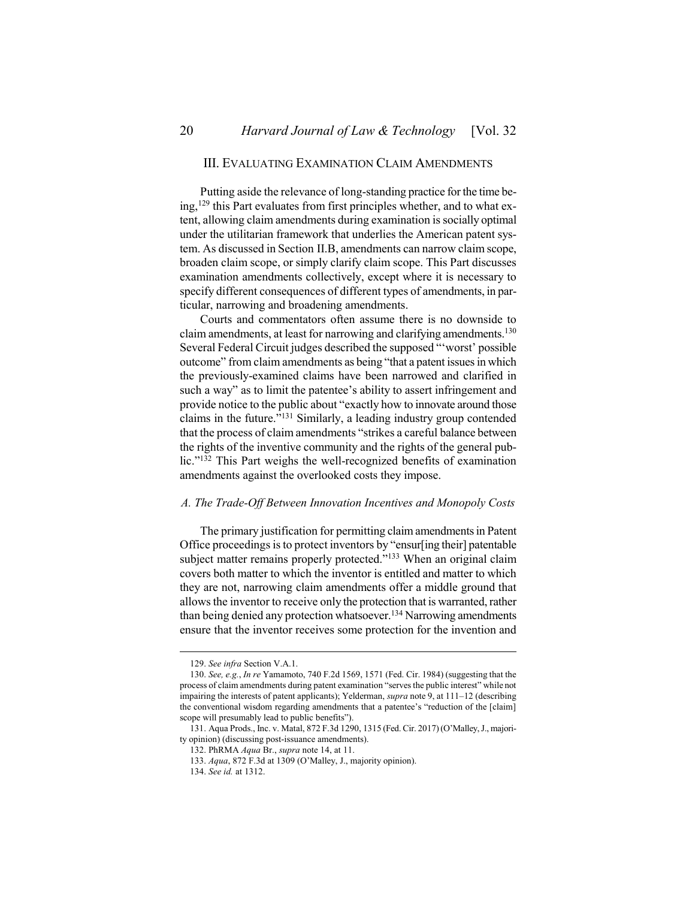# <span id="page-19-0"></span>III. EVALUATING EXAMINATION CLAIM AMENDMENTS

Putting aside the relevance of long-standing practice for the time being,<sup>129</sup> this Part evaluates from first principles whether, and to what extent, allowing claim amendments during examination is socially optimal under the utilitarian framework that underlies the American patent system. As discussed in Section II.B, amendments can narrow claim scope, broaden claim scope, or simply clarify claim scope. This Part discusses examination amendments collectively, except where it is necessary to specify different consequences of different types of amendments, in particular, narrowing and broadening amendments.

Courts and commentators often assume there is no downside to claim amendments, at least for narrowing and clarifying amendments.<sup>130</sup> Several Federal Circuit judges described the supposed "'worst' possible outcome" from claim amendments as being "that a patent issues in which the previously-examined claims have been narrowed and clarified in such a way" as to limit the patentee's ability to assert infringement and provide notice to the public about "exactly how to innovate around those claims in the future."<sup>131</sup> Similarly, a leading industry group contended that the process of claim amendments "strikes a careful balance between the rights of the inventive community and the rights of the general public."<sup>132</sup> This Part weighs the well-recognized benefits of examination amendments against the overlooked costs they impose.

#### <span id="page-19-1"></span>*A. The Trade-Off Between Innovation Incentives and Monopoly Costs*

The primary justification for permitting claim amendments in Patent Office proceedings is to protect inventors by "ensur[ing their] patentable subject matter remains properly protected."<sup>133</sup> When an original claim covers both matter to which the inventor is entitled and matter to which they are not, narrowing claim amendments offer a middle ground that allows the inventor to receive only the protection that is warranted, rather than being denied any protection whatsoever.<sup>134</sup> Narrowing amendments ensure that the inventor receives some protection for the invention and

<sup>129.</sup> *See infra* Section [V.](#page-45-0)[A.](#page-46-0)[1.](#page-46-1)

<sup>130.</sup> *See, e.g.*, *In re* Yamamoto, 740 F.2d 1569, 1571 (Fed. Cir. 1984) (suggesting that the process of claim amendments during patent examination "serves the public interest" while not impairing the interests of patent applicants); Yelderman, *supra* not[e 9,](#page-2-1) at 111–12 (describing the conventional wisdom regarding amendments that a patentee's "reduction of the [claim] scope will presumably lead to public benefits").

<sup>131.</sup> Aqua Prods., Inc. v. Matal, 872 F.3d 1290, 1315 (Fed. Cir. 2017)(O'Malley, J., majority opinion) (discussing post-issuance amendments).

<sup>132.</sup> PhRMA *Aqua* Br., *supra* not[e 14,](#page-3-0) at 11.

<sup>133.</sup> *Aqua*, 872 F.3d at 1309 (O'Malley, J., majority opinion).

<sup>134.</sup> *See id.* at 1312.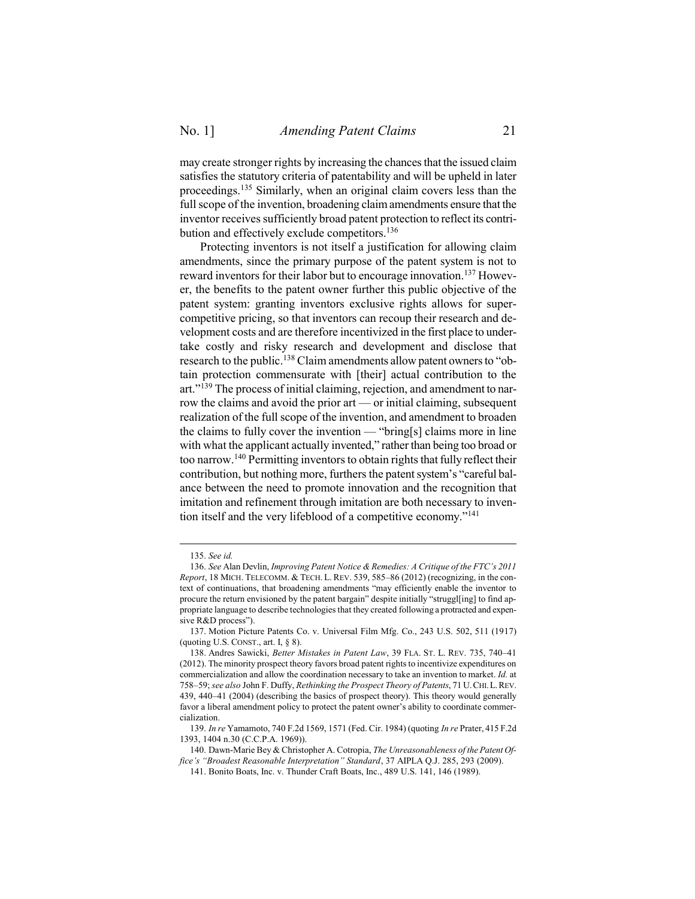may create stronger rights by increasing the chances that the issued claim satisfies the statutory criteria of patentability and will be upheld in later proceedings. <sup>135</sup> Similarly, when an original claim covers less than the full scope of the invention, broadening claim amendments ensure that the inventor receives sufficiently broad patent protection to reflect its contribution and effectively exclude competitors.<sup>136</sup>

<span id="page-20-2"></span><span id="page-20-0"></span>Protecting inventors is not itself a justification for allowing claim amendments, since the primary purpose of the patent system is not to reward inventors for their labor but to encourage innovation.<sup>137</sup> However, the benefits to the patent owner further this public objective of the patent system: granting inventors exclusive rights allows for supercompetitive pricing, so that inventors can recoup their research and development costs and are therefore incentivized in the first place to undertake costly and risky research and development and disclose that research to the public.<sup>138</sup> Claim amendments allow patent owners to "obtain protection commensurate with [their] actual contribution to the art."<sup>139</sup> The process of initial claiming, rejection, and amendment to narrow the claims and avoid the prior art — or initial claiming, subsequent realization of the full scope of the invention, and amendment to broaden the claims to fully cover the invention — "bring[s] claims more in line with what the applicant actually invented," rather than being too broad or too narrow.<sup>140</sup> Permitting inventors to obtain rights that fully reflect their contribution, but nothing more, furthers the patent system's "careful balance between the need to promote innovation and the recognition that imitation and refinement through imitation are both necessary to invention itself and the very lifeblood of a competitive economy."<sup>141</sup>

<span id="page-20-1"></span><sup>135.</sup> *See id.*

<sup>136.</sup> *See* Alan Devlin, *Improving Patent Notice & Remedies: A Critique of the FTC's 2011 Report*, 18 MICH. TELECOMM. & TECH. L. REV. 539, 585–86 (2012) (recognizing, in the context of continuations, that broadening amendments "may efficiently enable the inventor to procure the return envisioned by the patent bargain" despite initially "struggl[ing] to find appropriate language to describe technologies that they created following a protracted and expensive R&D process").

<sup>137.</sup> Motion Picture Patents Co. v. Universal Film Mfg. Co., 243 U.S. 502, 511 (1917) (quoting U.S. CONST., art. I,  $\S$  8).

<sup>138.</sup> Andres Sawicki, *Better Mistakes in Patent Law*, 39 FLA. ST. L. REV. 735, 740–41 (2012). The minority prospect theory favors broad patent rights to incentivize expenditures on commercialization and allow the coordination necessary to take an invention to market. *Id.* at 758–59; *see also* John F. Duffy, *Rethinking the Prospect Theory of Patents*, 71 U.CHI.L.REV. 439, 440–41 (2004) (describing the basics of prospect theory). This theory would generally favor a liberal amendment policy to protect the patent owner's ability to coordinate commercialization.

<sup>139.</sup> *In re* Yamamoto, 740 F.2d 1569, 1571 (Fed. Cir. 1984) (quoting *In re* Prater, 415 F.2d 1393, 1404 n.30 (C.C.P.A. 1969)).

<sup>140.</sup> Dawn-Marie Bey & Christopher A. Cotropia, *The Unreasonableness of the Patent Office's "Broadest Reasonable Interpretation" Standard*, 37 AIPLA Q.J. 285, 293 (2009).

<sup>141.</sup> Bonito Boats, Inc. v. Thunder Craft Boats, Inc., 489 U.S. 141, 146 (1989).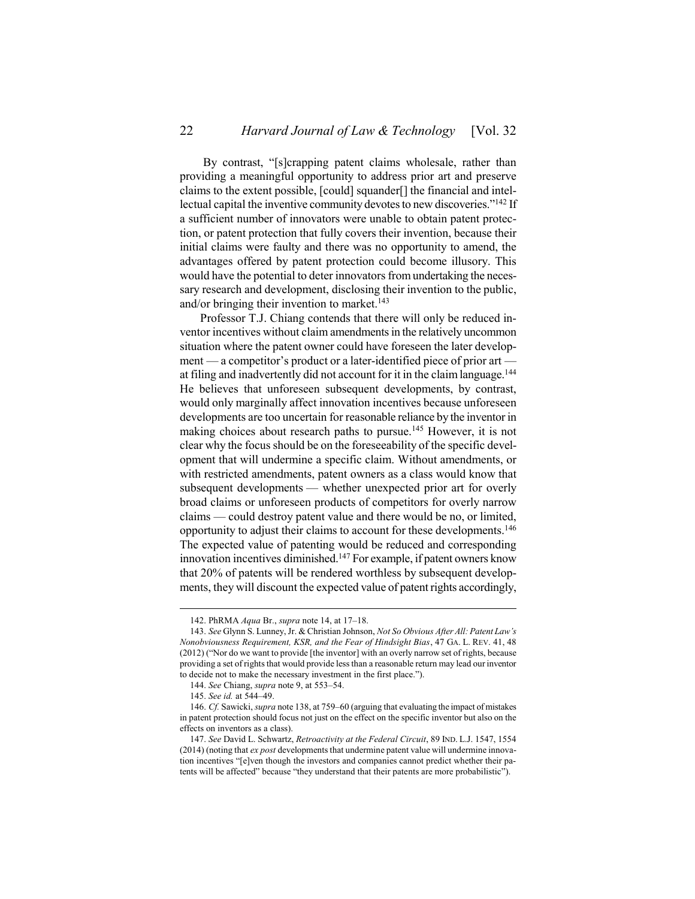By contrast, "[s]crapping patent claims wholesale, rather than providing a meaningful opportunity to address prior art and preserve claims to the extent possible, [could] squander[] the financial and intellectual capital the inventive community devotes to new discoveries."<sup>142</sup> If a sufficient number of innovators were unable to obtain patent protection, or patent protection that fully covers their invention, because their initial claims were faulty and there was no opportunity to amend, the advantages offered by patent protection could become illusory. This would have the potential to deter innovators from undertaking the necessary research and development, disclosing their invention to the public, and/or bringing their invention to market. 143

<span id="page-21-0"></span>Professor T.J. Chiang contends that there will only be reduced inventor incentives without claim amendments in the relatively uncommon situation where the patent owner could have foreseen the later development — a competitor's product or a later-identified piece of prior art at filing and inadvertently did not account for it in the claim language.<sup>144</sup> He believes that unforeseen subsequent developments, by contrast, would only marginally affect innovation incentives because unforeseen developments are too uncertain for reasonable reliance by the inventor in making choices about research paths to pursue.<sup>145</sup> However, it is not clear why the focus should be on the foreseeability of the specific development that will undermine a specific claim. Without amendments, or with restricted amendments, patent owners as a class would know that subsequent developments — whether unexpected prior art for overly broad claims or unforeseen products of competitors for overly narrow claims — could destroy patent value and there would be no, or limited, opportunity to adjust their claims to account for these developments.<sup>146</sup> The expected value of patenting would be reduced and corresponding innovation incentives diminished.<sup>147</sup> For example, if patent owners know that 20% of patents will be rendered worthless by subsequent developments, they will discount the expected value of patent rights accordingly,

<sup>142.</sup> PhRMA *Aqua* Br., *supra* not[e 14,](#page-3-0) at 17–18.

<sup>143.</sup> *See* Glynn S. Lunney, Jr. & Christian Johnson, *Not So Obvious After All: Patent Law's Nonobviousness Requirement, KSR, and the Fear of Hindsight Bias*, 47 GA. L. REV. 41, 48 (2012) ("Nor do we want to provide [the inventor] with an overly narrow set of rights, because providing a set of rights that would provide less than a reasonable return may lead our inventor to decide not to make the necessary investment in the first place.").

<sup>144.</sup> *See* Chiang, *supra* note [9,](#page-2-1) at 553–54.

<sup>145.</sup> *See id.* at 544–49.

<sup>146.</sup> *Cf.* Sawicki, *supra* not[e 138,](#page-20-0) at 759–60 (arguing that evaluating the impact of mistakes in patent protection should focus not just on the effect on the specific inventor but also on the effects on inventors as a class).

<sup>147.</sup> *See* David L. Schwartz, *Retroactivity at the Federal Circuit*, 89 IND. L.J. 1547, 1554 (2014) (noting that *ex post* developments that undermine patent value will undermine innovation incentives "[e]ven though the investors and companies cannot predict whether their patents will be affected" because "they understand that their patents are more probabilistic").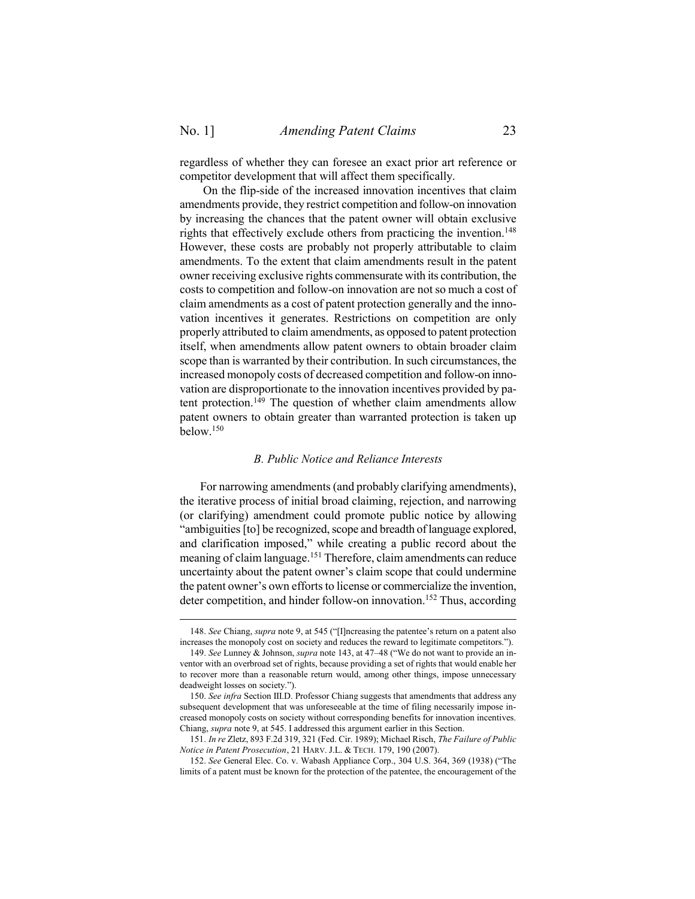$\overline{a}$ 

regardless of whether they can foresee an exact prior art reference or competitor development that will affect them specifically.

On the flip-side of the increased innovation incentives that claim amendments provide, they restrict competition and follow-on innovation by increasing the chances that the patent owner will obtain exclusive rights that effectively exclude others from practicing the invention. 148 However, these costs are probably not properly attributable to claim amendments. To the extent that claim amendments result in the patent owner receiving exclusive rights commensurate with its contribution, the costs to competition and follow-on innovation are not so much a cost of claim amendments as a cost of patent protection generally and the innovation incentives it generates. Restrictions on competition are only properly attributed to claim amendments, as opposed to patent protection itself, when amendments allow patent owners to obtain broader claim scope than is warranted by their contribution. In such circumstances, the increased monopoly costs of decreased competition and follow-on innovation are disproportionate to the innovation incentives provided by patent protection.<sup>149</sup> The question of whether claim amendments allow patent owners to obtain greater than warranted protection is taken up below.<sup>150</sup>

#### <span id="page-22-1"></span>*B. Public Notice and Reliance Interests*

<span id="page-22-0"></span>For narrowing amendments (and probably clarifying amendments), the iterative process of initial broad claiming, rejection, and narrowing (or clarifying) amendment could promote public notice by allowing "ambiguities [to] be recognized, scope and breadth of language explored, and clarification imposed," while creating a public record about the meaning of claim language.<sup>151</sup> Therefore, claim amendments can reduce uncertainty about the patent owner's claim scope that could undermine the patent owner's own efforts to license or commercialize the invention, deter competition, and hinder follow-on innovation.<sup>152</sup> Thus, according

<sup>148.</sup> *See* Chiang, *supra* note [9](#page-2-1), at 545 ("[I]ncreasing the patentee's return on a patent also increases the monopoly cost on society and reduces the reward to legitimate competitors.").

<sup>149.</sup> *See* Lunney & Johnson, *supra* not[e 143,](#page-21-0) at 47–48 ("We do not want to provide an inventor with an overbroad set of rights, because providing a set of rights that would enable her to recover more than a reasonable return would, among other things, impose unnecessary deadweight losses on society.").

<sup>150.</sup> *See infra* Section [III.](#page-19-0)[D.](#page-26-0) Professor Chiang suggests that amendments that address any subsequent development that was unforeseeable at the time of filing necessarily impose increased monopoly costs on society without corresponding benefits for innovation incentives. Chiang, *supra* not[e 9,](#page-2-1) at 545. I addressed this argument earlier in this Section.

<sup>151.</sup> *In re* Zletz, 893 F.2d 319, 321 (Fed. Cir. 1989); Michael Risch, *The Failure of Public Notice in Patent Prosecution*, 21 HARV. J.L. & TECH. 179, 190 (2007).

<sup>152.</sup> *See* General Elec. Co. v. Wabash Appliance Corp., 304 U.S. 364, 369 (1938) ("The limits of a patent must be known for the protection of the patentee, the encouragement of the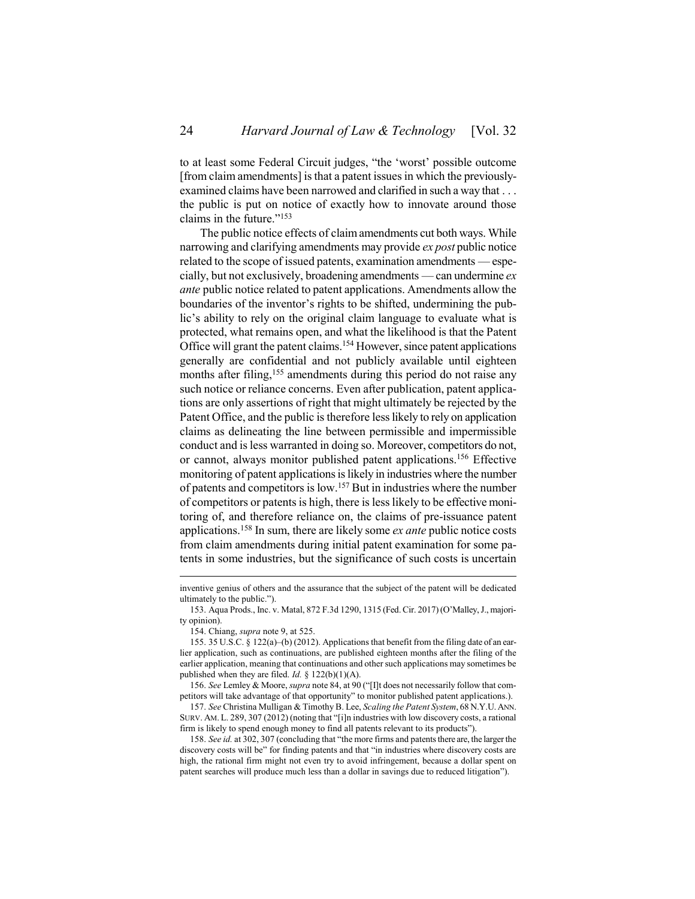to at least some Federal Circuit judges, "the 'worst' possible outcome [from claim amendments] is that a patent issues in which the previouslyexamined claims have been narrowed and clarified in such a way that . . . the public is put on notice of exactly how to innovate around those claims in the future."<sup>153</sup>

The public notice effects of claim amendments cut both ways. While narrowing and clarifying amendments may provide *ex post* public notice related to the scope of issued patents, examination amendments — especially, but not exclusively, broadening amendments — can undermine *ex ante* public notice related to patent applications. Amendments allow the boundaries of the inventor's rights to be shifted, undermining the public's ability to rely on the original claim language to evaluate what is protected, what remains open, and what the likelihood is that the Patent Office will grant the patent claims. <sup>154</sup> However, since patent applications generally are confidential and not publicly available until eighteen months after filing, <sup>155</sup> amendments during this period do not raise any such notice or reliance concerns. Even after publication, patent applications are only assertions of right that might ultimately be rejected by the Patent Office, and the public is therefore less likely to rely on application claims as delineating the line between permissible and impermissible conduct and is less warranted in doing so. Moreover, competitors do not, or cannot, always monitor published patent applications.<sup>156</sup> Effective monitoring of patent applications is likely in industries where the number of patents and competitors is low. <sup>157</sup> But in industries where the number of competitors or patents is high, there is less likely to be effective monitoring of, and therefore reliance on, the claims of pre-issuance patent applications.<sup>158</sup> In sum, there are likely some *ex ante* public notice costs from claim amendments during initial patent examination for some patents in some industries, but the significance of such costs is uncertain

inventive genius of others and the assurance that the subject of the patent will be dedicated ultimately to the public.").

<sup>153.</sup> Aqua Prods., Inc. v. Matal, 872 F.3d 1290, 1315 (Fed. Cir. 2017) (O'Malley, J., majority opinion).

<sup>154.</sup> Chiang, *supra* not[e 9,](#page-2-1) at 525.

<sup>155.</sup> 35 U.S.C. § 122(a)–(b) (2012). Applications that benefit from the filing date of an earlier application, such as continuations, are published eighteen months after the filing of the earlier application, meaning that continuations and other such applications may sometimes be published when they are filed. *Id.*  $\S$  122(b)(1)(A).

<sup>156.</sup> *See* Lemley & Moore, *supra* not[e 84](#page-13-0), at 90 ("[I]t does not necessarily follow that competitors will take advantage of that opportunity" to monitor published patent applications.).

<sup>157.</sup> *See* Christina Mulligan & Timothy B. Lee, *Scaling the Patent System*, 68 N.Y.U.ANN. SURV. AM. L. 289, 307 (2012) (noting that "[i]n industries with low discovery costs, a rational firm is likely to spend enough money to find all patents relevant to its products").

<sup>158.</sup> *See id.* at 302, 307 (concluding that "the more firms and patents there are, the larger the discovery costs will be" for finding patents and that "in industries where discovery costs are high, the rational firm might not even try to avoid infringement, because a dollar spent on patent searches will produce much less than a dollar in savings due to reduced litigation").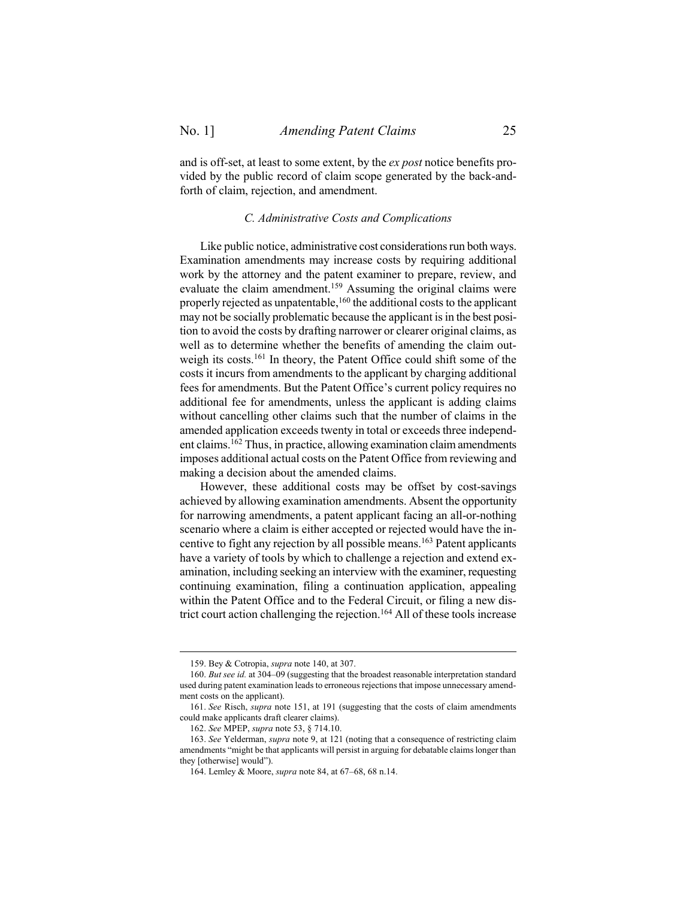<span id="page-24-0"></span>and is off-set, at least to some extent, by the *ex post* notice benefits provided by the public record of claim scope generated by the back-andforth of claim, rejection, and amendment.

### *C. Administrative Costs and Complications*

Like public notice, administrative cost considerations run both ways. Examination amendments may increase costs by requiring additional work by the attorney and the patent examiner to prepare, review, and evaluate the claim amendment.<sup>159</sup> Assuming the original claims were properly rejected as unpatentable, <sup>160</sup> the additional costs to the applicant may not be socially problematic because the applicant is in the best position to avoid the costs by drafting narrower or clearer original claims, as well as to determine whether the benefits of amending the claim outweigh its costs.<sup>161</sup> In theory, the Patent Office could shift some of the costs it incurs from amendments to the applicant by charging additional fees for amendments. But the Patent Office's current policy requires no additional fee for amendments, unless the applicant is adding claims without cancelling other claims such that the number of claims in the amended application exceeds twenty in total or exceeds three independent claims. <sup>162</sup> Thus, in practice, allowing examination claim amendments imposes additional actual costs on the Patent Office from reviewing and making a decision about the amended claims.

However, these additional costs may be offset by cost-savings achieved by allowing examination amendments. Absent the opportunity for narrowing amendments, a patent applicant facing an all-or-nothing scenario where a claim is either accepted or rejected would have the incentive to fight any rejection by all possible means.<sup>163</sup> Patent applicants have a variety of tools by which to challenge a rejection and extend examination, including seeking an interview with the examiner, requesting continuing examination, filing a continuation application, appealing within the Patent Office and to the Federal Circuit, or filing a new district court action challenging the rejection.<sup>164</sup> All of these tools increase

<sup>159.</sup> Bey & Cotropia, *supra* not[e 140,](#page-20-1) at 307.

<sup>160.</sup> *But see id.* at 304–09 (suggesting that the broadest reasonable interpretation standard used during patent examination leads to erroneous rejections that impose unnecessary amendment costs on the applicant).

<sup>161.</sup> *See* Risch, *supra* not[e 151,](#page-22-1) at 191 (suggesting that the costs of claim amendments could make applicants draft clearer claims).

<sup>162.</sup> *See* MPEP, *supra* not[e 53,](#page-9-0) § 714.10.

<sup>163.</sup> *See* Yelderman, *supra* note [9,](#page-2-1) at 121 (noting that a consequence of restricting claim amendments "might be that applicants will persist in arguing for debatable claims longer than they [otherwise] would").

<sup>164.</sup> Lemley & Moore, *supra* not[e 84,](#page-13-0) at 67–68, 68 n.14.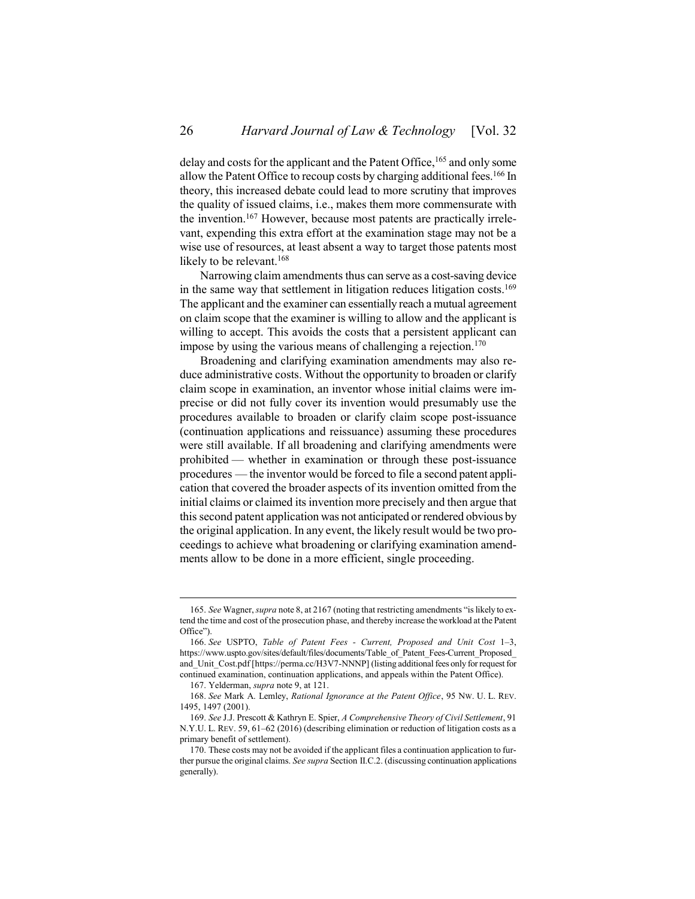<span id="page-25-0"></span>delay and costs for the applicant and the Patent Office,<sup>165</sup> and only some allow the Patent Office to recoup costs by charging additional fees.<sup>166</sup> In theory, this increased debate could lead to more scrutiny that improves the quality of issued claims, i.e., makes them more commensurate with the invention. <sup>167</sup> However, because most patents are practically irrelevant, expending this extra effort at the examination stage may not be a wise use of resources, at least absent a way to target those patents most likely to be relevant.<sup>168</sup>

<span id="page-25-1"></span>Narrowing claim amendments thus can serve as a cost-saving device in the same way that settlement in litigation reduces litigation costs.<sup>169</sup> The applicant and the examiner can essentially reach a mutual agreement on claim scope that the examiner is willing to allow and the applicant is willing to accept. This avoids the costs that a persistent applicant can impose by using the various means of challenging a rejection.<sup>170</sup>

Broadening and clarifying examination amendments may also reduce administrative costs. Without the opportunity to broaden or clarify claim scope in examination, an inventor whose initial claims were imprecise or did not fully cover its invention would presumably use the procedures available to broaden or clarify claim scope post-issuance (continuation applications and reissuance) assuming these procedures were still available. If all broadening and clarifying amendments were prohibited — whether in examination or through these post-issuance procedures — the inventor would be forced to file a second patent application that covered the broader aspects of its invention omitted from the initial claims or claimed its invention more precisely and then argue that this second patent application was not anticipated or rendered obvious by the original application. In any event, the likely result would be two proceedings to achieve what broadening or clarifying examination amendments allow to be done in a more efficient, single proceeding.

<sup>165.</sup> *See* Wagner, *supra* not[e 8](#page-2-0), at 2167 (noting that restricting amendments "is likely to extend the time and cost of the prosecution phase, and thereby increase the workload at the Patent Office").

<sup>166.</sup> *See* USPTO, *Table of Patent Fees - Current, Proposed and Unit Cost* 1–3, https://www.uspto.gov/sites/default/files/documents/Table\_of\_Patent\_Fees-Current\_Proposed\_ and\_Unit\_Cost.pdf [https://perma.cc/H3V7-NNNP] (listing additional fees only for request for continued examination, continuation applications, and appeals within the Patent Office).

<sup>167.</sup> Yelderman, *supra* not[e 9,](#page-2-1) at 121.

<sup>168.</sup> *See* Mark A. Lemley, *Rational Ignorance at the Patent Office*, 95 NW. U. L. REV. 1495, 1497 (2001).

<sup>169.</sup> *See* J.J. Prescott & Kathryn E. Spier, *A Comprehensive Theory of Civil Settlement*, 91 N.Y.U. L. REV. 59, 61–62 (2016) (describing elimination or reduction of litigation costs as a primary benefit of settlement).

<sup>170.</sup> These costs may not be avoided if the applicant files a continuation application to further pursue the original claims. *See supra* Section [II.](#page-7-0)[C.](#page-10-0)[2.](#page-12-0) (discussing continuation applications generally).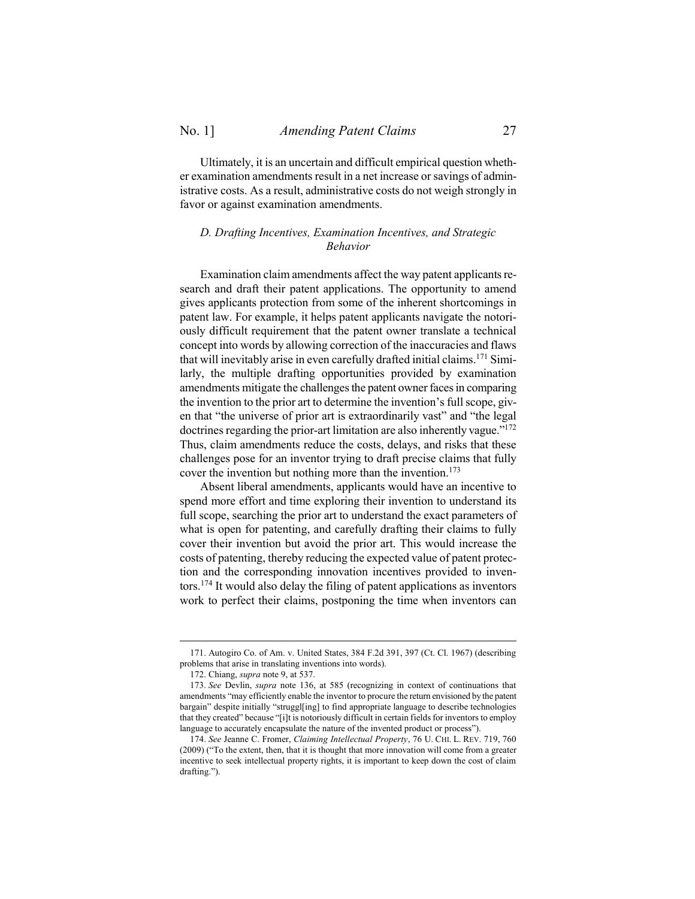Ultimately, it is an uncertain and difficult empirical question whether examination amendments result in a net increase or savings of administrative costs. As a result, administrative costs do not weigh strongly in favor or against examination amendments.

# <span id="page-26-0"></span>*D. Drafting Incentives, Examination Incentives, and Strategic Behavior*

Examination claim amendments affect the way patent applicants research and draft their patent applications. The opportunity to amend gives applicants protection from some of the inherent shortcomings in patent law. For example, it helps patent applicants navigate the notoriously difficult requirement that the patent owner translate a technical concept into words by allowing correction of the inaccuracies and flaws that will inevitably arise in even carefully drafted initial claims.<sup>171</sup> Similarly, the multiple drafting opportunities provided by examination amendments mitigate the challenges the patent owner faces in comparing the invention to the prior art to determine the invention's full scope, given that "the universe of prior art is extraordinarily vast" and "the legal doctrines regarding the prior-art limitation are also inherently vague."<sup>172</sup> Thus, claim amendments reduce the costs, delays, and risks that these challenges pose for an inventor trying to draft precise claims that fully cover the invention but nothing more than the invention.<sup>173</sup>

Absent liberal amendments, applicants would have an incentive to spend more effort and time exploring their invention to understand its full scope, searching the prior art to understand the exact parameters of what is open for patenting, and carefully drafting their claims to fully cover their invention but avoid the prior art. This would increase the costs of patenting, thereby reducing the expected value of patent protection and the corresponding innovation incentives provided to inventors.<sup>174</sup> It would also delay the filing of patent applications as inventors work to perfect their claims, postponing the time when inventors can

<sup>171.</sup> Autogiro Co. of Am. v. United States, 384 F.2d 391, 397 (Ct. Cl. 1967) (describing problems that arise in translating inventions into words).

<sup>172.</sup> Chiang, *supra* not[e 9,](#page-2-1) at 537.

<sup>173.</sup> *See* Devlin, *supra* note [136,](#page-20-2) at 585 (recognizing in context of continuations that amendments "may efficiently enable the inventor to procure the return envisioned by the patent bargain" despite initially "struggl[ing] to find appropriate language to describe technologies that they created" because "[i]t is notoriously difficult in certain fields for inventors to employ language to accurately encapsulate the nature of the invented product or process").

<sup>174.</sup> *See* Jeanne C. Fromer, *Claiming Intellectual Property*, 76 U. CHI. L. REV. 719, 760 (2009) ("To the extent, then, that it is thought that more innovation will come from a greater incentive to seek intellectual property rights, it is important to keep down the cost of claim drafting.").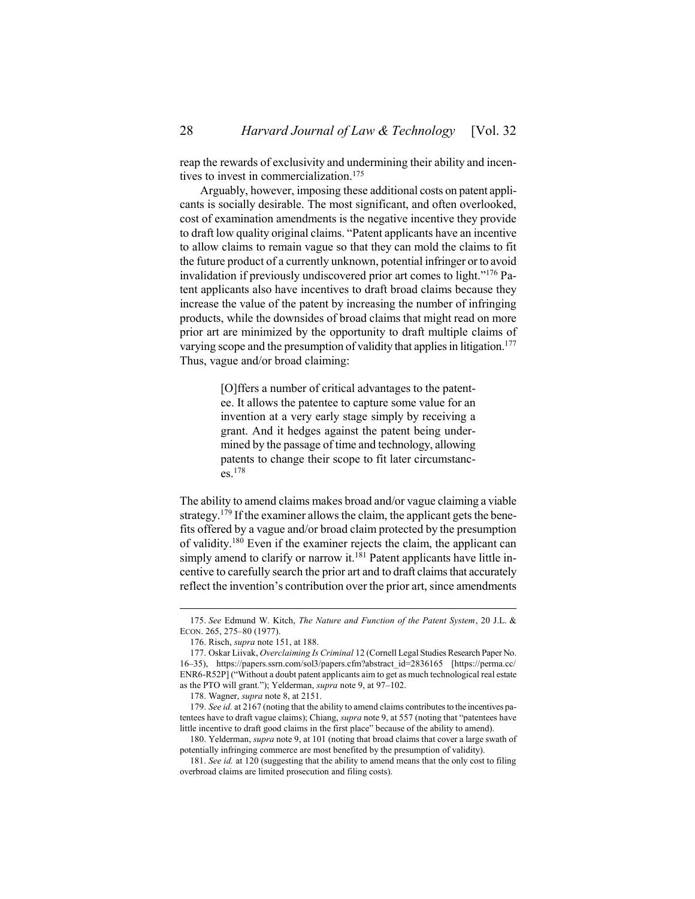reap the rewards of exclusivity and undermining their ability and incentives to invest in commercialization.<sup>175</sup>

Arguably, however, imposing these additional costs on patent applicants is socially desirable. The most significant, and often overlooked, cost of examination amendments is the negative incentive they provide to draft low quality original claims. "Patent applicants have an incentive to allow claims to remain vague so that they can mold the claims to fit the future product of a currently unknown, potential infringer or to avoid invalidation if previously undiscovered prior art comes to light."<sup>176</sup> Patent applicants also have incentives to draft broad claims because they increase the value of the patent by increasing the number of infringing products, while the downsides of broad claims that might read on more prior art are minimized by the opportunity to draft multiple claims of varying scope and the presumption of validity that applies in litigation.<sup>177</sup> Thus, vague and/or broad claiming:

> <span id="page-27-0"></span>[O]ffers a number of critical advantages to the patentee. It allows the patentee to capture some value for an invention at a very early stage simply by receiving a grant. And it hedges against the patent being undermined by the passage of time and technology, allowing patents to change their scope to fit later circumstances.<sup>178</sup>

The ability to amend claims makes broad and/or vague claiming a viable strategy.<sup>179</sup> If the examiner allows the claim, the applicant gets the benefits offered by a vague and/or broad claim protected by the presumption of validity.<sup>180</sup> Even if the examiner rejects the claim, the applicant can simply amend to clarify or narrow it.<sup>181</sup> Patent applicants have little incentive to carefully search the prior art and to draft claims that accurately reflect the invention's contribution over the prior art, since amendments

<sup>175.</sup> *See* Edmund W. Kitch, *The Nature and Function of the Patent System*, 20 J.L. & ECON. 265, 275–80 (1977).

<sup>176.</sup> Risch, *supra* not[e 151,](#page-22-1) at 188.

<sup>177.</sup> Oskar Liivak, *Overclaiming Is Criminal* 12 (Cornell Legal Studies Research Paper No. 16–35), https://papers.ssrn.com/sol3/papers.cfm?abstract\_id=2836165 [https://perma.cc/ ENR6-R52P] ("Without a doubt patent applicants aim to get as much technological real estate as the PTO will grant."); Yelderman, *supra* not[e 9,](#page-2-1) at 97–102.

<sup>178.</sup> Wagner, *supra* not[e 8,](#page-2-0) at 2151.

<sup>179.</sup> *See id.* at 2167 (noting that the ability to amend claims contributes to the incentives patentees have to draft vague claims); Chiang, *supra* not[e 9](#page-2-1), at 557 (noting that "patentees have little incentive to draft good claims in the first place" because of the ability to amend).

<sup>180.</sup> Yelderman, *supra* not[e 9,](#page-2-1) at 101 (noting that broad claims that cover a large swath of potentially infringing commerce are most benefited by the presumption of validity).

<sup>181.</sup> *See id.* at 120 (suggesting that the ability to amend means that the only cost to filing overbroad claims are limited prosecution and filing costs).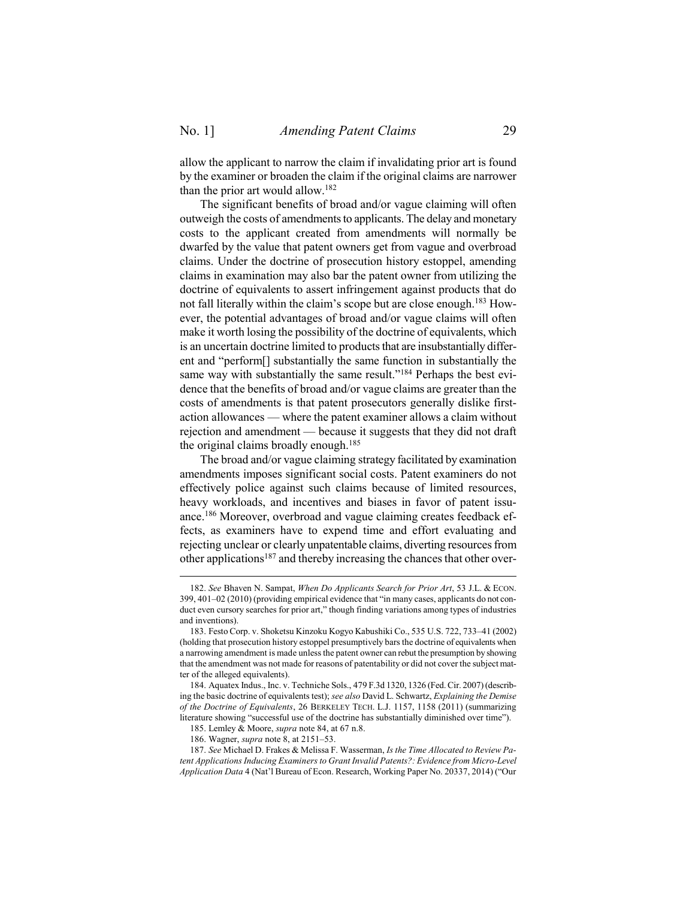$\overline{a}$ 

allow the applicant to narrow the claim if invalidating prior art is found by the examiner or broaden the claim if the original claims are narrower than the prior art would allow.<sup>182</sup>

The significant benefits of broad and/or vague claiming will often outweigh the costs of amendments to applicants. The delay and monetary costs to the applicant created from amendments will normally be dwarfed by the value that patent owners get from vague and overbroad claims. Under the doctrine of prosecution history estoppel, amending claims in examination may also bar the patent owner from utilizing the doctrine of equivalents to assert infringement against products that do not fall literally within the claim's scope but are close enough.<sup>183</sup> However, the potential advantages of broad and/or vague claims will often make it worth losing the possibility of the doctrine of equivalents, which is an uncertain doctrine limited to products that are insubstantially different and "perform[] substantially the same function in substantially the same way with substantially the same result."<sup>184</sup> Perhaps the best evidence that the benefits of broad and/or vague claims are greater than the costs of amendments is that patent prosecutors generally dislike firstaction allowances — where the patent examiner allows a claim without rejection and amendment — because it suggests that they did not draft the original claims broadly enough.<sup>185</sup>

The broad and/or vague claiming strategy facilitated by examination amendments imposes significant social costs. Patent examiners do not effectively police against such claims because of limited resources, heavy workloads, and incentives and biases in favor of patent issuance.<sup>186</sup> Moreover, overbroad and vague claiming creates feedback effects, as examiners have to expend time and effort evaluating and rejecting unclear or clearly unpatentable claims, diverting resources from other applications<sup>187</sup> and thereby increasing the chances that other over-

<sup>182.</sup> *See* Bhaven N. Sampat, *When Do Applicants Search for Prior Art*, 53 J.L. & ECON. 399, 401–02 (2010) (providing empirical evidence that "in many cases, applicants do not conduct even cursory searches for prior art," though finding variations among types of industries and inventions).

<sup>183.</sup> Festo Corp. v. Shoketsu Kinzoku Kogyo Kabushiki Co., 535 U.S. 722, 733–41 (2002) (holding that prosecution history estoppel presumptively bars the doctrine of equivalents when a narrowing amendment is made unless the patent owner can rebut the presumption by showing that the amendment was not made for reasons of patentability or did not cover the subject matter of the alleged equivalents).

<sup>184.</sup> Aquatex Indus., Inc. v. Techniche Sols., 479 F.3d 1320, 1326 (Fed. Cir. 2007) (describing the basic doctrine of equivalents test); *see also* David L. Schwartz, *Explaining the Demise of the Doctrine of Equivalents*, 26 BERKELEY TECH. L.J. 1157, 1158 (2011) (summarizing literature showing "successful use of the doctrine has substantially diminished over time").

<sup>185.</sup> Lemley & Moore, *supra* not[e 84,](#page-13-0) at 67 n.8.

<sup>186.</sup> Wagner, *supra* not[e 8,](#page-2-0) at 2151–53.

<sup>187.</sup> *See* Michael D. Frakes & Melissa F. Wasserman, *Is the Time Allocated to Review Patent Applications Inducing Examiners to Grant Invalid Patents?: Evidence from Micro-Level Application Data* 4 (Nat'l Bureau of Econ. Research, Working Paper No. 20337, 2014) ("Our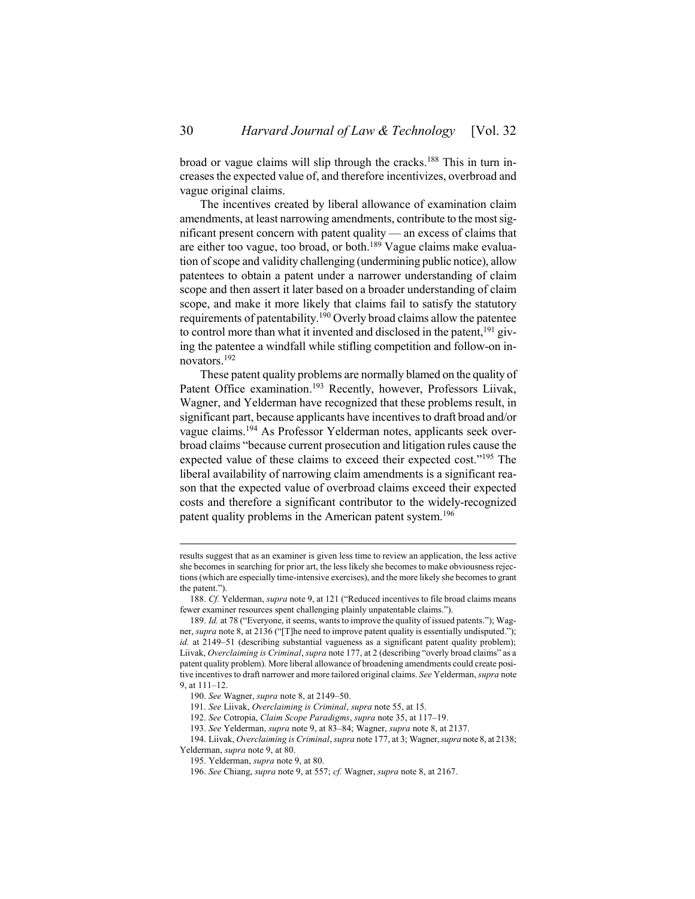broad or vague claims will slip through the cracks. <sup>188</sup> This in turn increases the expected value of, and therefore incentivizes, overbroad and vague original claims.

The incentives created by liberal allowance of examination claim amendments, at least narrowing amendments, contribute to the most significant present concern with patent quality — an excess of claims that are either too vague, too broad, or both.<sup>189</sup> Vague claims make evaluation of scope and validity challenging (undermining public notice), allow patentees to obtain a patent under a narrower understanding of claim scope and then assert it later based on a broader understanding of claim scope, and make it more likely that claims fail to satisfy the statutory requirements of patentability.<sup>190</sup> Overly broad claims allow the patentee to control more than what it invented and disclosed in the patent,  $191$  giving the patentee a windfall while stifling competition and follow-on innovators.<sup>192</sup>

These patent quality problems are normally blamed on the quality of Patent Office examination.<sup>193</sup> Recently, however, Professors Liivak, Wagner, and Yelderman have recognized that these problems result, in significant part, because applicants have incentives to draft broad and/or vague claims.<sup>194</sup> As Professor Yelderman notes, applicants seek overbroad claims "because current prosecution and litigation rules cause the expected value of these claims to exceed their expected cost."<sup>195</sup> The liberal availability of narrowing claim amendments is a significant reason that the expected value of overbroad claims exceed their expected costs and therefore a significant contributor to the widely-recognized patent quality problems in the American patent system. 196

results suggest that as an examiner is given less time to review an application, the less active she becomes in searching for prior art, the less likely she becomes to make obviousness rejections (which are especially time-intensive exercises), and the more likely she becomes to grant the patent.").

<sup>188.</sup> *Cf.* Yelderman, *supra* not[e 9](#page-2-1), at 121 ("Reduced incentives to file broad claims means fewer examiner resources spent challenging plainly unpatentable claims.").

<sup>189.</sup> *Id.* at 78 ("Everyone, it seems, wants to improve the quality of issued patents."); Wagner, *supra* not[e 8](#page-2-0), at 2136 ("[T]he need to improve patent quality is essentially undisputed."); id. at 2149–51 (describing substantial vagueness as a significant patent quality problem); Liivak, *Overclaiming is Criminal*, *supra* not[e 177](#page-27-0), at 2 (describing "overly broad claims" as a patent quality problem). More liberal allowance of broadening amendments could create positive incentives to draft narrower and more tailored original claims. *See* Yelderman, *supra* note [9,](#page-2-1) at 111–12.

<sup>190.</sup> *See* Wagner, *supra* not[e 8,](#page-2-0) at 2149–50.

<sup>191.</sup> *See* Liivak, *Overclaiming is Criminal*, *supra* not[e 55,](#page-9-1) at 15.

<sup>192.</sup> *See* Cotropia, *Claim Scope Paradigms*, *supra* not[e 35,](#page-7-3) at 117–19.

<sup>193.</sup> *See* Yelderman, *supra* not[e 9,](#page-2-1) at 83–84; Wagner, *supra* not[e 8,](#page-2-0) at 2137.

<sup>194.</sup> Liivak, *Overclaiming is Criminal*, *supra* not[e 177,](#page-27-0) at 3; Wagner, *supra* not[e 8,](#page-2-0) at 2138; Yelderman, *supra* not[e 9,](#page-2-1) at 80.

<sup>195.</sup> Yelderman, *supra* not[e 9,](#page-2-1) at 80.

<sup>196.</sup> *See* Chiang, *supra* note [9,](#page-2-1) at 557; *cf.* Wagner, *supra* not[e 8,](#page-2-0) at 2167.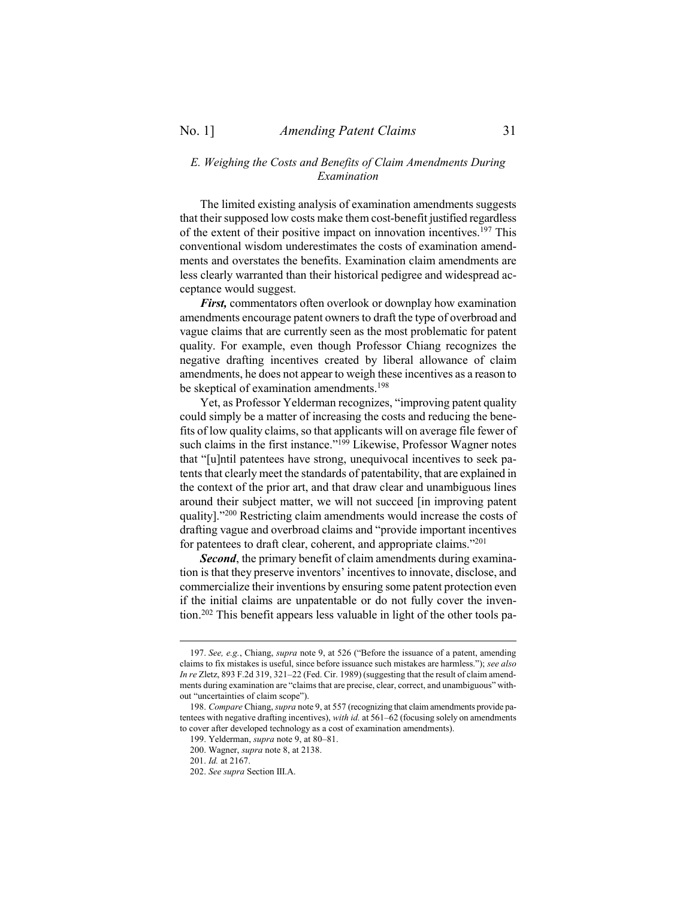# <span id="page-30-0"></span>*E. Weighing the Costs and Benefits of Claim Amendments During Examination*

The limited existing analysis of examination amendments suggests that their supposed low costs make them cost-benefit justified regardless of the extent of their positive impact on innovation incentives.<sup>197</sup> This conventional wisdom underestimates the costs of examination amendments and overstates the benefits. Examination claim amendments are less clearly warranted than their historical pedigree and widespread acceptance would suggest.

*First,* commentators often overlook or downplay how examination amendments encourage patent owners to draft the type of overbroad and vague claims that are currently seen as the most problematic for patent quality. For example, even though Professor Chiang recognizes the negative drafting incentives created by liberal allowance of claim amendments, he does not appear to weigh these incentives as a reason to be skeptical of examination amendments. 198

Yet, as Professor Yelderman recognizes, "improving patent quality could simply be a matter of increasing the costs and reducing the benefits of low quality claims, so that applicants will on average file fewer of such claims in the first instance."<sup>199</sup> Likewise, Professor Wagner notes that "[u]ntil patentees have strong, unequivocal incentives to seek patents that clearly meet the standards of patentability, that are explained in the context of the prior art, and that draw clear and unambiguous lines around their subject matter, we will not succeed [in improving patent quality]."<sup>200</sup> Restricting claim amendments would increase the costs of drafting vague and overbroad claims and "provide important incentives for patentees to draft clear, coherent, and appropriate claims."<sup>201</sup>

*Second*, the primary benefit of claim amendments during examination is that they preserve inventors' incentives to innovate, disclose, and commercialize their inventions by ensuring some patent protection even if the initial claims are unpatentable or do not fully cover the invention. <sup>202</sup> This benefit appears less valuable in light of the other tools pa-

<sup>197.</sup> *See, e.g.*, Chiang, *supra* not[e 9](#page-2-1), at 526 ("Before the issuance of a patent, amending claims to fix mistakes is useful, since before issuance such mistakes are harmless."); *see also In re* Zletz, 893 F.2d 319, 321–22 (Fed. Cir. 1989) (suggesting that the result of claim amendments during examination are "claims that are precise, clear, correct, and unambiguous" without "uncertainties of claim scope").

<sup>198.</sup> *Compare* Chiang, *supra* not[e 9,](#page-2-1) at 557 (recognizing that claim amendments provide patentees with negative drafting incentives), *with id.* at 561–62 (focusing solely on amendments to cover after developed technology as a cost of examination amendments).

<sup>199.</sup> Yelderman, *supra* not[e 9,](#page-2-1) at 80–81.

<sup>200.</sup> Wagner, *supra* not[e 8,](#page-2-0) at 2138.

<sup>201.</sup> *Id.* at 2167.

<sup>202.</sup> *See supra* Section [III.](#page-19-0)[A.](#page-19-1)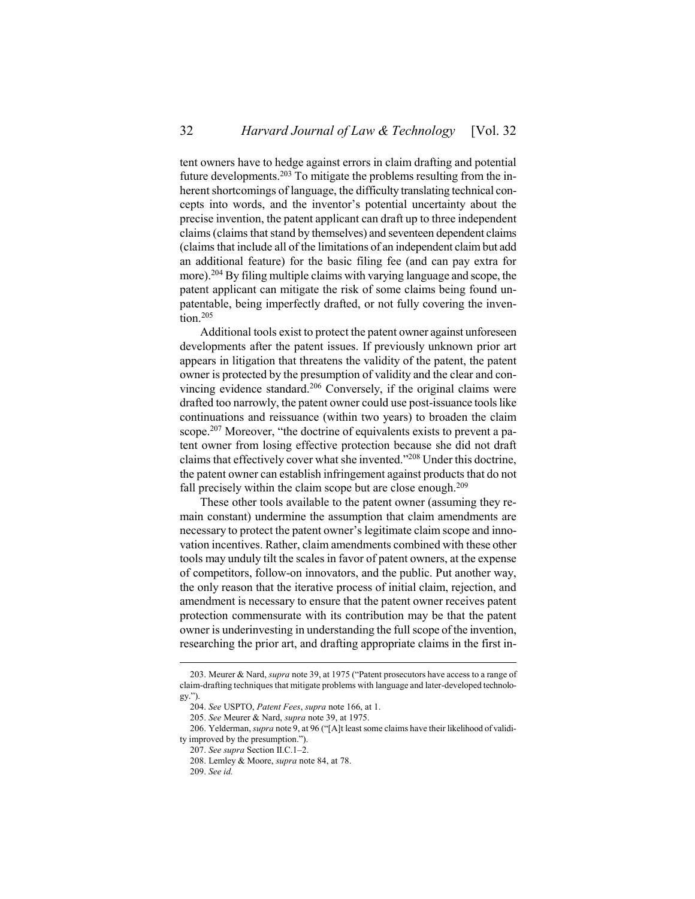tent owners have to hedge against errors in claim drafting and potential future developments.<sup>203</sup> To mitigate the problems resulting from the inherent shortcomings of language, the difficulty translating technical concepts into words, and the inventor's potential uncertainty about the precise invention, the patent applicant can draft up to three independent claims (claims that stand by themselves) and seventeen dependent claims (claims that include all of the limitations of an independent claim but add an additional feature) for the basic filing fee (and can pay extra for more).<sup>204</sup> By filing multiple claims with varying language and scope, the patent applicant can mitigate the risk of some claims being found unpatentable, being imperfectly drafted, or not fully covering the invention.<sup>205</sup>

Additional tools exist to protect the patent owner against unforeseen developments after the patent issues. If previously unknown prior art appears in litigation that threatens the validity of the patent, the patent owner is protected by the presumption of validity and the clear and convincing evidence standard.<sup>206</sup> Conversely, if the original claims were drafted too narrowly, the patent owner could use post-issuance tools like continuations and reissuance (within two years) to broaden the claim scope.<sup>207</sup> Moreover, "the doctrine of equivalents exists to prevent a patent owner from losing effective protection because she did not draft claims that effectively cover what she invented."<sup>208</sup> Under this doctrine, the patent owner can establish infringement against products that do not fall precisely within the claim scope but are close enough.<sup>209</sup>

These other tools available to the patent owner (assuming they remain constant) undermine the assumption that claim amendments are necessary to protect the patent owner's legitimate claim scope and innovation incentives. Rather, claim amendments combined with these other tools may unduly tilt the scales in favor of patent owners, at the expense of competitors, follow-on innovators, and the public. Put another way, the only reason that the iterative process of initial claim, rejection, and amendment is necessary to ensure that the patent owner receives patent protection commensurate with its contribution may be that the patent owner is underinvesting in understanding the full scope of the invention, researching the prior art, and drafting appropriate claims in the first in-

<sup>203.</sup> Meurer & Nard, *supra* not[e 39](#page-8-2), at 1975 ("Patent prosecutors have access to a range of claim-drafting techniques that mitigate problems with language and later-developed technology.").

<sup>204.</sup> *See* USPTO, *Patent Fees*, *supra* note [166,](#page-25-0) at 1.

<sup>205.</sup> *See* Meurer & Nard, *supra* not[e 39,](#page-8-2) at 1975.

<sup>206.</sup> Yelderman, *supra* not[e 9](#page-2-1), at 96 ("[A]t least some claims have their likelihood of validity improved by the presumption.").

<sup>207.</sup> *See supra* Section [II.](#page-7-0)[C](#page-10-0)[.1](#page-11-0)–[2.](#page-12-0)

<sup>208.</sup> Lemley & Moore, *supra* not[e 84,](#page-13-0) at 78.

<sup>209.</sup> *See id.*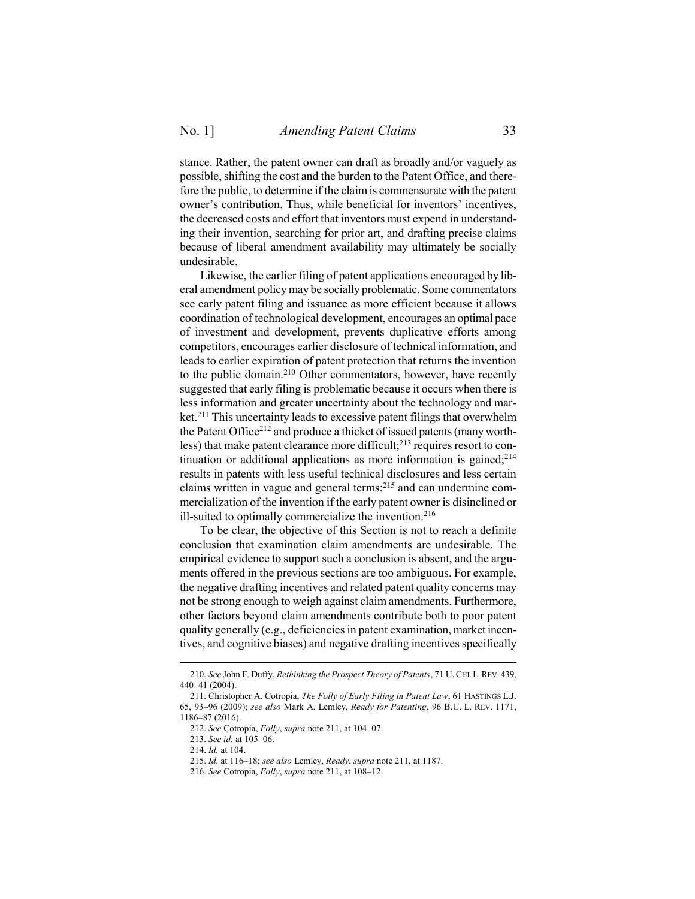stance. Rather, the patent owner can draft as broadly and/or vaguely as possible, shifting the cost and the burden to the Patent Office, and therefore the public, to determine if the claim is commensurate with the patent owner's contribution. Thus, while beneficial for inventors' incentives, the decreased costs and effort that inventors must expend in understanding their invention, searching for prior art, and drafting precise claims because of liberal amendment availability may ultimately be socially undesirable.

Likewise, the earlier filing of patent applications encouraged by liberal amendment policy may be socially problematic. Some commentators see early patent filing and issuance as more efficient because it allows coordination of technological development, encourages an optimal pace of investment and development, prevents duplicative efforts among competitors, encourages earlier disclosure of technical information, and leads to earlier expiration of patent protection that returns the invention to the public domain.<sup>210</sup> Other commentators, however, have recently suggested that early filing is problematic because it occurs when there is less information and greater uncertainty about the technology and market.<sup>211</sup> This uncertainty leads to excessive patent filings that overwhelm the Patent Office<sup>212</sup> and produce a thicket of issued patents (many worthless) that make patent clearance more difficult;<sup>213</sup> requires resort to continuation or additional applications as more information is gained;<sup>214</sup> results in patents with less useful technical disclosures and less certain claims written in vague and general terms;<sup>215</sup> and can undermine commercialization of the invention if the early patent owner is disinclined or ill-suited to optimally commercialize the invention.<sup>216</sup>

<span id="page-32-0"></span>To be clear, the objective of this Section is not to reach a definite conclusion that examination claim amendments are undesirable. The empirical evidence to support such a conclusion is absent, and the arguments offered in the previous sections are too ambiguous. For example, the negative drafting incentives and related patent quality concerns may not be strong enough to weigh against claim amendments. Furthermore, other factors beyond claim amendments contribute both to poor patent quality generally (e.g., deficiencies in patent examination, market incentives, and cognitive biases) and negative drafting incentives specifically

<sup>210.</sup> *See* John F. Duffy, *Rethinking the Prospect Theory of Patents*, 71 U.CHI.L.REV. 439, 440–41 (2004).

<sup>211.</sup> Christopher A. Cotropia, *The Folly of Early Filing in Patent Law*, 61 HASTINGS L.J. 65, 93–96 (2009); *see also* Mark A. Lemley, *Ready for Patenting*, 96 B.U. L. REV. 1171, 1186–87 (2016).

<sup>212.</sup> *See* Cotropia, *Folly*, *supra* not[e 211,](#page-32-0) at 104–07.

<sup>213.</sup> *See id.* at 105–06.

<sup>214.</sup> *Id.* at 104.

<sup>215.</sup> *Id.* at 116–18; *see also* Lemley, *Ready*, *supra* note [211,](#page-32-0) at 1187.

<sup>216.</sup> *See* Cotropia, *Folly*, *supra* not[e 211,](#page-32-0) at 108–12.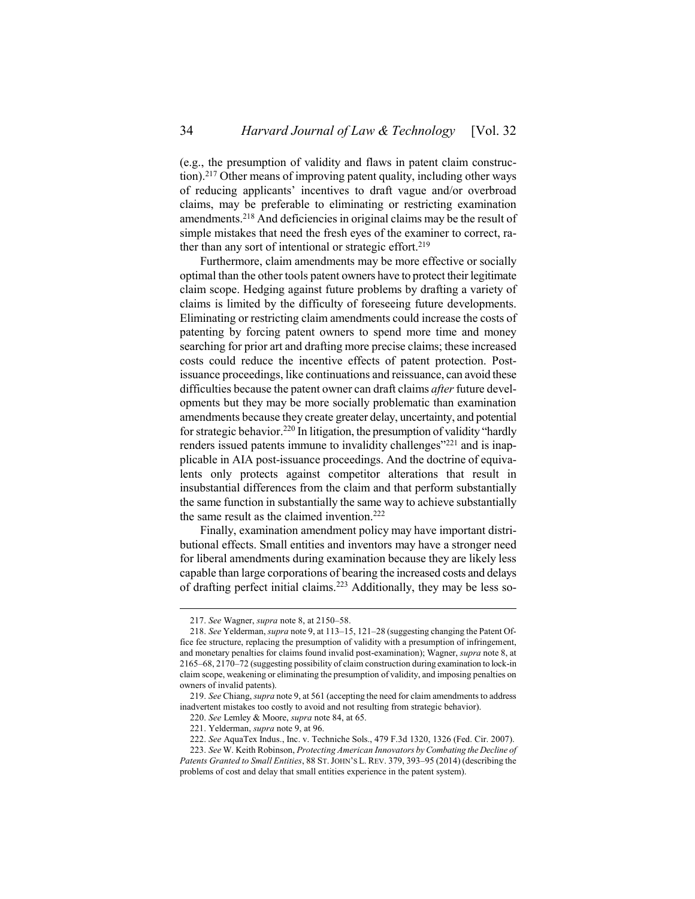(e.g., the presumption of validity and flaws in patent claim construction). <sup>217</sup> Other means of improving patent quality, including other ways of reducing applicants' incentives to draft vague and/or overbroad claims, may be preferable to eliminating or restricting examination amendments.<sup>218</sup> And deficiencies in original claims may be the result of simple mistakes that need the fresh eyes of the examiner to correct, rather than any sort of intentional or strategic effort.<sup>219</sup>

Furthermore, claim amendments may be more effective or socially optimal than the other tools patent owners have to protect their legitimate claim scope. Hedging against future problems by drafting a variety of claims is limited by the difficulty of foreseeing future developments. Eliminating or restricting claim amendments could increase the costs of patenting by forcing patent owners to spend more time and money searching for prior art and drafting more precise claims; these increased costs could reduce the incentive effects of patent protection. Postissuance proceedings, like continuations and reissuance, can avoid these difficulties because the patent owner can draft claims *after*future developments but they may be more socially problematic than examination amendments because they create greater delay, uncertainty, and potential for strategic behavior.<sup>220</sup> In litigation, the presumption of validity "hardly renders issued patents immune to invalidity challenges"<sup>221</sup> and is inapplicable in AIA post-issuance proceedings. And the doctrine of equivalents only protects against competitor alterations that result in insubstantial differences from the claim and that perform substantially the same function in substantially the same way to achieve substantially the same result as the claimed invention.<sup>222</sup>

Finally, examination amendment policy may have important distributional effects. Small entities and inventors may have a stronger need for liberal amendments during examination because they are likely less capable than large corporations of bearing the increased costs and delays of drafting perfect initial claims.<sup>223</sup> Additionally, they may be less so-

<sup>217.</sup> *See* Wagner, *supra* not[e 8,](#page-2-0) at 2150–58.

<sup>218.</sup> *See* Yelderman, *supra* not[e 9,](#page-2-1) at 113–15, 121–28 (suggesting changing the Patent Office fee structure, replacing the presumption of validity with a presumption of infringement, and monetary penalties for claims found invalid post-examination); Wagner, *supra* not[e 8,](#page-2-0) at 2165–68, 2170–72 (suggesting possibility of claim construction during examination to lock-in claim scope, weakening or eliminating the presumption of validity, and imposing penalties on owners of invalid patents).

<sup>219.</sup> *See* Chiang, *supra* not[e 9,](#page-2-1) at 561 (accepting the need for claim amendments to address inadvertent mistakes too costly to avoid and not resulting from strategic behavior).

<sup>220.</sup> *See* Lemley & Moore, *supra* note [84,](#page-13-0) at 65.

<sup>221.</sup> Yelderman, *supra* not[e 9,](#page-2-1) at 96.

<sup>222.</sup> *See* AquaTex Indus., Inc. v. Techniche Sols., 479 F.3d 1320, 1326 (Fed. Cir. 2007).

<sup>223.</sup> *See* W. Keith Robinson, *Protecting American Innovators by Combating the Decline of Patents Granted to Small Entities*, 88 ST.JOHN'S L. REV. 379, 393–95 (2014) (describing the problems of cost and delay that small entities experience in the patent system).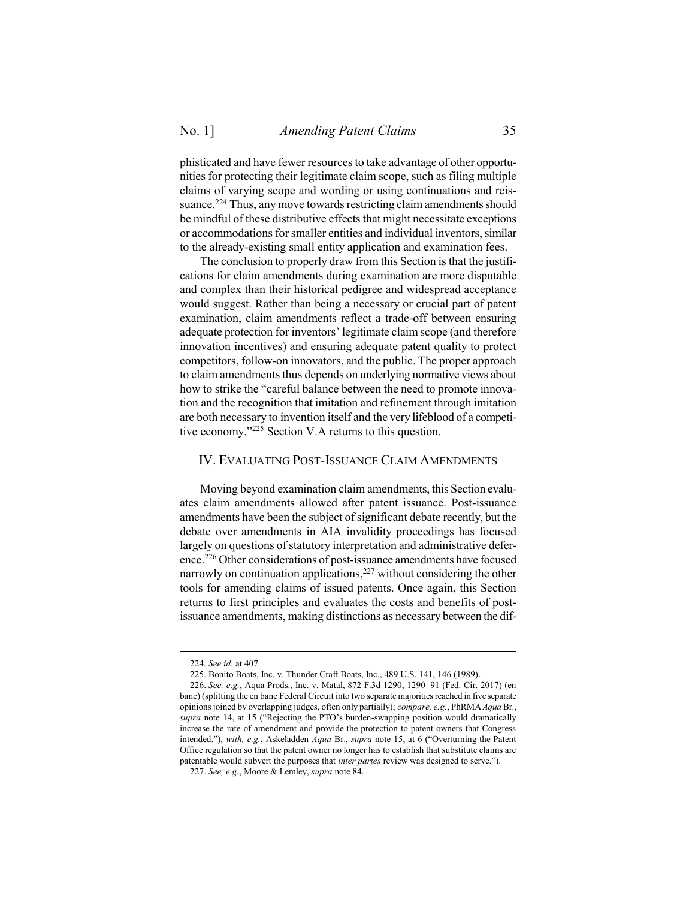phisticated and have fewer resources to take advantage of other opportunities for protecting their legitimate claim scope, such as filing multiple claims of varying scope and wording or using continuations and reissuance.<sup>224</sup> Thus, any move towards restricting claim amendments should be mindful of these distributive effects that might necessitate exceptions or accommodations for smaller entities and individual inventors, similar to the already-existing small entity application and examination fees.

The conclusion to properly draw from this Section is that the justifications for claim amendments during examination are more disputable and complex than their historical pedigree and widespread acceptance would suggest. Rather than being a necessary or crucial part of patent examination, claim amendments reflect a trade-off between ensuring adequate protection for inventors' legitimate claim scope (and therefore innovation incentives) and ensuring adequate patent quality to protect competitors, follow-on innovators, and the public. The proper approach to claim amendments thus depends on underlying normative views about how to strike the "careful balance between the need to promote innovation and the recognition that imitation and refinement through imitation are both necessary to invention itself and the very lifeblood of a competitive economy."<sup>225</sup> Section V.A returns to this question.

### <span id="page-34-0"></span>IV. EVALUATING POST-ISSUANCE CLAIM AMENDMENTS

Moving beyond examination claim amendments, this Section evaluates claim amendments allowed after patent issuance. Post-issuance amendments have been the subject of significant debate recently, but the debate over amendments in AIA invalidity proceedings has focused largely on questions of statutory interpretation and administrative deference.<sup>226</sup> Other considerations of post-issuance amendments have focused narrowly on continuation applications, $227$  without considering the other tools for amending claims of issued patents. Once again, this Section returns to first principles and evaluates the costs and benefits of postissuance amendments, making distinctions as necessary between the dif-

<sup>224.</sup> *See id.* at 407.

<sup>225.</sup> Bonito Boats, Inc. v. Thunder Craft Boats, Inc., 489 U.S. 141, 146 (1989).

<sup>226.</sup> *See, e.g.*, Aqua Prods., Inc. v. Matal, 872 F.3d 1290, 1290–91 (Fed. Cir. 2017) (en banc) (splitting the en banc Federal Circuit into two separate majorities reached in five separate opinions joined by overlapping judges, often only partially); *compare, e.g.*, PhRMA *Aqua* Br., *supra* note [14](#page-3-0), at 15 ("Rejecting the PTO's burden-swapping position would dramatically increase the rate of amendment and provide the protection to patent owners that Congress intended."), *with, e.g.*, Askeladden *Aqua* Br., *supra* note [15](#page-3-1), at 6 ("Overturning the Patent Office regulation so that the patent owner no longer has to establish that substitute claims are patentable would subvert the purposes that *inter partes* review was designed to serve.").

<sup>227.</sup> *See, e.g.*, Moore & Lemley, *supra* not[e 84.](#page-13-0)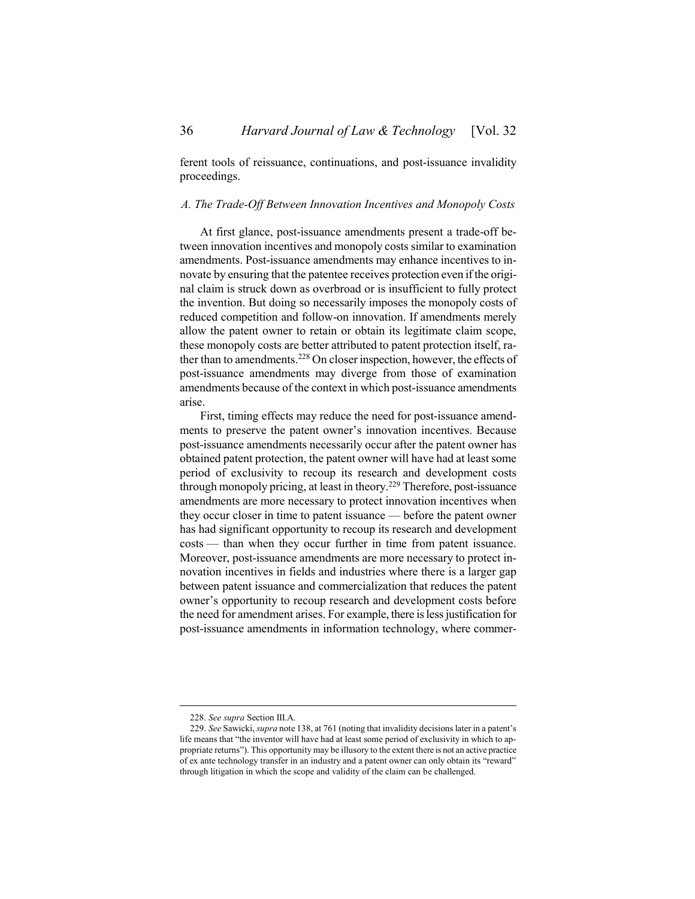ferent tools of reissuance, continuations, and post-issuance invalidity proceedings.

#### <span id="page-35-0"></span>*A. The Trade-Off Between Innovation Incentives and Monopoly Costs*

At first glance, post-issuance amendments present a trade-off between innovation incentives and monopoly costs similar to examination amendments. Post-issuance amendments may enhance incentives to innovate by ensuring that the patentee receives protection even if the original claim is struck down as overbroad or is insufficient to fully protect the invention. But doing so necessarily imposes the monopoly costs of reduced competition and follow-on innovation. If amendments merely allow the patent owner to retain or obtain its legitimate claim scope, these monopoly costs are better attributed to patent protection itself, rather than to amendments.<sup>228</sup> On closer inspection, however, the effects of post-issuance amendments may diverge from those of examination amendments because of the context in which post-issuance amendments arise.

First, timing effects may reduce the need for post-issuance amendments to preserve the patent owner's innovation incentives. Because post-issuance amendments necessarily occur after the patent owner has obtained patent protection, the patent owner will have had at least some period of exclusivity to recoup its research and development costs through monopoly pricing, at least in theory. <sup>229</sup> Therefore, post-issuance amendments are more necessary to protect innovation incentives when they occur closer in time to patent issuance — before the patent owner has had significant opportunity to recoup its research and development costs — than when they occur further in time from patent issuance. Moreover, post-issuance amendments are more necessary to protect innovation incentives in fields and industries where there is a larger gap between patent issuance and commercialization that reduces the patent owner's opportunity to recoup research and development costs before the need for amendment arises. For example, there is less justification for post-issuance amendments in information technology, where commer-

<sup>228.</sup> *See supra* Section [III.](#page-19-0)[A.](#page-19-1)

<sup>229.</sup> *See* Sawicki, *supra* not[e 138](#page-20-0), at 761 (noting that invalidity decisions later in a patent's life means that "the inventor will have had at least some period of exclusivity in which to appropriate returns"). This opportunity may be illusory to the extent there is not an active practice of ex ante technology transfer in an industry and a patent owner can only obtain its "reward" through litigation in which the scope and validity of the claim can be challenged.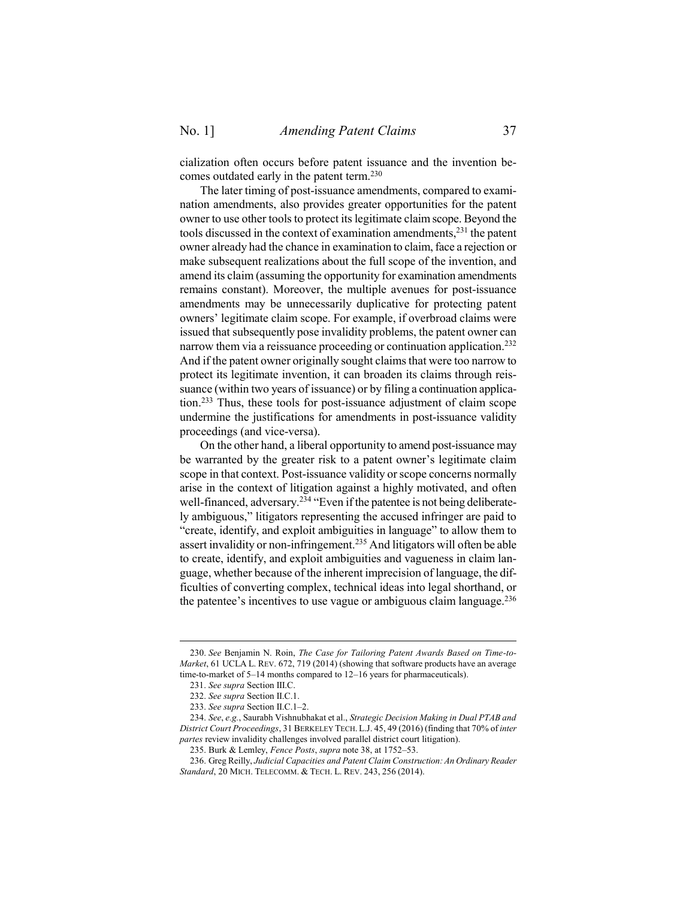cialization often occurs before patent issuance and the invention becomes outdated early in the patent term. 230

The later timing of post-issuance amendments, compared to examination amendments, also provides greater opportunities for the patent owner to use other tools to protect its legitimate claim scope. Beyond the tools discussed in the context of examination amendments,<sup>231</sup> the patent owner already had the chance in examination to claim, face a rejection or make subsequent realizations about the full scope of the invention, and amend its claim (assuming the opportunity for examination amendments remains constant). Moreover, the multiple avenues for post-issuance amendments may be unnecessarily duplicative for protecting patent owners' legitimate claim scope. For example, if overbroad claims were issued that subsequently pose invalidity problems, the patent owner can narrow them via a reissuance proceeding or continuation application.<sup>232</sup> And if the patent owner originally sought claims that were too narrow to protect its legitimate invention, it can broaden its claims through reissuance (within two years of issuance) or by filing a continuation application. <sup>233</sup> Thus, these tools for post-issuance adjustment of claim scope undermine the justifications for amendments in post-issuance validity proceedings (and vice-versa).

On the other hand, a liberal opportunity to amend post-issuance may be warranted by the greater risk to a patent owner's legitimate claim scope in that context. Post-issuance validity or scope concerns normally arise in the context of litigation against a highly motivated, and often well-financed, adversary.<sup>234</sup> "Even if the patentee is not being deliberately ambiguous," litigators representing the accused infringer are paid to "create, identify, and exploit ambiguities in language" to allow them to assert invalidity or non-infringement.<sup>235</sup> And litigators will often be able to create, identify, and exploit ambiguities and vagueness in claim language, whether because of the inherent imprecision of language, the difficulties of converting complex, technical ideas into legal shorthand, or the patentee's incentives to use vague or ambiguous claim language. $236$ 

<sup>230.</sup> *See* Benjamin N. Roin, *The Case for Tailoring Patent Awards Based on Time-to-Market*, 61 UCLA L. REV. 672, 719 (2014) (showing that software products have an average time-to-market of 5–14 months compared to 12–16 years for pharmaceuticals).

<sup>231.</sup> *See supra* Section [III.](#page-19-0)[C.](#page-24-0) 

<sup>232.</sup> *See supra* Section [II.](#page-7-0)[C](#page-10-0)[.1.](#page-11-0)

<sup>233.</sup> *See supra* Section [II.](#page-7-0)[C](#page-10-0)[.1](#page-11-0)–[2.](#page-12-0)

<sup>234.</sup> *See*, *e.g.*, Saurabh Vishnubhakat et al., *Strategic Decision Making in Dual PTAB and District Court Proceedings*, 31 BERKELEY TECH. L.J. 45, 49 (2016) (finding that 70% of *inter partes* review invalidity challenges involved parallel district court litigation).

<sup>235.</sup> Burk & Lemley, *Fence Posts*, *supra* note [38,](#page-7-4) at 1752–53.

<sup>236.</sup> Greg Reilly, *Judicial Capacities and Patent Claim Construction: An Ordinary Reader Standard*, 20 MICH. TELECOMM. & TECH. L. REV. 243, 256 (2014).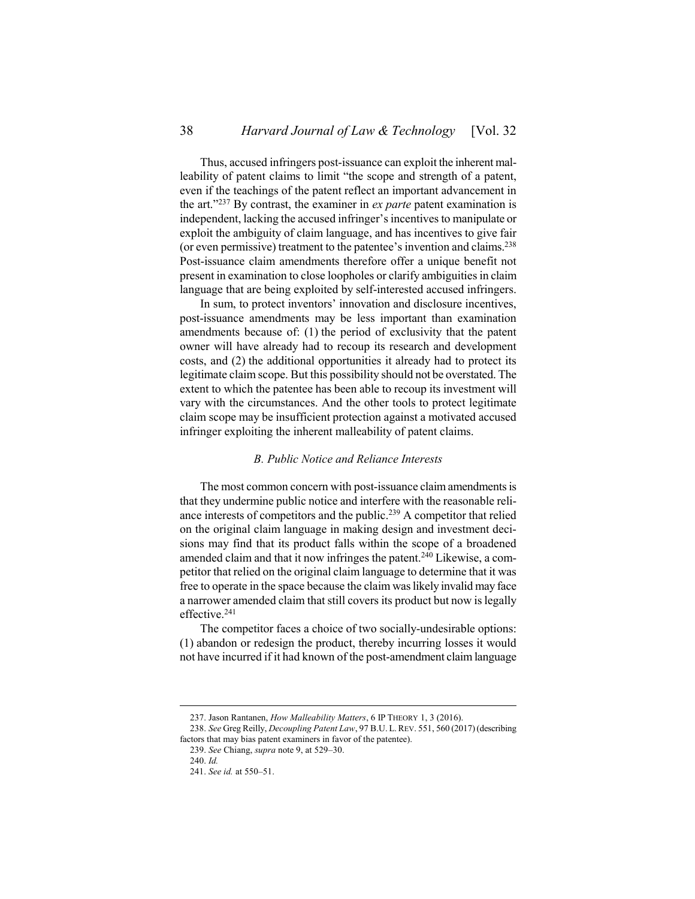Thus, accused infringers post-issuance can exploit the inherent malleability of patent claims to limit "the scope and strength of a patent, even if the teachings of the patent reflect an important advancement in the art."<sup>237</sup> By contrast, the examiner in *ex parte* patent examination is independent, lacking the accused infringer's incentives to manipulate or exploit the ambiguity of claim language, and has incentives to give fair (or even permissive) treatment to the patentee's invention and claims.<sup>238</sup> Post-issuance claim amendments therefore offer a unique benefit not present in examination to close loopholes or clarify ambiguities in claim language that are being exploited by self-interested accused infringers.

In sum, to protect inventors' innovation and disclosure incentives, post-issuance amendments may be less important than examination amendments because of: (1) the period of exclusivity that the patent owner will have already had to recoup its research and development costs, and (2) the additional opportunities it already had to protect its legitimate claim scope. But this possibility should not be overstated. The extent to which the patentee has been able to recoup its investment will vary with the circumstances. And the other tools to protect legitimate claim scope may be insufficient protection against a motivated accused infringer exploiting the inherent malleability of patent claims.

### <span id="page-37-1"></span>*B. Public Notice and Reliance Interests*

<span id="page-37-0"></span>The most common concern with post-issuance claim amendments is that they undermine public notice and interfere with the reasonable reliance interests of competitors and the public.<sup>239</sup> A competitor that relied on the original claim language in making design and investment decisions may find that its product falls within the scope of a broadened amended claim and that it now infringes the patent.<sup>240</sup> Likewise, a competitor that relied on the original claim language to determine that it was free to operate in the space because the claim was likely invalid may face a narrower amended claim that still covers its product but now is legally effective.<sup>241</sup>

The competitor faces a choice of two socially-undesirable options: (1) abandon or redesign the product, thereby incurring losses it would not have incurred if it had known of the post-amendment claim language

240. *Id.*

<sup>237.</sup> Jason Rantanen, *How Malleability Matters*, 6 IP THEORY 1, 3 (2016).

<sup>238.</sup> *See* Greg Reilly, *Decoupling Patent Law*, 97 B.U. L. REV. 551, 560 (2017) (describing factors that may bias patent examiners in favor of the patentee).

<sup>239.</sup> *See* Chiang, *supra* note [9,](#page-2-1) at 529–30.

<sup>241.</sup> *See id.* at 550–51.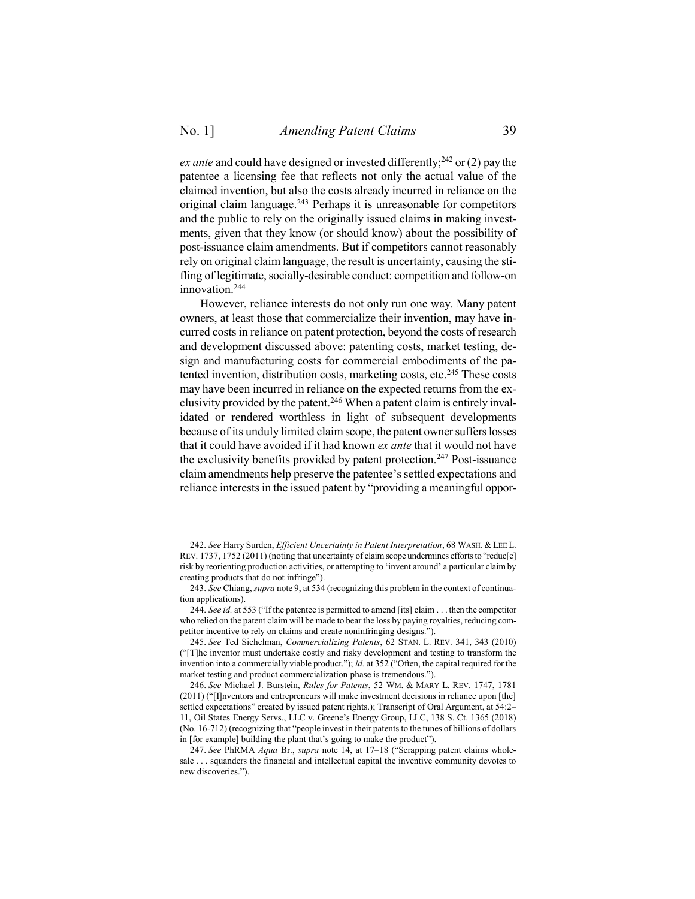$\overline{a}$ 

*ex ante* and could have designed or invested differently;<sup>242</sup> or (2) pay the patentee a licensing fee that reflects not only the actual value of the claimed invention, but also the costs already incurred in reliance on the original claim language.<sup>243</sup> Perhaps it is unreasonable for competitors and the public to rely on the originally issued claims in making investments, given that they know (or should know) about the possibility of post-issuance claim amendments. But if competitors cannot reasonably rely on original claim language, the result is uncertainty, causing the stifling of legitimate, socially-desirable conduct: competition and follow-on innovation. 244

<span id="page-38-0"></span>However, reliance interests do not only run one way. Many patent owners, at least those that commercialize their invention, may have incurred costs in reliance on patent protection, beyond the costs of research and development discussed above: patenting costs, market testing, design and manufacturing costs for commercial embodiments of the patented invention, distribution costs, marketing costs, etc.<sup>245</sup> These costs may have been incurred in reliance on the expected returns from the exclusivity provided by the patent.<sup>246</sup> When a patent claim is entirely invalidated or rendered worthless in light of subsequent developments because of its unduly limited claim scope, the patent owner suffers losses that it could have avoided if it had known *ex ante* that it would not have the exclusivity benefits provided by patent protection.<sup>247</sup> Post-issuance claim amendments help preserve the patentee's settled expectations and reliance interests in the issued patent by "providing a meaningful oppor-

<sup>242.</sup> *See* Harry Surden, *Efficient Uncertainty in Patent Interpretation*, 68 WASH. & LEE L. REV. 1737, 1752 (2011) (noting that uncertainty of claim scope undermines efforts to "reduc[e] risk by reorienting production activities, or attempting to 'invent around' a particular claim by creating products that do not infringe").

<sup>243.</sup> *See* Chiang, *supra* note [9,](#page-2-1) at 534 (recognizing this problem in the context of continuation applications).

<sup>244.</sup> *See id.* at 553 ("If the patentee is permitted to amend [its] claim . . . then the competitor who relied on the patent claim will be made to bear the loss by paying royalties, reducing competitor incentive to rely on claims and create noninfringing designs.").

<sup>245.</sup> *See* Ted Sichelman, *Commercializing Patents*, 62 STAN. L. REV. 341, 343 (2010) ("[T]he inventor must undertake costly and risky development and testing to transform the invention into a commercially viable product."); *id.* at 352 ("Often, the capital required for the market testing and product commercialization phase is tremendous.").

<sup>246.</sup> *See* Michael J. Burstein, *Rules for Patents*, 52 WM. & MARY L. REV. 1747, 1781 (2011) ("[I]nventors and entrepreneurs will make investment decisions in reliance upon [the] settled expectations" created by issued patent rights.); Transcript of Oral Argument, at 54:2-11, Oil States Energy Servs., LLC v. Greene's Energy Group, LLC, 138 S. Ct. 1365 (2018) (No. 16-712) (recognizing that "people invest in their patents to the tunes of billions of dollars in [for example] building the plant that's going to make the product").

<sup>247.</sup> *See* PhRMA *Aqua* Br., *supra* note [14,](#page-3-0) at 17–18 ("Scrapping patent claims wholesale . . . squanders the financial and intellectual capital the inventive community devotes to new discoveries.").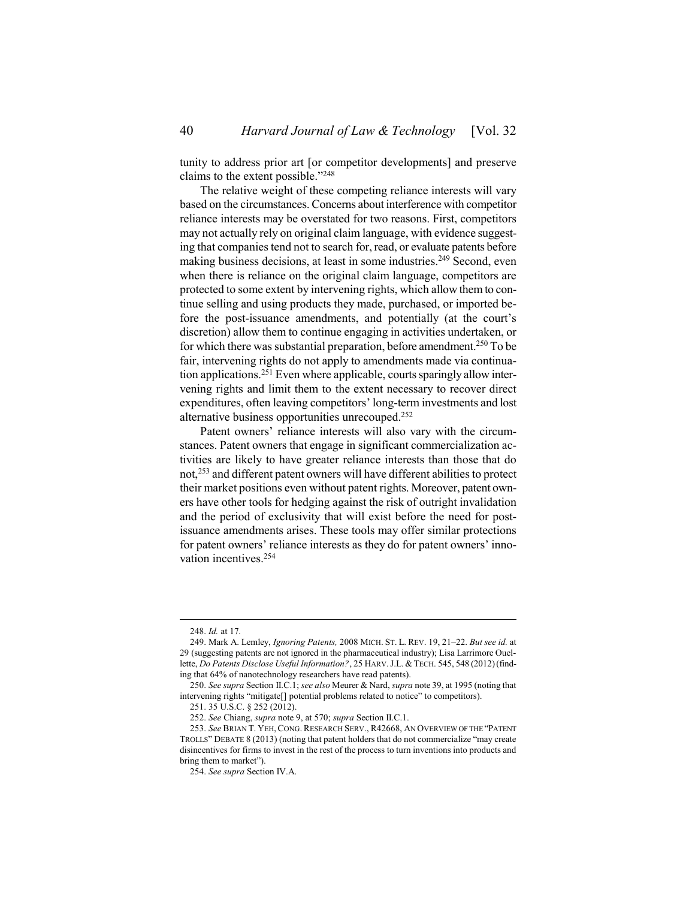tunity to address prior art [or competitor developments] and preserve claims to the extent possible." 248

The relative weight of these competing reliance interests will vary based on the circumstances. Concerns about interference with competitor reliance interests may be overstated for two reasons. First, competitors may not actually rely on original claim language, with evidence suggesting that companies tend not to search for, read, or evaluate patents before making business decisions, at least in some industries. <sup>249</sup> Second, even when there is reliance on the original claim language, competitors are protected to some extent by intervening rights, which allow them to continue selling and using products they made, purchased, or imported before the post-issuance amendments, and potentially (at the court's discretion) allow them to continue engaging in activities undertaken, or for which there was substantial preparation, before amendment.<sup>250</sup> To be fair, intervening rights do not apply to amendments made via continuation applications.<sup>251</sup> Even where applicable, courts sparingly allow intervening rights and limit them to the extent necessary to recover direct expenditures, often leaving competitors' long-term investments and lost alternative business opportunities unrecouped.<sup>252</sup>

Patent owners' reliance interests will also vary with the circumstances. Patent owners that engage in significant commercialization activities are likely to have greater reliance interests than those that do not,<sup>253</sup> and different patent owners will have different abilities to protect their market positions even without patent rights. Moreover, patent owners have other tools for hedging against the risk of outright invalidation and the period of exclusivity that will exist before the need for postissuance amendments arises. These tools may offer similar protections for patent owners' reliance interests as they do for patent owners' innovation incentives.<sup>254</sup>

<sup>248.</sup> *Id.* at 17*.*

<sup>249.</sup> Mark A. Lemley, *Ignoring Patents,* 2008 MICH. ST. L. REV. 19, 21–22. *But see id.* at 29 (suggesting patents are not ignored in the pharmaceutical industry); Lisa Larrimore Ouellette, *Do Patents Disclose Useful Information*?, 25 HARV. J.L. & TECH. 545, 548 (2012) (finding that 64% of nanotechnology researchers have read patents).

<sup>250.</sup> *See supra* Section [II.](#page-7-0)[C.](#page-10-0)[1;](#page-11-0) *see also* Meurer & Nard, *supra* not[e 39,](#page-8-2) at 1995 (noting that intervening rights "mitigate[] potential problems related to notice" to competitors).

<sup>251.</sup> 35 U.S.C. § 252 (2012).

<sup>252.</sup> *See* Chiang, *supra* note [9,](#page-2-1) at 570; *supra* Section [II](#page-7-0)[.C.](#page-10-0)[1.](#page-11-0)

<sup>253.</sup> *See* BRIAN T. YEH, CONG. RESEARCH SERV., R42668, AN OVERVIEW OF THE "PATENT TROLLS" DEBATE 8 (2013) (noting that patent holders that do not commercialize "may create disincentives for firms to invest in the rest of the process to turn inventions into products and bring them to market").

<sup>254.</sup> *See supra* Section [IV.](#page-34-0)[A.](#page-35-0)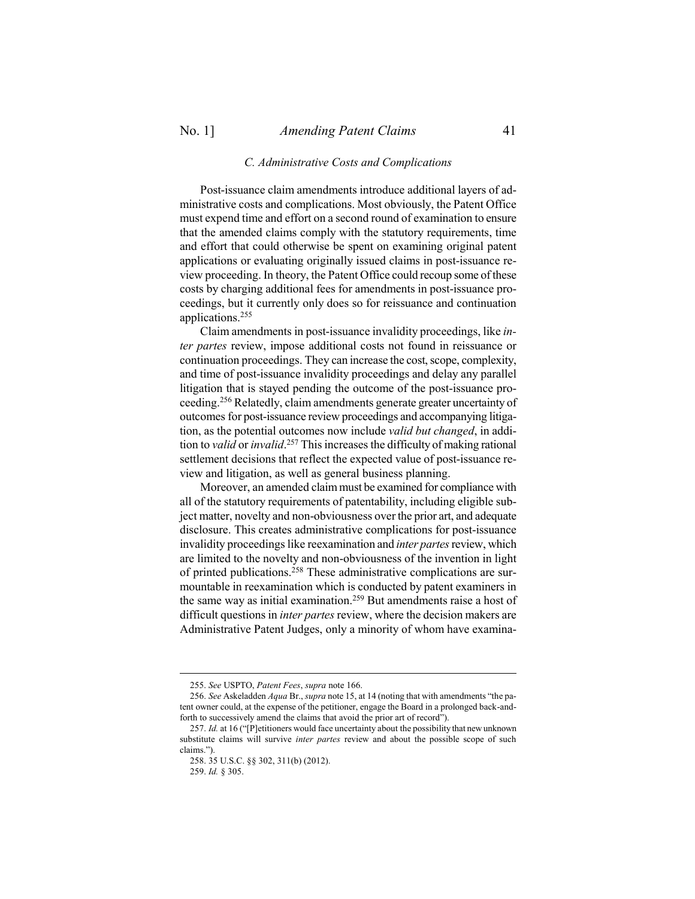### *C. Administrative Costs and Complications*

<span id="page-40-0"></span>Post-issuance claim amendments introduce additional layers of administrative costs and complications. Most obviously, the Patent Office must expend time and effort on a second round of examination to ensure that the amended claims comply with the statutory requirements, time and effort that could otherwise be spent on examining original patent applications or evaluating originally issued claims in post-issuance review proceeding. In theory, the Patent Office could recoup some of these costs by charging additional fees for amendments in post-issuance proceedings, but it currently only does so for reissuance and continuation applications.<sup>255</sup>

Claim amendments in post-issuance invalidity proceedings, like *inter partes* review, impose additional costs not found in reissuance or continuation proceedings. They can increase the cost, scope, complexity, and time of post-issuance invalidity proceedings and delay any parallel litigation that is stayed pending the outcome of the post-issuance proceeding. <sup>256</sup> Relatedly, claim amendments generate greater uncertainty of outcomes for post-issuance review proceedings and accompanying litigation, as the potential outcomes now include *valid but changed*, in addition to *valid* or *invalid*. <sup>257</sup> This increases the difficulty of making rational settlement decisions that reflect the expected value of post-issuance review and litigation, as well as general business planning.

Moreover, an amended claim must be examined for compliance with all of the statutory requirements of patentability, including eligible subject matter, novelty and non-obviousness over the prior art, and adequate disclosure. This creates administrative complications for post-issuance invalidity proceedings like reexamination and *inter partes* review, which are limited to the novelty and non-obviousness of the invention in light of printed publications.<sup>258</sup> These administrative complications are surmountable in reexamination which is conducted by patent examiners in the same way as initial examination.<sup>259</sup> But amendments raise a host of difficult questions in *inter partes* review, where the decision makers are Administrative Patent Judges, only a minority of whom have examina-

<sup>255.</sup> *See* USPTO, *Patent Fees*, *supra* not[e 166.](#page-25-0)

<sup>256.</sup> *See* Askeladden *Aqua* Br., *supra* not[e 15,](#page-3-1) at 14 (noting that with amendments "the patent owner could, at the expense of the petitioner, engage the Board in a prolonged back-andforth to successively amend the claims that avoid the prior art of record").

<sup>257.</sup> *Id.* at 16 ("[P]etitioners would face uncertainty about the possibility that new unknown substitute claims will survive *inter partes* review and about the possible scope of such claims.").

<sup>258.</sup> 35 U.S.C. §§ 302, 311(b) (2012).

<sup>259.</sup> *Id.* § 305.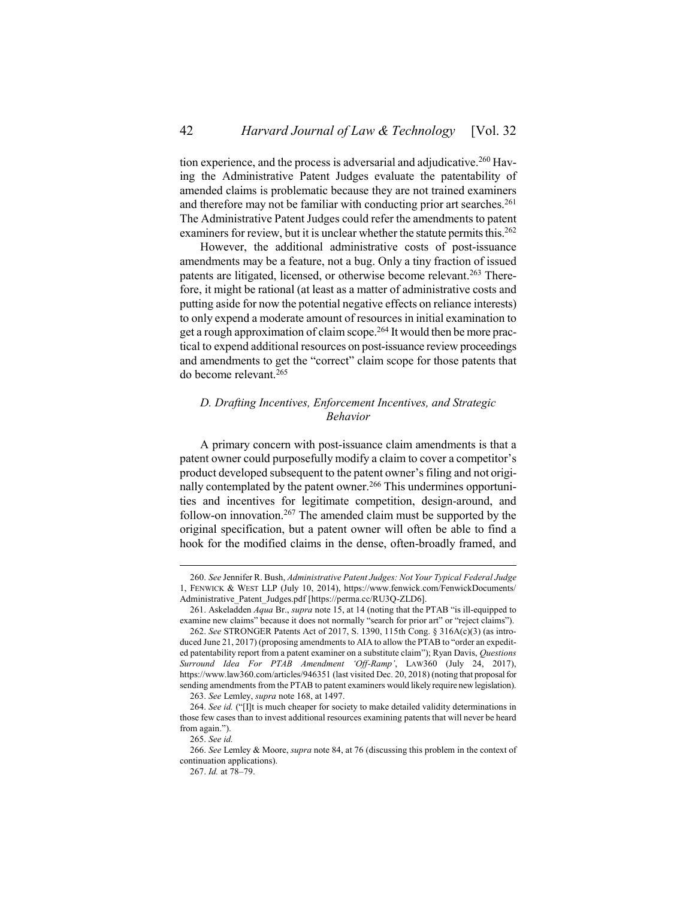<span id="page-41-1"></span>tion experience, and the process is adversarial and adjudicative.<sup>260</sup> Having the Administrative Patent Judges evaluate the patentability of amended claims is problematic because they are not trained examiners and therefore may not be familiar with conducting prior art searches. 261 The Administrative Patent Judges could refer the amendments to patent examiners for review, but it is unclear whether the statute permits this.<sup>262</sup>

However, the additional administrative costs of post-issuance amendments may be a feature, not a bug. Only a tiny fraction of issued patents are litigated, licensed, or otherwise become relevant. <sup>263</sup> Therefore, it might be rational (at least as a matter of administrative costs and putting aside for now the potential negative effects on reliance interests) to only expend a moderate amount of resources in initial examination to get a rough approximation of claim scope. <sup>264</sup> It would then be more practical to expend additional resources on post-issuance review proceedings and amendments to get the "correct" claim scope for those patents that do become relevant.<sup>265</sup>

# <span id="page-41-0"></span>*D. Drafting Incentives, Enforcement Incentives, and Strategic Behavior*

A primary concern with post-issuance claim amendments is that a patent owner could purposefully modify a claim to cover a competitor's product developed subsequent to the patent owner's filing and not originally contemplated by the patent owner.<sup>266</sup> This undermines opportunities and incentives for legitimate competition, design-around, and follow-on innovation.<sup>267</sup> The amended claim must be supported by the original specification, but a patent owner will often be able to find a hook for the modified claims in the dense, often-broadly framed, and

<sup>260.</sup> *See* Jennifer R. Bush, *Administrative Patent Judges: Not Your Typical Federal Judge* 1, FENWICK & WEST LLP (July 10, 2014), https://www.fenwick.com/FenwickDocuments/ Administrative\_Patent\_Judges.pdf [https://perma.cc/RU3Q-ZLD6].

<sup>261.</sup> Askeladden *Aqua* Br., *supra* not[e 15,](#page-3-1) at 14 (noting that the PTAB "is ill-equipped to examine new claims" because it does not normally "search for prior art" or "reject claims").

<sup>262.</sup> *See* STRONGER Patents Act of 2017, S. 1390, 115th Cong. § 316A(c)(3) (as introduced June 21, 2017) (proposing amendments to AIA to allow the PTAB to "order an expedited patentability report from a patent examiner on a substitute claim"); Ryan Davis, *Questions Surround Idea For PTAB Amendment 'Off-Ramp'*, LAW360 (July 24, 2017), https://www.law360.com/articles/946351 (last visited Dec. 20, 2018) (noting that proposalfor sending amendments from the PTAB to patent examiners would likely require new legislation). 263. *See* Lemley, *supra* not[e 168,](#page-25-1) at 1497.

<sup>264.</sup> *See id.* ("[I]t is much cheaper for society to make detailed validity determinations in those few cases than to invest additional resources examining patents that will never be heard

from again."). 265. *See id.*

<sup>266.</sup> *See* Lemley & Moore, *supra* not[e 84,](#page-13-0) at 76 (discussing this problem in the context of continuation applications).

<sup>267.</sup> *Id.* at 78–79.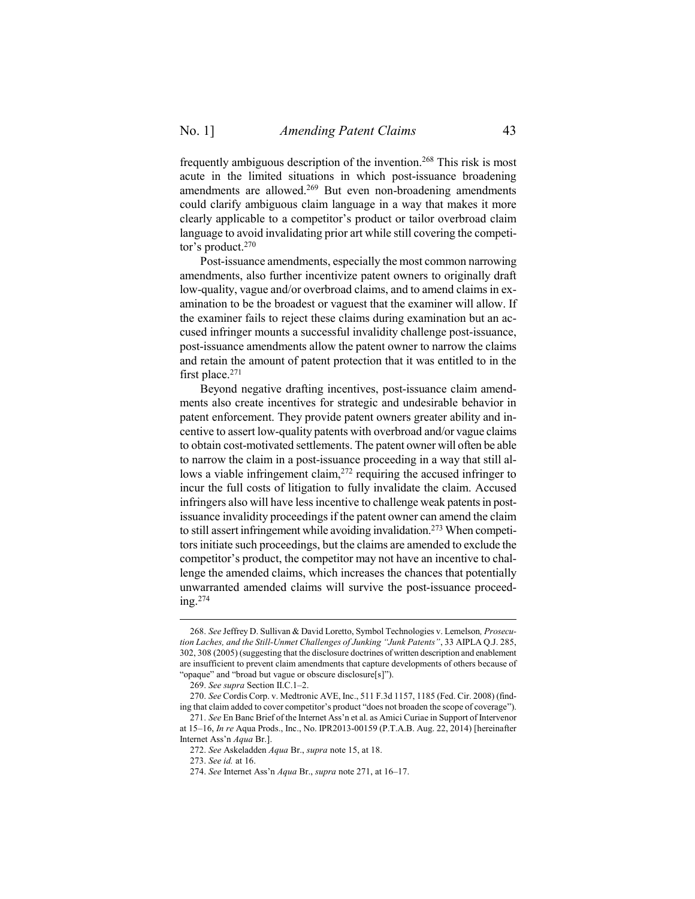frequently ambiguous description of the invention.<sup>268</sup> This risk is most acute in the limited situations in which post-issuance broadening amendments are allowed.<sup>269</sup> But even non-broadening amendments could clarify ambiguous claim language in a way that makes it more clearly applicable to a competitor's product or tailor overbroad claim language to avoid invalidating prior art while still covering the competitor's product.<sup>270</sup>

Post-issuance amendments, especially the most common narrowing amendments, also further incentivize patent owners to originally draft low-quality, vague and/or overbroad claims, and to amend claims in examination to be the broadest or vaguest that the examiner will allow. If the examiner fails to reject these claims during examination but an accused infringer mounts a successful invalidity challenge post-issuance, post-issuance amendments allow the patent owner to narrow the claims and retain the amount of patent protection that it was entitled to in the first place.<sup>271</sup>

<span id="page-42-0"></span>Beyond negative drafting incentives, post-issuance claim amendments also create incentives for strategic and undesirable behavior in patent enforcement. They provide patent owners greater ability and incentive to assert low-quality patents with overbroad and/or vague claims to obtain cost-motivated settlements. The patent owner will often be able to narrow the claim in a post-issuance proceeding in a way that still allows a viable infringement claim,<sup>272</sup> requiring the accused infringer to incur the full costs of litigation to fully invalidate the claim. Accused infringers also will have less incentive to challenge weak patents in postissuance invalidity proceedings if the patent owner can amend the claim to still assert infringement while avoiding invalidation.<sup>273</sup> When competitors initiate such proceedings, but the claims are amended to exclude the competitor's product, the competitor may not have an incentive to challenge the amended claims, which increases the chances that potentially unwarranted amended claims will survive the post-issuance proceeding.<sup>274</sup>

<sup>268.</sup> *See* Jeffrey D. Sullivan & David Loretto, Symbol Technologies v. Lemelson*, Prosecution Laches, and the Still-Unmet Challenges of Junking "Junk Patents"*, 33 AIPLA Q.J. 285, 302, 308 (2005) (suggesting that the disclosure doctrines of written description and enablement are insufficient to prevent claim amendments that capture developments of others because of "opaque" and "broad but vague or obscure disclosure[s]").

<sup>269.</sup> *See supra* Section [II.](#page-7-0)[C](#page-10-0)[.1](#page-11-0)–[2.](#page-12-0)

<sup>270.</sup> *See* Cordis Corp. v. Medtronic AVE, Inc., 511 F.3d 1157, 1185 (Fed. Cir. 2008) (finding that claim added to cover competitor's product "does not broaden the scope of coverage").

<sup>271.</sup> *See* En Banc Brief of the Internet Ass'n et al. as Amici Curiae in Support of Intervenor at 15–16, *In re* Aqua Prods., Inc., No. IPR2013-00159 (P.T.A.B. Aug. 22, 2014) [hereinafter Internet Ass'n *Aqua* Br.].

<sup>272.</sup> *See* Askeladden *Aqua* Br., *supra* not[e 15,](#page-3-1) at 18.

<sup>273.</sup> *See id.* at 16.

<sup>274.</sup> *See* Internet Ass'n *Aqua* Br., *supra* not[e 271,](#page-42-0) at 16–17.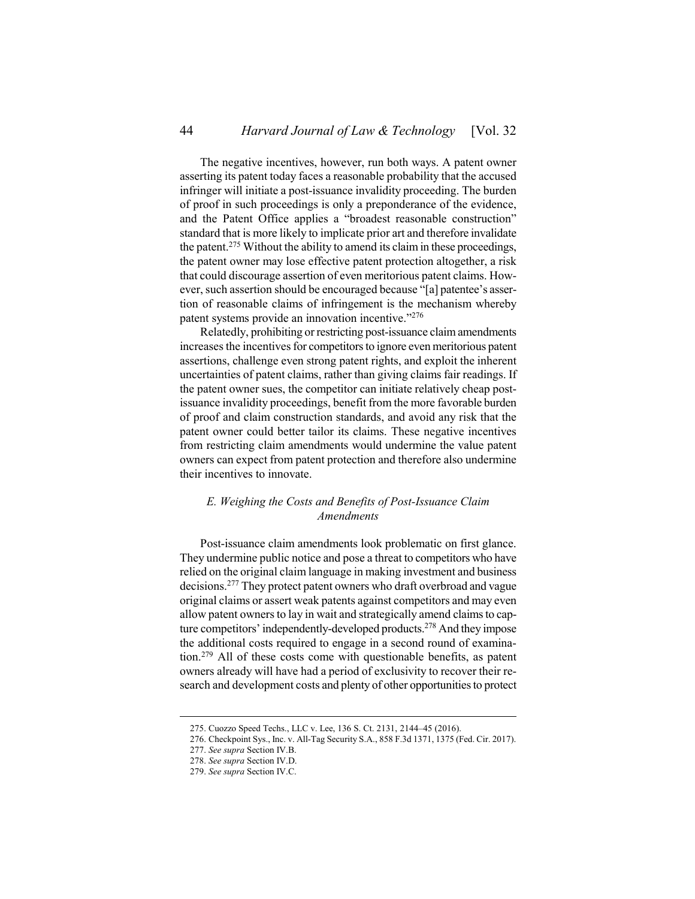The negative incentives, however, run both ways. A patent owner asserting its patent today faces a reasonable probability that the accused infringer will initiate a post-issuance invalidity proceeding. The burden of proof in such proceedings is only a preponderance of the evidence, and the Patent Office applies a "broadest reasonable construction" standard that is more likely to implicate prior art and therefore invalidate the patent.<sup>275</sup> Without the ability to amend its claim in these proceedings, the patent owner may lose effective patent protection altogether, a risk that could discourage assertion of even meritorious patent claims. However, such assertion should be encouraged because "[a] patentee's assertion of reasonable claims of infringement is the mechanism whereby patent systems provide an innovation incentive."276

Relatedly, prohibiting or restricting post-issuance claim amendments increases the incentives for competitors to ignore even meritorious patent assertions, challenge even strong patent rights, and exploit the inherent uncertainties of patent claims, rather than giving claims fair readings. If the patent owner sues, the competitor can initiate relatively cheap postissuance invalidity proceedings, benefit from the more favorable burden of proof and claim construction standards, and avoid any risk that the patent owner could better tailor its claims. These negative incentives from restricting claim amendments would undermine the value patent owners can expect from patent protection and therefore also undermine their incentives to innovate.

# <span id="page-43-0"></span>*E. Weighing the Costs and Benefits of Post-Issuance Claim Amendments*

Post-issuance claim amendments look problematic on first glance. They undermine public notice and pose a threat to competitors who have relied on the original claim language in making investment and business decisions.<sup>277</sup> They protect patent owners who draft overbroad and vague original claims or assert weak patents against competitors and may even allow patent owners to lay in wait and strategically amend claims to capture competitors' independently-developed products.<sup>278</sup> And they impose the additional costs required to engage in a second round of examination.<sup>279</sup> All of these costs come with questionable benefits, as patent owners already will have had a period of exclusivity to recover their research and development costs and plenty of other opportunities to protect

<sup>275.</sup> Cuozzo Speed Techs., LLC v. Lee, 136 S. Ct. 2131, 2144–45 (2016).

<sup>276.</sup> Checkpoint Sys., Inc. v. All-Tag Security S.A., 858 F.3d 1371, 1375 (Fed. Cir. 2017).

<sup>277.</sup> *See supra* Section [IV.](#page-34-0)[B.](#page-37-0)

<sup>278.</sup> *See supra* Section [IV.](#page-34-0)[D.](#page-41-0)

<sup>279.</sup> *See supra* Section [IV.](#page-34-0)[C.](#page-40-0)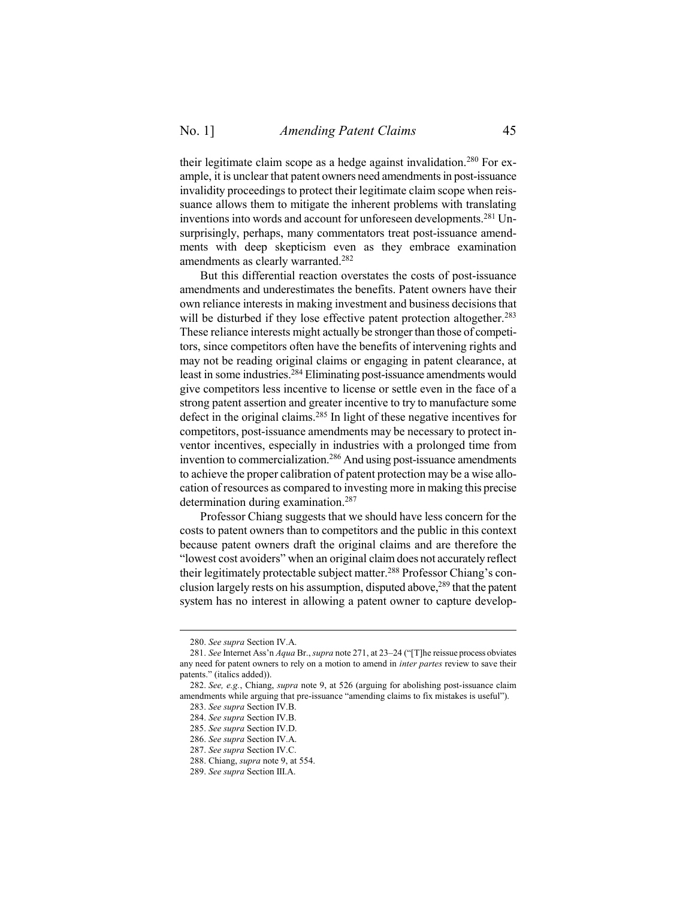their legitimate claim scope as a hedge against invalidation.<sup>280</sup> For example, it is unclear that patent owners need amendments in post-issuance invalidity proceedings to protect their legitimate claim scope when reissuance allows them to mitigate the inherent problems with translating inventions into words and account for unforeseen developments.<sup>281</sup> Unsurprisingly, perhaps, many commentators treat post-issuance amendments with deep skepticism even as they embrace examination amendments as clearly warranted.<sup>282</sup>

But this differential reaction overstates the costs of post-issuance amendments and underestimates the benefits. Patent owners have their own reliance interests in making investment and business decisions that will be disturbed if they lose effective patent protection altogether.<sup>283</sup> These reliance interests might actually be stronger than those of competitors, since competitors often have the benefits of intervening rights and may not be reading original claims or engaging in patent clearance, at least in some industries. <sup>284</sup> Eliminating post-issuance amendments would give competitors less incentive to license or settle even in the face of a strong patent assertion and greater incentive to try to manufacture some defect in the original claims.<sup>285</sup> In light of these negative incentives for competitors, post-issuance amendments may be necessary to protect inventor incentives, especially in industries with a prolonged time from invention to commercialization.<sup>286</sup> And using post-issuance amendments to achieve the proper calibration of patent protection may be a wise allocation of resources as compared to investing more in making this precise determination during examination.<sup>287</sup>

Professor Chiang suggests that we should have less concern for the costs to patent owners than to competitors and the public in this context because patent owners draft the original claims and are therefore the "lowest cost avoiders" when an original claim does not accurately reflect their legitimately protectable subject matter.<sup>288</sup> Professor Chiang's conclusion largely rests on his assumption, disputed above,  $289$  that the patent system has no interest in allowing a patent owner to capture develop-

<sup>280.</sup> *See supra* Section [IV.](#page-34-0)[A.](#page-35-0)

<sup>281.</sup> *See* Internet Ass'n *Aqua* Br., *supra* not[e 271,](#page-42-0) at 23–24 ("[T]he reissue process obviates any need for patent owners to rely on a motion to amend in *inter partes* review to save their patents." (italics added)).

<sup>282.</sup> *See, e.g.*, Chiang, *supra* not[e 9,](#page-2-1) at 526 (arguing for abolishing post-issuance claim amendments while arguing that pre-issuance "amending claims to fix mistakes is useful").

<sup>283.</sup> *See supra* Section [IV.](#page-34-0)[B.](#page-37-0)

<sup>284.</sup> *See supra* Section [IV.](#page-34-0)[B.](#page-37-0)

<sup>285.</sup> *See supra* Section [IV.](#page-34-0)[D.](#page-41-0)

<sup>286.</sup> *See supra* Section [IV.](#page-34-0)[A.](#page-35-0)

<sup>287.</sup> *See supra* Section [IV.](#page-34-0)[C.](#page-40-0)

<sup>288.</sup> Chiang, *supra* note [9,](#page-2-1) at 554.

<sup>289.</sup> *See supra* Section [III.](#page-19-0)[A.](#page-19-1)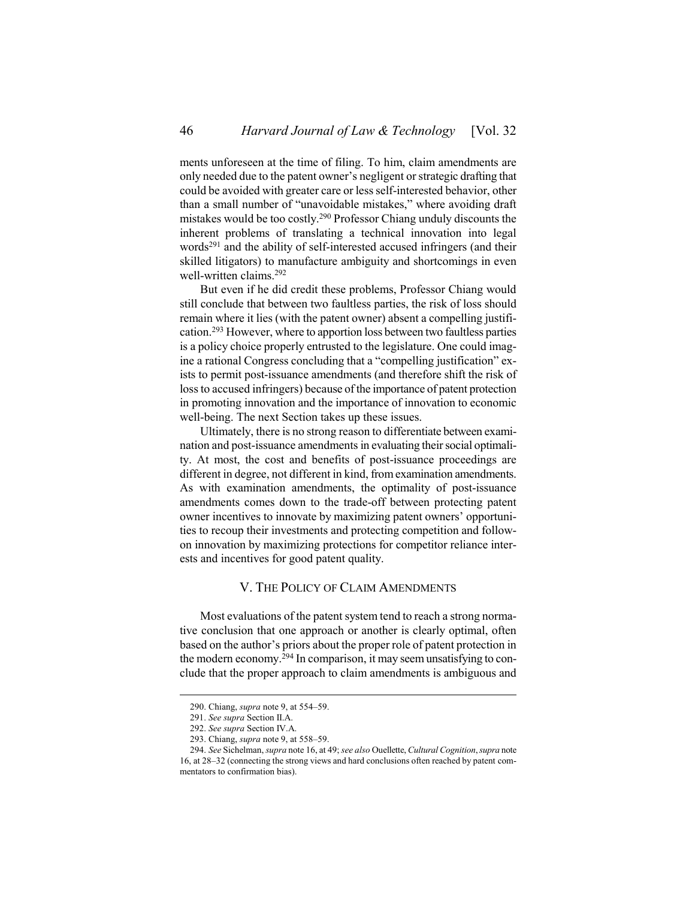ments unforeseen at the time of filing. To him, claim amendments are only needed due to the patent owner's negligent or strategic drafting that could be avoided with greater care or less self-interested behavior, other than a small number of "unavoidable mistakes," where avoiding draft mistakes would be too costly.<sup>290</sup> Professor Chiang unduly discounts the inherent problems of translating a technical innovation into legal words<sup>291</sup> and the ability of self-interested accused infringers (and their skilled litigators) to manufacture ambiguity and shortcomings in even well-written claims.<sup>292</sup>

But even if he did credit these problems, Professor Chiang would still conclude that between two faultless parties, the risk of loss should remain where it lies (with the patent owner) absent a compelling justification.<sup>293</sup> However, where to apportion loss between two faultless parties is a policy choice properly entrusted to the legislature. One could imagine a rational Congress concluding that a "compelling justification" exists to permit post-issuance amendments (and therefore shift the risk of loss to accused infringers) because of the importance of patent protection in promoting innovation and the importance of innovation to economic well-being. The next Section takes up these issues.

Ultimately, there is no strong reason to differentiate between examination and post-issuance amendments in evaluating their social optimality. At most, the cost and benefits of post-issuance proceedings are different in degree, not different in kind, from examination amendments. As with examination amendments, the optimality of post-issuance amendments comes down to the trade-off between protecting patent owner incentives to innovate by maximizing patent owners' opportunities to recoup their investments and protecting competition and followon innovation by maximizing protections for competitor reliance interests and incentives for good patent quality.

### V. THE POLICY OF CLAIM AMENDMENTS

<span id="page-45-0"></span>Most evaluations of the patent system tend to reach a strong normative conclusion that one approach or another is clearly optimal, often based on the author's priors about the proper role of patent protection in the modern economy.<sup>294</sup> In comparison, it may seem unsatisfying to conclude that the proper approach to claim amendments is ambiguous and

<sup>290.</sup> Chiang, *supra* note [9,](#page-2-1) at 554–59.

<sup>291.</sup> *See supra* Section [II.](#page-7-0)[A.](#page-7-1)

<sup>292.</sup> *See supra* Section [IV.](#page-34-0)[A.](#page-35-0)

<sup>293.</sup> Chiang, *supra* note [9,](#page-2-1) at 558–59.

<sup>294.</sup> *See* Sichelman, *supra* not[e 16,](#page-3-2) at 49; *see also* Ouellette, *Cultural Cognition*, *supra* note [16,](#page-3-2) at 28–32 (connecting the strong views and hard conclusions often reached by patent commentators to confirmation bias).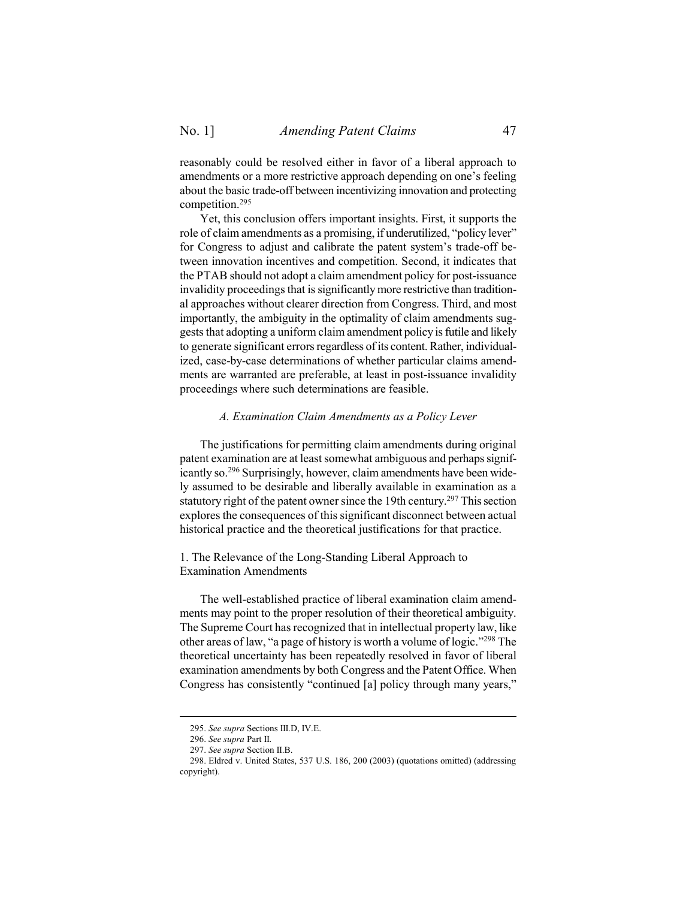reasonably could be resolved either in favor of a liberal approach to amendments or a more restrictive approach depending on one's feeling about the basic trade-off between incentivizing innovation and protecting competition.<sup>295</sup>

Yet, this conclusion offers important insights. First, it supports the role of claim amendments as a promising, if underutilized, "policy lever" for Congress to adjust and calibrate the patent system's trade-off between innovation incentives and competition. Second, it indicates that the PTAB should not adopt a claim amendment policy for post-issuance invalidity proceedings that is significantly more restrictive than traditional approaches without clearer direction from Congress. Third, and most importantly, the ambiguity in the optimality of claim amendments suggests that adopting a uniform claim amendment policy is futile and likely to generate significant errors regardless of its content. Rather, individualized, case-by-case determinations of whether particular claims amendments are warranted are preferable, at least in post-issuance invalidity proceedings where such determinations are feasible.

#### *A. Examination Claim Amendments as a Policy Lever*

<span id="page-46-0"></span>The justifications for permitting claim amendments during original patent examination are at least somewhat ambiguous and perhaps significantly so.<sup>296</sup> Surprisingly, however, claim amendments have been widely assumed to be desirable and liberally available in examination as a statutory right of the patent owner since the 19th century.<sup>297</sup> This section explores the consequences of this significant disconnect between actual historical practice and the theoretical justifications for that practice.

<span id="page-46-1"></span>1. The Relevance of the Long-Standing Liberal Approach to Examination Amendments

The well-established practice of liberal examination claim amendments may point to the proper resolution of their theoretical ambiguity. The Supreme Court has recognized that in intellectual property law, like other areas of law, "a page of history is worth a volume of logic."<sup>298</sup> The theoretical uncertainty has been repeatedly resolved in favor of liberal examination amendments by both Congress and the Patent Office. When Congress has consistently "continued [a] policy through many years,"

<sup>295.</sup> *See supra* Sections [III](#page-19-0)[.D,](#page-26-0) [IV](#page-34-0)[.E.](#page-43-0)

<sup>296.</sup> *See supra* Part [II.](#page-7-0)

<sup>297.</sup> *See supra* Section [II.](#page-7-0)[B.](#page-8-0)

<sup>298.</sup> Eldred v. United States, 537 U.S. 186, 200 (2003) (quotations omitted) (addressing copyright).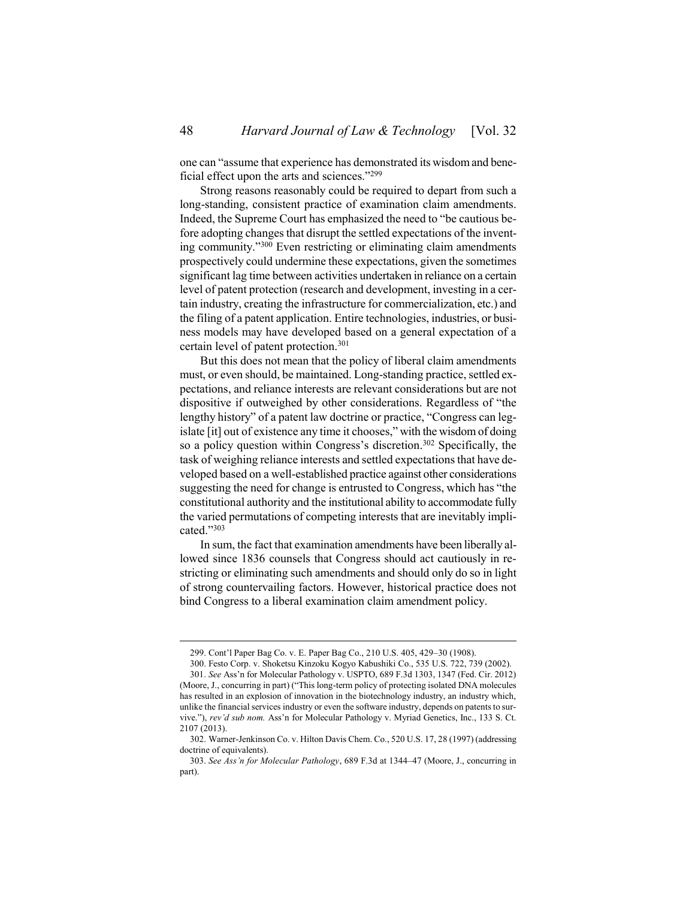one can "assume that experience has demonstrated its wisdom and beneficial effect upon the arts and sciences."<sup>299</sup>

Strong reasons reasonably could be required to depart from such a long-standing, consistent practice of examination claim amendments. Indeed, the Supreme Court has emphasized the need to "be cautious before adopting changes that disrupt the settled expectations of the inventing community."<sup>300</sup> Even restricting or eliminating claim amendments prospectively could undermine these expectations, given the sometimes significant lag time between activities undertaken in reliance on a certain level of patent protection (research and development, investing in a certain industry, creating the infrastructure for commercialization, etc.) and the filing of a patent application. Entire technologies, industries, or business models may have developed based on a general expectation of a certain level of patent protection.<sup>301</sup>

But this does not mean that the policy of liberal claim amendments must, or even should, be maintained. Long-standing practice, settled expectations, and reliance interests are relevant considerations but are not dispositive if outweighed by other considerations. Regardless of "the lengthy history" of a patent law doctrine or practice, "Congress can legislate [it] out of existence any time it chooses," with the wisdom of doing so a policy question within Congress's discretion. <sup>302</sup> Specifically, the task of weighing reliance interests and settled expectations that have developed based on a well-established practice against other considerations suggesting the need for change is entrusted to Congress, which has "the constitutional authority and the institutional ability to accommodate fully the varied permutations of competing interests that are inevitably implicated." 303

In sum, the fact that examination amendments have been liberally allowed since 1836 counsels that Congress should act cautiously in restricting or eliminating such amendments and should only do so in light of strong countervailing factors. However, historical practice does not bind Congress to a liberal examination claim amendment policy.

<sup>299.</sup> Cont'l Paper Bag Co. v. E. Paper Bag Co., 210 U.S. 405, 429–30 (1908).

<sup>300.</sup> Festo Corp. v. Shoketsu Kinzoku Kogyo Kabushiki Co., 535 U.S. 722, 739 (2002). 301. *See* Ass'n for Molecular Pathology v. USPTO, 689 F.3d 1303, 1347 (Fed. Cir. 2012) (Moore, J., concurring in part) ("This long-term policy of protecting isolated DNA molecules has resulted in an explosion of innovation in the biotechnology industry, an industry which, unlike the financial services industry or even the software industry, depends on patents to survive."), *rev'd sub nom.* Ass'n for Molecular Pathology v. Myriad Genetics, Inc., 133 S. Ct. 2107 (2013).

<sup>302.</sup> Warner-Jenkinson Co. v. Hilton Davis Chem. Co., 520 U.S. 17, 28 (1997) (addressing doctrine of equivalents).

<sup>303.</sup> *See Ass'n for Molecular Pathology*, 689 F.3d at 1344–47 (Moore, J., concurring in part).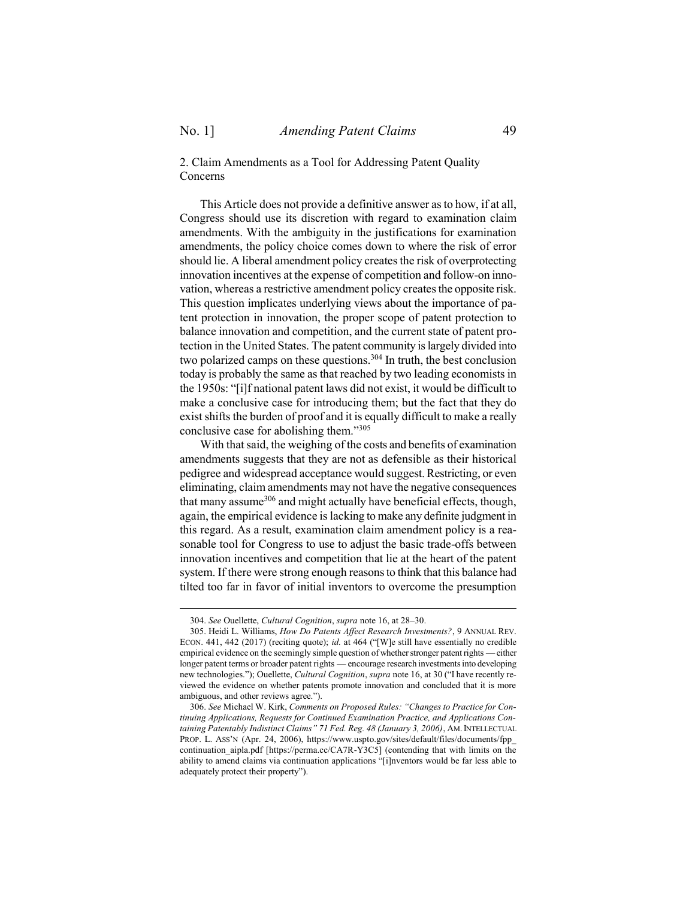$\overline{a}$ 

<span id="page-48-0"></span>2. Claim Amendments as a Tool for Addressing Patent Quality Concerns

This Article does not provide a definitive answer as to how, if at all, Congress should use its discretion with regard to examination claim amendments. With the ambiguity in the justifications for examination amendments, the policy choice comes down to where the risk of error should lie. A liberal amendment policy creates the risk of overprotecting innovation incentives at the expense of competition and follow-on innovation, whereas a restrictive amendment policy creates the opposite risk. This question implicates underlying views about the importance of patent protection in innovation, the proper scope of patent protection to balance innovation and competition, and the current state of patent protection in the United States. The patent community is largely divided into two polarized camps on these questions.<sup>304</sup> In truth, the best conclusion today is probably the same as that reached by two leading economists in the 1950s: "[i]f national patent laws did not exist, it would be difficult to make a conclusive case for introducing them; but the fact that they do exist shifts the burden of proof and it is equally difficult to make a really conclusive case for abolishing them."<sup>305</sup>

With that said, the weighing of the costs and benefits of examination amendments suggests that they are not as defensible as their historical pedigree and widespread acceptance would suggest. Restricting, or even eliminating, claim amendments may not have the negative consequences that many assume<sup>306</sup> and might actually have beneficial effects, though, again, the empirical evidence is lacking to make any definite judgment in this regard. As a result, examination claim amendment policy is a reasonable tool for Congress to use to adjust the basic trade-offs between innovation incentives and competition that lie at the heart of the patent system. If there were strong enough reasons to think that this balance had tilted too far in favor of initial inventors to overcome the presumption

<sup>304.</sup> *See* Ouellette, *Cultural Cognition*, *supra* not[e 16,](#page-3-2) at 28–30.

<sup>305.</sup> Heidi L. Williams, *How Do Patents Affect Research Investments?*, 9 ANNUAL REV. ECON. 441, 442 (2017) (reciting quote); *id.* at 464 ("[W]e still have essentially no credible empirical evidence on the seemingly simple question of whether stronger patent rights —either longer patent terms or broader patent rights — encourage research investments into developing new technologies."); Ouellette, *Cultural Cognition*, *supra* not[e 16](#page-3-2), at 30 ("I have recently reviewed the evidence on whether patents promote innovation and concluded that it is more ambiguous, and other reviews agree.").

<sup>306.</sup> *See* Michael W. Kirk, *Comments on Proposed Rules: "Changes to Practice for Continuing Applications, Requests for Continued Examination Practice, and Applications Containing Patentably Indistinct Claims" 71 Fed. Reg. 48 (January 3, 2006)*, AM.INTELLECTUAL PROP. L. ASS'N (Apr. 24, 2006), https://www.uspto.gov/sites/default/files/documents/fpp\_ continuation aipla.pdf [https://perma.cc/CA7R-Y3C5] (contending that with limits on the ability to amend claims via continuation applications "[i]nventors would be far less able to adequately protect their property").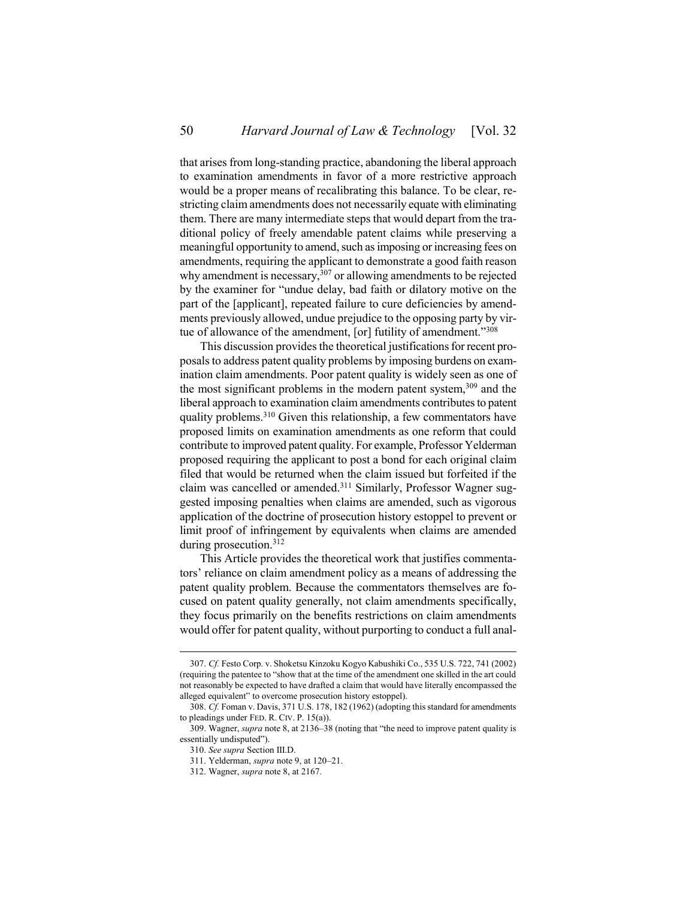that arises from long-standing practice, abandoning the liberal approach to examination amendments in favor of a more restrictive approach would be a proper means of recalibrating this balance. To be clear, restricting claim amendments does not necessarily equate with eliminating them. There are many intermediate steps that would depart from the traditional policy of freely amendable patent claims while preserving a meaningful opportunity to amend, such as imposing or increasing fees on amendments, requiring the applicant to demonstrate a good faith reason why amendment is necessary, $307$  or allowing amendments to be rejected by the examiner for "undue delay, bad faith or dilatory motive on the part of the [applicant], repeated failure to cure deficiencies by amendments previously allowed, undue prejudice to the opposing party by virtue of allowance of the amendment, [or] futility of amendment."308

This discussion provides the theoretical justifications for recent proposals to address patent quality problems by imposing burdens on examination claim amendments. Poor patent quality is widely seen as one of the most significant problems in the modern patent system,  $309$  and the liberal approach to examination claim amendments contributes to patent quality problems.<sup>310</sup> Given this relationship, a few commentators have proposed limits on examination amendments as one reform that could contribute to improved patent quality. For example, Professor Yelderman proposed requiring the applicant to post a bond for each original claim filed that would be returned when the claim issued but forfeited if the claim was cancelled or amended.<sup>311</sup> Similarly, Professor Wagner suggested imposing penalties when claims are amended, such as vigorous application of the doctrine of prosecution history estoppel to prevent or limit proof of infringement by equivalents when claims are amended during prosecution.<sup>312</sup>

This Article provides the theoretical work that justifies commentators' reliance on claim amendment policy as a means of addressing the patent quality problem. Because the commentators themselves are focused on patent quality generally, not claim amendments specifically, they focus primarily on the benefits restrictions on claim amendments would offer for patent quality, without purporting to conduct a full anal-

<sup>307.</sup> *Cf.* Festo Corp. v. Shoketsu Kinzoku Kogyo Kabushiki Co., 535 U.S. 722, 741 (2002) (requiring the patentee to "show that at the time of the amendment one skilled in the art could not reasonably be expected to have drafted a claim that would have literally encompassed the alleged equivalent" to overcome prosecution history estoppel).

<sup>308.</sup> *Cf.* Foman v. Davis, 371 U.S. 178, 182 (1962) (adopting this standard for amendments to pleadings under FED. R. CIV. P. 15(a)).

<sup>309.</sup> Wagner, *supra* not[e 8,](#page-2-0) at 2136–38 (noting that "the need to improve patent quality is essentially undisputed").

<sup>310.</sup> *See supra* Section [III.](#page-19-0)[D.](#page-26-0)

<sup>311.</sup> Yelderman, *supra* not[e 9,](#page-2-1) at 120–21.

<sup>312.</sup> Wagner, *supra* not[e 8,](#page-2-0) at 2167.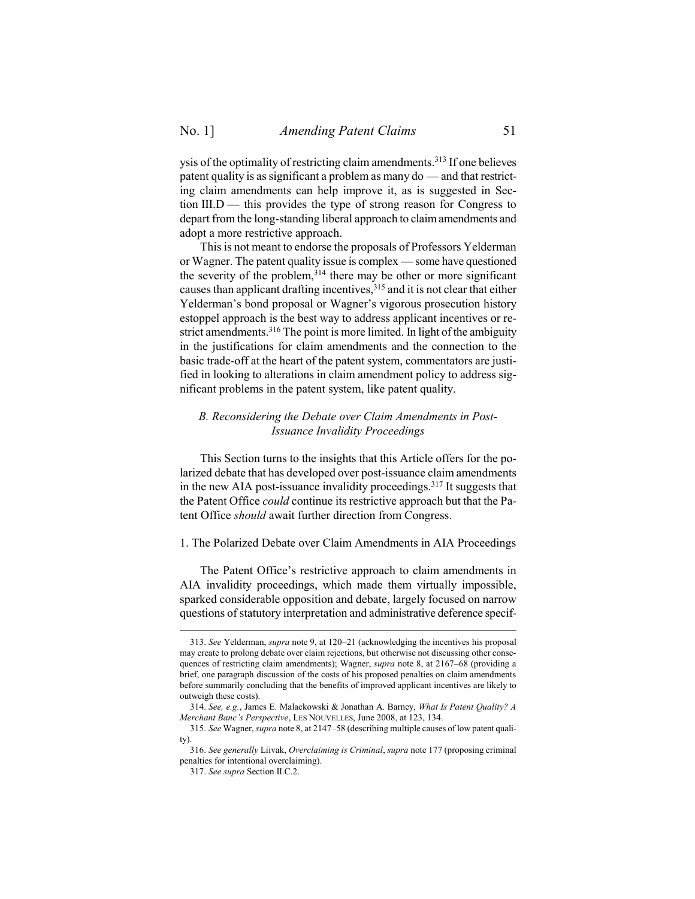ysis of the optimality of restricting claim amendments.<sup>313</sup> If one believes patent quality is as significant a problem as many do — and that restricting claim amendments can help improve it, as is suggested in Section III.D — this provides the type of strong reason for Congress to depart from the long-standing liberal approach to claim amendments and adopt a more restrictive approach.

This is not meant to endorse the proposals of Professors Yelderman or Wagner. The patent quality issue is complex — some have questioned the severity of the problem, $314$  there may be other or more significant causes than applicant drafting incentives,<sup>315</sup> and it is not clear that either Yelderman's bond proposal or Wagner's vigorous prosecution history estoppel approach is the best way to address applicant incentives or restrict amendments.<sup>316</sup> The point is more limited. In light of the ambiguity in the justifications for claim amendments and the connection to the basic trade-off at the heart of the patent system, commentators are justified in looking to alterations in claim amendment policy to address significant problems in the patent system, like patent quality.

## <span id="page-50-0"></span>*B. Reconsidering the Debate over Claim Amendments in Post-Issuance Invalidity Proceedings*

This Section turns to the insights that this Article offers for the polarized debate that has developed over post-issuance claim amendments in the new AIA post-issuance invalidity proceedings. <sup>317</sup> It suggests that the Patent Office *could* continue its restrictive approach but that the Patent Office *should* await further direction from Congress.

#### <span id="page-50-1"></span>1. The Polarized Debate over Claim Amendments in AIA Proceedings

The Patent Office's restrictive approach to claim amendments in AIA invalidity proceedings, which made them virtually impossible, sparked considerable opposition and debate, largely focused on narrow questions of statutory interpretation and administrative deference specif-

<sup>313.</sup> *See* Yelderman, *supra* not[e 9,](#page-2-1) at 120–21 (acknowledging the incentives his proposal may create to prolong debate over claim rejections, but otherwise not discussing other consequences of restricting claim amendments); Wagner, *supra* note [8,](#page-2-0) at 2167–68 (providing a brief, one paragraph discussion of the costs of his proposed penalties on claim amendments before summarily concluding that the benefits of improved applicant incentives are likely to outweigh these costs).

<sup>314.</sup> *See, e.g.*, James E. Malackowski & Jonathan A. Barney, *What Is Patent Quality? A Merchant Banc's Perspective*, LES NOUVELLES, June 2008, at 123, 134.

<sup>315.</sup> *See* Wagner, *supra* not[e 8,](#page-2-0) at 2147–58 (describing multiple causes of low patent quality).

<sup>316.</sup> *See generally* Liivak, *Overclaiming is Criminal*, *supra* not[e 177](#page-27-0) (proposing criminal penalties for intentional overclaiming).

<sup>317.</sup> *See supra* Section [II.](#page-7-0)[C](#page-10-0)[.2.](#page-12-0)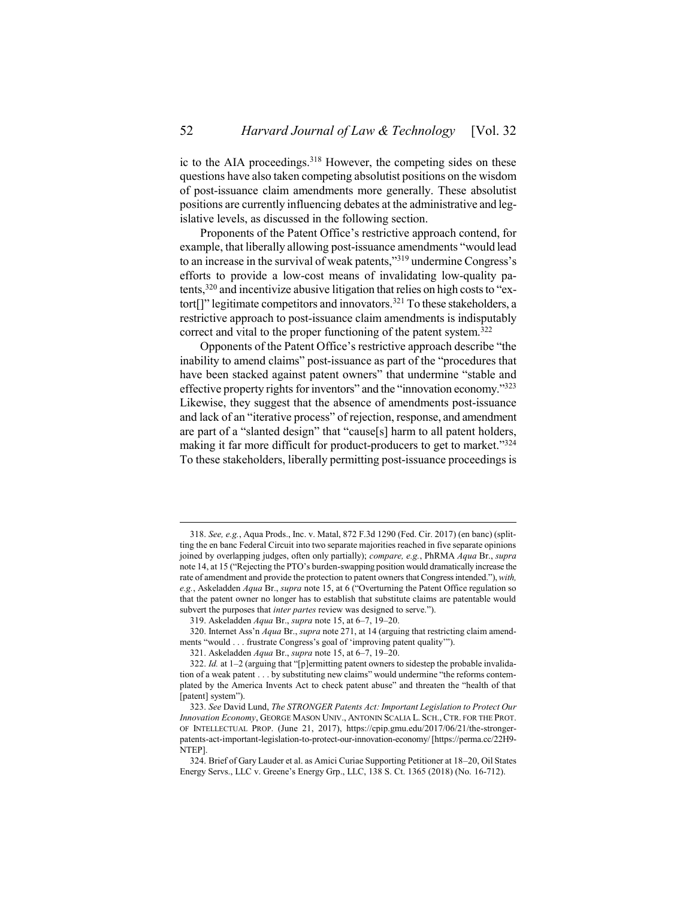ic to the AIA proceedings.<sup>318</sup> However, the competing sides on these questions have also taken competing absolutist positions on the wisdom of post-issuance claim amendments more generally. These absolutist positions are currently influencing debates at the administrative and legislative levels, as discussed in the following section.

Proponents of the Patent Office's restrictive approach contend, for example, that liberally allowing post-issuance amendments "would lead to an increase in the survival of weak patents," <sup>319</sup> undermine Congress's efforts to provide a low-cost means of invalidating low-quality patents,<sup>320</sup> and incentivize abusive litigation that relies on high costs to "extort<sup>[]"</sup> legitimate competitors and innovators.<sup>321</sup> To these stakeholders, a restrictive approach to post-issuance claim amendments is indisputably correct and vital to the proper functioning of the patent system.<sup>322</sup>

<span id="page-51-0"></span>Opponents of the Patent Office's restrictive approach describe "the inability to amend claims" post-issuance as part of the "procedures that have been stacked against patent owners" that undermine "stable and effective property rights for inventors" and the "innovation economy."<sup>323</sup> Likewise, they suggest that the absence of amendments post-issuance and lack of an "iterative process" of rejection, response, and amendment are part of a "slanted design" that "cause[s] harm to all patent holders, making it far more difficult for product-producers to get to market."<sup>324</sup> To these stakeholders, liberally permitting post-issuance proceedings is

<sup>318.</sup> *See, e.g.*, Aqua Prods., Inc. v. Matal, 872 F.3d 1290 (Fed. Cir. 2017) (en banc) (splitting the en banc Federal Circuit into two separate majorities reached in five separate opinions joined by overlapping judges, often only partially); *compare, e.g.*, PhRMA *Aqua* Br., *supra* not[e 14](#page-3-0), at 15 ("Rejecting the PTO's burden-swapping position would dramatically increase the rate of amendment and provide the protection to patent owners that Congress intended."), *with, e.g.*, Askeladden *Aqua* Br., *supra* note [15](#page-3-1), at 6 ("Overturning the Patent Office regulation so that the patent owner no longer has to establish that substitute claims are patentable would subvert the purposes that *inter partes* review was designed to serve.").

<sup>319.</sup> Askeladden *Aqua* Br., *supra* not[e 15,](#page-3-1) at 6–7, 19–20.

<sup>320.</sup> Internet Ass'n *Aqua* Br., *supra* not[e 271,](#page-42-0) at 14 (arguing that restricting claim amendments "would . . . frustrate Congress's goal of 'improving patent quality'").

<sup>321.</sup> Askeladden *Aqua* Br., *supra* not[e 15,](#page-3-1) at 6–7, 19–20.

<sup>322.</sup> *Id.* at 1–2 (arguing that "[p]ermitting patent owners to sidestep the probable invalidation of a weak patent . . . by substituting new claims" would undermine "the reforms contemplated by the America Invents Act to check patent abuse" and threaten the "health of that [patent] system").

<sup>323.</sup> *See* David Lund, *The STRONGER Patents Act: Important Legislation to Protect Our Innovation Economy*, GEORGE MASON UNIV., ANTONIN SCALIA L. SCH., CTR. FOR THE PROT. OF INTELLECTUAL PROP. (June 21, 2017), https://cpip.gmu.edu/2017/06/21/the-strongerpatents-act-important-legislation-to-protect-our-innovation-economy/ [https://perma.cc/22H9- NTEP].

<sup>324.</sup> Brief of Gary Lauder et al. as Amici Curiae Supporting Petitioner at 18–20, Oil States Energy Servs., LLC v. Greene's Energy Grp., LLC, 138 S. Ct. 1365 (2018) (No. 16-712).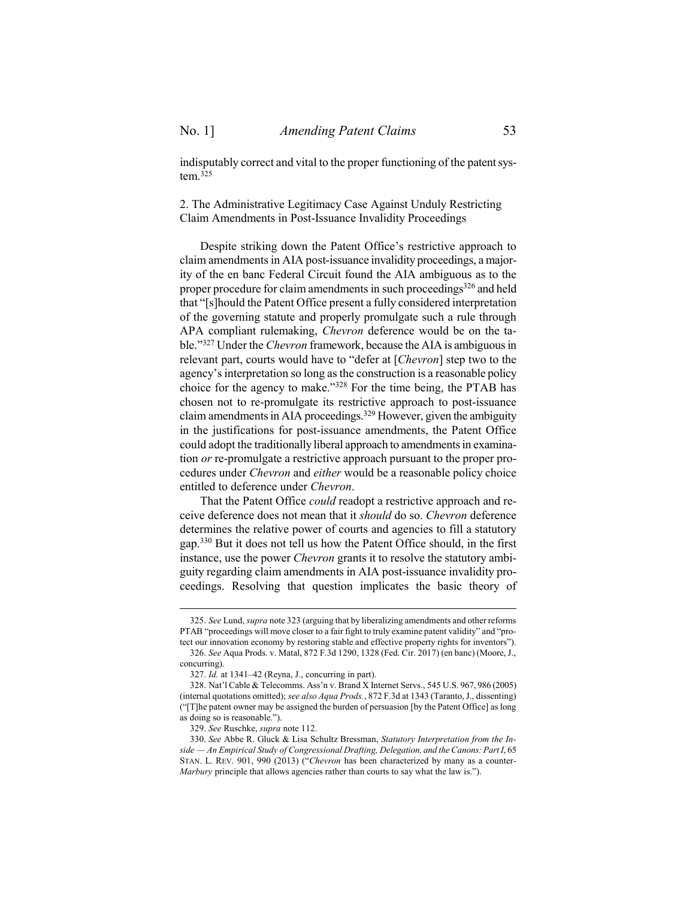indisputably correct and vital to the proper functioning of the patent sys $tem.<sup>325</sup>$ 

<span id="page-52-0"></span>2. The Administrative Legitimacy Case Against Unduly Restricting Claim Amendments in Post-Issuance Invalidity Proceedings

Despite striking down the Patent Office's restrictive approach to claim amendments in AIA post-issuance invalidity proceedings, a majority of the en banc Federal Circuit found the AIA ambiguous as to the proper procedure for claim amendments in such proceedings<sup>326</sup> and held that "[s]hould the Patent Office present a fully considered interpretation of the governing statute and properly promulgate such a rule through APA compliant rulemaking, *Chevron* deference would be on the table."<sup>327</sup> Under the *Chevron* framework, because the AIA is ambiguous in relevant part, courts would have to "defer at [*Chevron*] step two to the agency's interpretation so long as the construction is a reasonable policy choice for the agency to make."<sup>328</sup> For the time being, the PTAB has chosen not to re-promulgate its restrictive approach to post-issuance claim amendments in AIA proceedings.<sup>329</sup> However, given the ambiguity in the justifications for post-issuance amendments, the Patent Office could adopt the traditionally liberal approach to amendments in examination *or* re-promulgate a restrictive approach pursuant to the proper procedures under *Chevron* and *either* would be a reasonable policy choice entitled to deference under *Chevron*.

<span id="page-52-1"></span>That the Patent Office *could* readopt a restrictive approach and receive deference does not mean that it *should* do so. *Chevron* deference determines the relative power of courts and agencies to fill a statutory gap.<sup>330</sup> But it does not tell us how the Patent Office should, in the first instance, use the power *Chevron* grants it to resolve the statutory ambiguity regarding claim amendments in AIA post-issuance invalidity proceedings. Resolving that question implicates the basic theory of

<sup>325.</sup> *See* Lund, *supra* note [323](#page-51-0) (arguing that by liberalizing amendments and other reforms PTAB "proceedings will move closer to a fair fight to truly examine patent validity" and "protect our innovation economy by restoring stable and effective property rights for inventors").

<sup>326.</sup> *See* Aqua Prods. v. Matal, 872 F.3d 1290, 1328 (Fed. Cir. 2017) (en banc) (Moore, J., concurring).

<sup>327.</sup> *Id.* at 1341–42 (Reyna, J., concurring in part).

<sup>328.</sup> Nat'l Cable & Telecomms. Ass'n v. Brand X Internet Servs., 545 U.S. 967, 986 (2005) (internal quotations omitted); *see also Aqua Prods.*, 872 F.3d at 1343 (Taranto, J., dissenting) ("[T]he patent owner may be assigned the burden of persuasion [by the Patent Office] as long as doing so is reasonable.").

<sup>329.</sup> *See* Ruschke, *supra* not[e 112.](#page-16-2)

<sup>330.</sup> *See* Abbe R. Gluck & Lisa Schultz Bressman, *Statutory Interpretation from the Inside — An Empirical Study of Congressional Drafting, Delegation, and the Canons: Part I*, 65 STAN. L. REV. 901, 990 (2013) ("*Chevron* has been characterized by many as a counter-*Marbury* principle that allows agencies rather than courts to say what the law is.").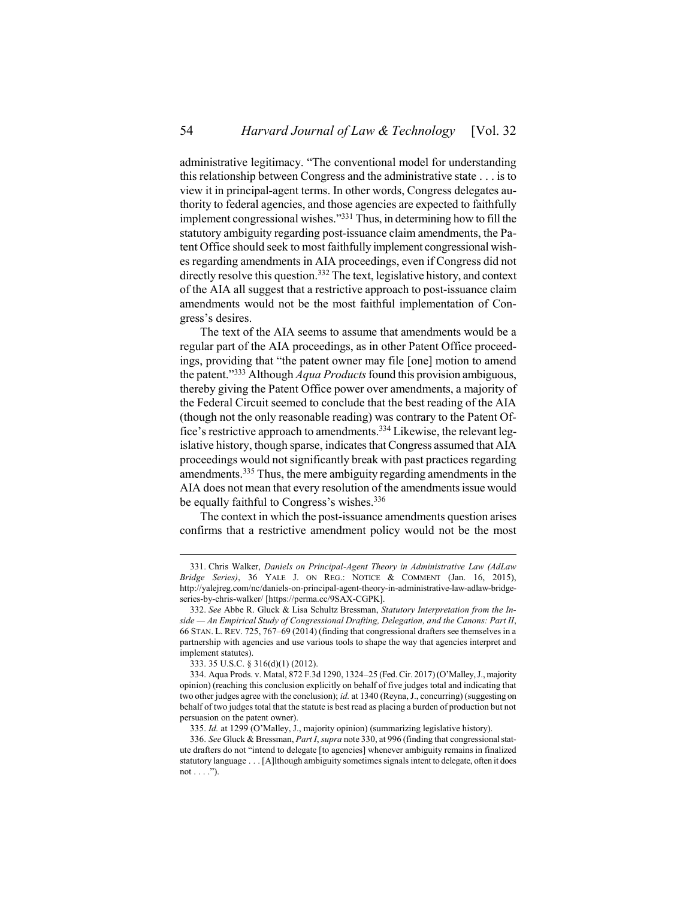<span id="page-53-0"></span>administrative legitimacy. "The conventional model for understanding this relationship between Congress and the administrative state . . . is to view it in principal-agent terms. In other words, Congress delegates authority to federal agencies, and those agencies are expected to faithfully implement congressional wishes." <sup>331</sup> Thus, in determining how to fill the statutory ambiguity regarding post-issuance claim amendments, the Patent Office should seek to most faithfully implement congressional wishes regarding amendments in AIA proceedings, even if Congress did not directly resolve this question.<sup>332</sup> The text, legislative history, and context of the AIA all suggest that a restrictive approach to post-issuance claim amendments would not be the most faithful implementation of Congress's desires.

The text of the AIA seems to assume that amendments would be a regular part of the AIA proceedings, as in other Patent Office proceedings, providing that "the patent owner may file [one] motion to amend the patent." <sup>333</sup> Although *Aqua Products*found this provision ambiguous, thereby giving the Patent Office power over amendments, a majority of the Federal Circuit seemed to conclude that the best reading of the AIA (though not the only reasonable reading) was contrary to the Patent Office's restrictive approach to amendments.<sup>334</sup> Likewise, the relevant legislative history, though sparse, indicates that Congress assumed that AIA proceedings would not significantly break with past practices regarding amendments.<sup>335</sup> Thus, the mere ambiguity regarding amendments in the AIA does not mean that every resolution of the amendments issue would be equally faithful to Congress's wishes.<sup>336</sup>

The context in which the post-issuance amendments question arises confirms that a restrictive amendment policy would not be the most

<sup>331.</sup> Chris Walker, *Daniels on Principal-Agent Theory in Administrative Law (AdLaw Bridge Series)*, 36 YALE J. ON REG.: NOTICE & COMMENT (Jan. 16, 2015), http://yalejreg.com/nc/daniels-on-principal-agent-theory-in-administrative-law-adlaw-bridgeseries-by-chris-walker/ [https://perma.cc/9SAX-CGPK].

<sup>332.</sup> *See* Abbe R. Gluck & Lisa Schultz Bressman, *Statutory Interpretation from the Inside — An Empirical Study of Congressional Drafting, Delegation, and the Canons: Part II*, 66 STAN. L. REV. 725, 767–69 (2014) (finding that congressional drafters see themselves in a partnership with agencies and use various tools to shape the way that agencies interpret and implement statutes).

<sup>333.</sup> 35 U.S.C. § 316(d)(1) (2012).

<sup>334.</sup> Aqua Prods. v. Matal, 872 F.3d 1290, 1324–25 (Fed. Cir. 2017) (O'Malley, J., majority opinion) (reaching this conclusion explicitly on behalf of five judges total and indicating that two other judges agree with the conclusion); *id.* at 1340 (Reyna, J., concurring) (suggesting on behalf of two judges total that the statute is best read as placing a burden of production but not persuasion on the patent owner).

<sup>335.</sup> *Id.* at 1299 (O'Malley, J., majority opinion) (summarizing legislative history).

<sup>336.</sup> *See* Gluck & Bressman, *Part I*, *supra* not[e 330,](#page-52-1) at 996 (finding that congressional statute drafters do not "intend to delegate [to agencies] whenever ambiguity remains in finalized statutory language . . . [A]lthough ambiguity sometimes signals intent to delegate, often it does not  $\dots$ .").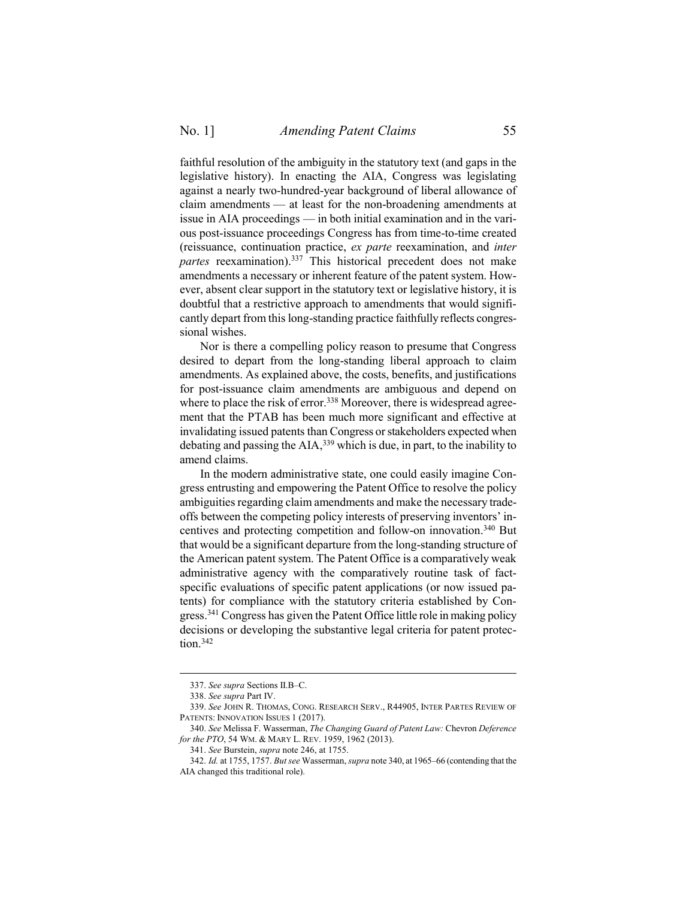faithful resolution of the ambiguity in the statutory text (and gaps in the legislative history). In enacting the AIA, Congress was legislating against a nearly two-hundred-year background of liberal allowance of claim amendments — at least for the non-broadening amendments at issue in AIA proceedings — in both initial examination and in the various post-issuance proceedings Congress has from time-to-time created (reissuance, continuation practice, *ex parte* reexamination, and *inter partes* reexamination).<sup>337</sup> This historical precedent does not make amendments a necessary or inherent feature of the patent system. However, absent clear support in the statutory text or legislative history, it is doubtful that a restrictive approach to amendments that would significantly depart from this long-standing practice faithfully reflects congressional wishes.

Nor is there a compelling policy reason to presume that Congress desired to depart from the long-standing liberal approach to claim amendments. As explained above, the costs, benefits, and justifications for post-issuance claim amendments are ambiguous and depend on where to place the risk of error.<sup>338</sup> Moreover, there is widespread agreement that the PTAB has been much more significant and effective at invalidating issued patents than Congress or stakeholders expected when debating and passing the AIA, <sup>339</sup> which is due, in part, to the inability to amend claims.

<span id="page-54-1"></span><span id="page-54-0"></span>In the modern administrative state, one could easily imagine Congress entrusting and empowering the Patent Office to resolve the policy ambiguities regarding claim amendments and make the necessary tradeoffs between the competing policy interests of preserving inventors' incentives and protecting competition and follow-on innovation. <sup>340</sup> But that would be a significant departure from the long-standing structure of the American patent system. The Patent Office is a comparatively weak administrative agency with the comparatively routine task of factspecific evaluations of specific patent applications (or now issued patents) for compliance with the statutory criteria established by Congress.<sup>341</sup> Congress has given the Patent Office little role in making policy decisions or developing the substantive legal criteria for patent protection.<sup>342</sup>

<sup>337.</sup> *See supra* Sections [II.](#page-7-0)[B](#page-8-0)–[C.](#page-10-0)

<sup>338.</sup> *See supra* Part [IV.](#page-34-0)

<sup>339.</sup> *See* JOHN R. THOMAS, CONG. RESEARCH SERV., R44905, INTER PARTES REVIEW OF PATENTS: INNOVATION ISSUES 1 (2017).

<sup>340.</sup> *See* Melissa F. Wasserman, *The Changing Guard of Patent Law:* Chevron *Deference for the PTO*, 54 WM. & MARY L. REV. 1959, 1962 (2013).

<sup>341.</sup> *See* Burstein, *supra* note [246,](#page-38-0) at 1755.

<sup>342.</sup> *Id.* at 1755, 1757. *But see* Wasserman, *supra* not[e 340,](#page-54-0) at 1965–66 (contending that the AIA changed this traditional role).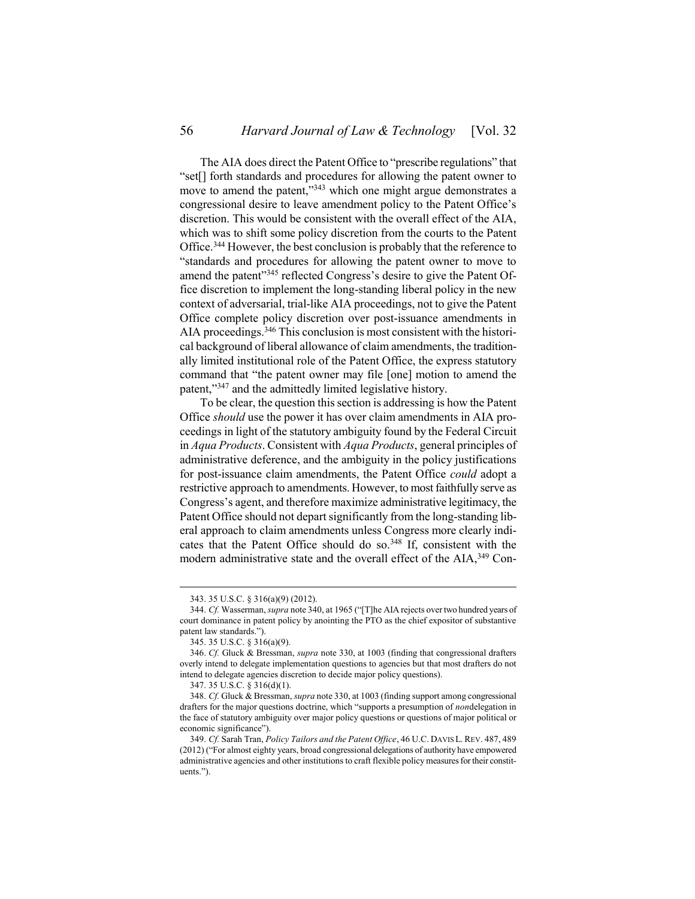The AIA does direct the Patent Office to "prescribe regulations" that "set[] forth standards and procedures for allowing the patent owner to move to amend the patent,"<sup>343</sup> which one might argue demonstrates a congressional desire to leave amendment policy to the Patent Office's discretion. This would be consistent with the overall effect of the AIA, which was to shift some policy discretion from the courts to the Patent Office.<sup>344</sup> However, the best conclusion is probably that the reference to "standards and procedures for allowing the patent owner to move to amend the patent"<sup>345</sup> reflected Congress's desire to give the Patent Office discretion to implement the long-standing liberal policy in the new context of adversarial, trial-like AIA proceedings, not to give the Patent Office complete policy discretion over post-issuance amendments in AIA proceedings.<sup>346</sup> This conclusion is most consistent with the historical background of liberal allowance of claim amendments, the traditionally limited institutional role of the Patent Office, the express statutory command that "the patent owner may file [one] motion to amend the patent,"<sup>347</sup> and the admittedly limited legislative history.

To be clear, the question this section is addressing is how the Patent Office *should* use the power it has over claim amendments in AIA proceedings in light of the statutory ambiguity found by the Federal Circuit in *Aqua Products*. Consistent with *Aqua Products*, general principles of administrative deference, and the ambiguity in the policy justifications for post-issuance claim amendments, the Patent Office *could* adopt a restrictive approach to amendments. However, to most faithfully serve as Congress's agent, and therefore maximize administrative legitimacy, the Patent Office should not depart significantly from the long-standing liberal approach to claim amendments unless Congress more clearly indicates that the Patent Office should do so.<sup>348</sup> If, consistent with the modern administrative state and the overall effect of the AIA,<sup>349</sup> Con-

<span id="page-55-0"></span><sup>343.</sup> 35 U.S.C. § 316(a)(9) (2012).

<sup>344.</sup> *Cf.* Wasserman, *supra* not[e 340](#page-54-0), at 1965 ("[T]he AIA rejects over two hundred years of court dominance in patent policy by anointing the PTO as the chief expositor of substantive patent law standards.").

<sup>345.</sup> 35 U.S.C. § 316(a)(9).

<sup>346.</sup> *Cf.* Gluck & Bressman, *supra* note [330,](#page-52-1) at 1003 (finding that congressional drafters overly intend to delegate implementation questions to agencies but that most drafters do not intend to delegate agencies discretion to decide major policy questions).

<sup>347.</sup> 35 U.S.C. § 316(d)(1).

<sup>348.</sup> *Cf.* Gluck & Bressman, *supra* not[e 330,](#page-52-1) at 1003 (finding support among congressional drafters for the major questions doctrine, which "supports a presumption of *non*delegation in the face of statutory ambiguity over major policy questions or questions of major political or economic significance").

<sup>349.</sup> *Cf.* Sarah Tran, *Policy Tailors and the Patent Office*, 46 U.C. DAVIS L. REV. 487, 489 (2012) ("For almost eighty years, broad congressional delegations of authority have empowered administrative agencies and other institutions to craft flexible policy measures for their constituents.").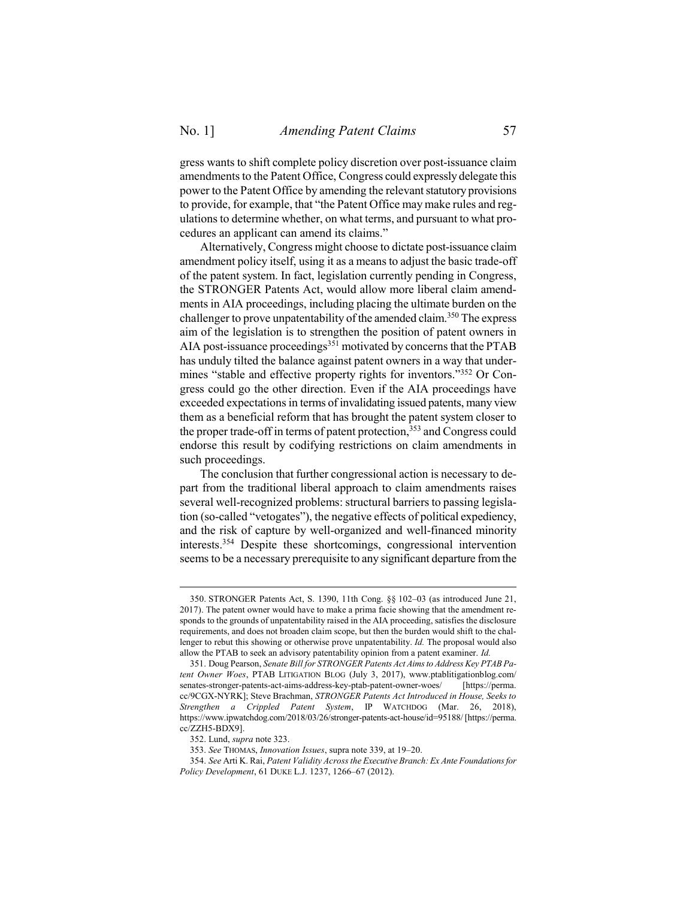gress wants to shift complete policy discretion over post-issuance claim amendments to the Patent Office, Congress could expressly delegate this power to the Patent Office by amending the relevant statutory provisions to provide, for example, that "the Patent Office may make rules and regulations to determine whether, on what terms, and pursuant to what procedures an applicant can amend its claims."

Alternatively, Congress might choose to dictate post-issuance claim amendment policy itself, using it as a means to adjust the basic trade-off of the patent system. In fact, legislation currently pending in Congress, the STRONGER Patents Act, would allow more liberal claim amendments in AIA proceedings, including placing the ultimate burden on the challenger to prove unpatentability of the amended claim.<sup>350</sup> The express aim of the legislation is to strengthen the position of patent owners in AIA post-issuance proceedings<sup>351</sup> motivated by concerns that the PTAB has unduly tilted the balance against patent owners in a way that undermines "stable and effective property rights for inventors."<sup>352</sup> Or Congress could go the other direction. Even if the AIA proceedings have exceeded expectations in terms of invalidating issued patents, many view them as a beneficial reform that has brought the patent system closer to the proper trade-off in terms of patent protection, <sup>353</sup> and Congress could endorse this result by codifying restrictions on claim amendments in such proceedings.

The conclusion that further congressional action is necessary to depart from the traditional liberal approach to claim amendments raises several well-recognized problems: structural barriers to passing legislation (so-called "vetogates"), the negative effects of political expediency, and the risk of capture by well-organized and well-financed minority interests.<sup>354</sup> Despite these shortcomings, congressional intervention seems to be a necessary prerequisite to any significant departure from the

<span id="page-56-0"></span><sup>350.</sup> STRONGER Patents Act, S. 1390, 11th Cong. §§ 102–03 (as introduced June 21, 2017). The patent owner would have to make a prima facie showing that the amendment responds to the grounds of unpatentability raised in the AIA proceeding, satisfies the disclosure requirements, and does not broaden claim scope, but then the burden would shift to the challenger to rebut this showing or otherwise prove unpatentability. *Id.* The proposal would also allow the PTAB to seek an advisory patentability opinion from a patent examiner. *Id.*

<sup>351.</sup> Doug Pearson, *Senate Bill for STRONGER Patents Act Aims to Address Key PTAB Patent Owner Woes*, PTAB LITIGATION BLOG (July 3, 2017), www.ptablitigationblog.com/ senates-stronger-patents-act-aims-address-key-ptab-patent-owner-woes/ [https://perma. cc/9CGX-NYRK]; Steve Brachman, *STRONGER Patents Act Introduced in House, Seeks to Strengthen a Crippled Patent System*, IP WATCHDOG (Mar. 26, 2018), https://www.ipwatchdog.com/2018/03/26/stronger-patents-act-house/id=95188/ [https://perma. cc/ZZH5-BDX9].

<sup>352.</sup> Lund, *supra* not[e 323.](#page-51-0)

<sup>353.</sup> *See* THOMAS, *Innovation Issues*, supra not[e 339,](#page-54-1) at 19–20.

<sup>354.</sup> *See* Arti K. Rai, *Patent Validity Across the Executive Branch: Ex Ante Foundations for Policy Development*, 61 DUKE L.J. 1237, 1266–67 (2012).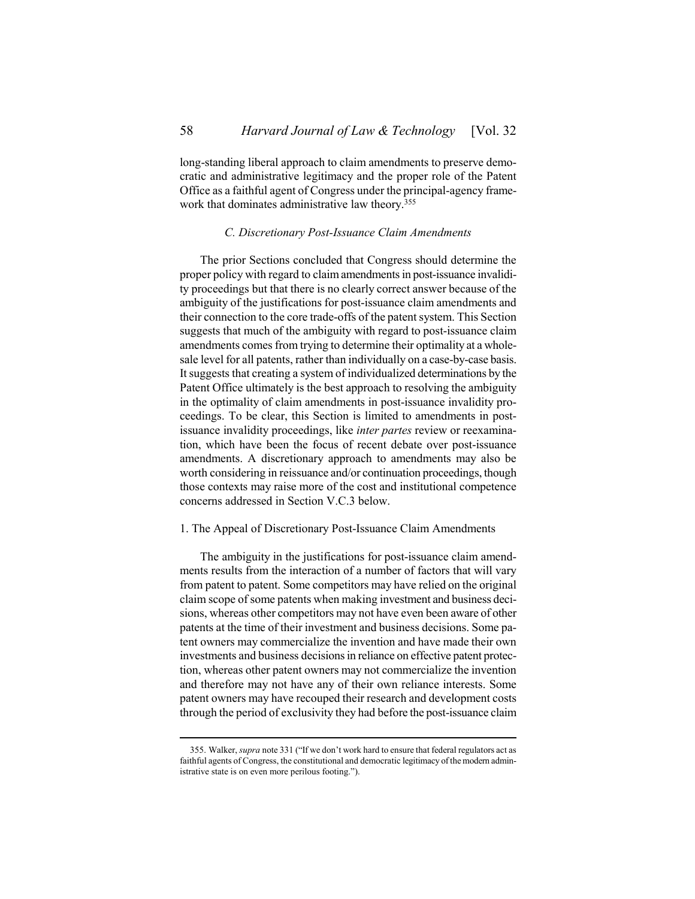long-standing liberal approach to claim amendments to preserve democratic and administrative legitimacy and the proper role of the Patent Office as a faithful agent of Congress under the principal-agency framework that dominates administrative law theory. 355

### *C. Discretionary Post-Issuance Claim Amendments*

<span id="page-57-0"></span>The prior Sections concluded that Congress should determine the proper policy with regard to claim amendments in post-issuance invalidity proceedings but that there is no clearly correct answer because of the ambiguity of the justifications for post-issuance claim amendments and their connection to the core trade-offs of the patent system. This Section suggests that much of the ambiguity with regard to post-issuance claim amendments comes from trying to determine their optimality at a wholesale level for all patents, rather than individually on a case-by-case basis. It suggests that creating a system of individualized determinations by the Patent Office ultimately is the best approach to resolving the ambiguity in the optimality of claim amendments in post-issuance invalidity proceedings. To be clear, this Section is limited to amendments in postissuance invalidity proceedings, like *inter partes* review or reexamination, which have been the focus of recent debate over post-issuance amendments. A discretionary approach to amendments may also be worth considering in reissuance and/or continuation proceedings, though those contexts may raise more of the cost and institutional competence concerns addressed in Section V.C.3 below.

#### <span id="page-57-1"></span>1. The Appeal of Discretionary Post-Issuance Claim Amendments

The ambiguity in the justifications for post-issuance claim amendments results from the interaction of a number of factors that will vary from patent to patent. Some competitors may have relied on the original claim scope of some patents when making investment and business decisions, whereas other competitors may not have even been aware of other patents at the time of their investment and business decisions. Some patent owners may commercialize the invention and have made their own investments and business decisions in reliance on effective patent protection, whereas other patent owners may not commercialize the invention and therefore may not have any of their own reliance interests. Some patent owners may have recouped their research and development costs through the period of exclusivity they had before the post-issuance claim

<sup>355.</sup> Walker, *supra* not[e 331](#page-53-0) ("If we don't work hard to ensure that federal regulators act as faithful agents of Congress, the constitutional and democratic legitimacy of the modern administrative state is on even more perilous footing.").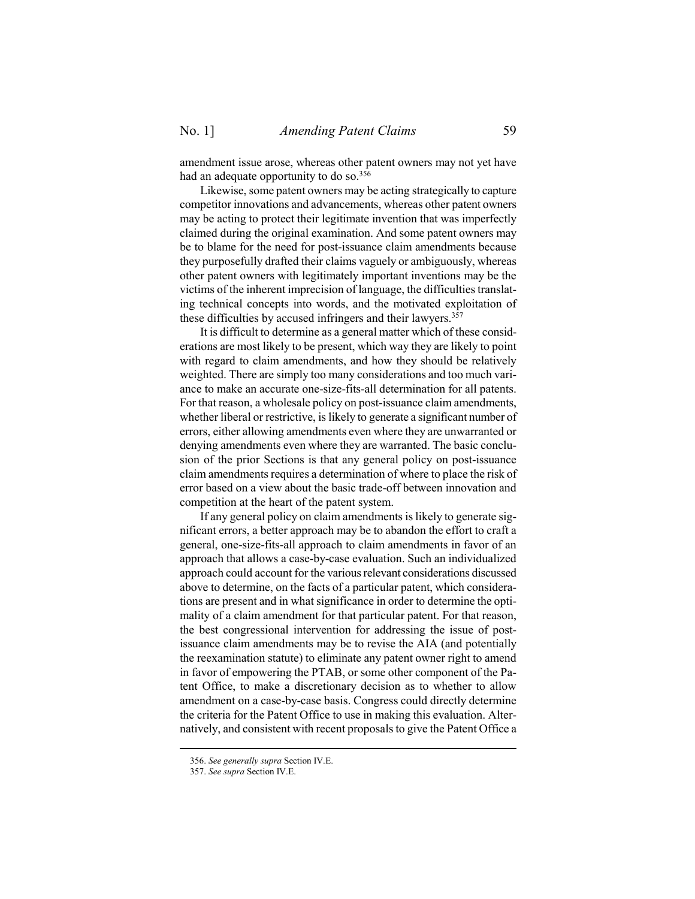amendment issue arose, whereas other patent owners may not yet have had an adequate opportunity to do so.<sup>356</sup>

Likewise, some patent owners may be acting strategically to capture competitor innovations and advancements, whereas other patent owners may be acting to protect their legitimate invention that was imperfectly claimed during the original examination. And some patent owners may be to blame for the need for post-issuance claim amendments because they purposefully drafted their claims vaguely or ambiguously, whereas other patent owners with legitimately important inventions may be the victims of the inherent imprecision of language, the difficulties translating technical concepts into words, and the motivated exploitation of these difficulties by accused infringers and their lawyers.<sup>357</sup>

It is difficult to determine as a general matter which of these considerations are most likely to be present, which way they are likely to point with regard to claim amendments, and how they should be relatively weighted. There are simply too many considerations and too much variance to make an accurate one-size-fits-all determination for all patents. For that reason, a wholesale policy on post-issuance claim amendments, whether liberal or restrictive, is likely to generate a significant number of errors, either allowing amendments even where they are unwarranted or denying amendments even where they are warranted. The basic conclusion of the prior Sections is that any general policy on post-issuance claim amendments requires a determination of where to place the risk of error based on a view about the basic trade-off between innovation and competition at the heart of the patent system.

If any general policy on claim amendments is likely to generate significant errors, a better approach may be to abandon the effort to craft a general, one-size-fits-all approach to claim amendments in favor of an approach that allows a case-by-case evaluation. Such an individualized approach could account for the various relevant considerations discussed above to determine, on the facts of a particular patent, which considerations are present and in what significance in order to determine the optimality of a claim amendment for that particular patent. For that reason, the best congressional intervention for addressing the issue of postissuance claim amendments may be to revise the AIA (and potentially the reexamination statute) to eliminate any patent owner right to amend in favor of empowering the PTAB, or some other component of the Patent Office, to make a discretionary decision as to whether to allow amendment on a case-by-case basis. Congress could directly determine the criteria for the Patent Office to use in making this evaluation. Alternatively, and consistent with recent proposals to give the Patent Office a

<sup>356.</sup> *See generally supra* Section [IV.](#page-34-0)[E.](#page-43-0)

<sup>357.</sup> *See supra* Section [IV.](#page-34-0)[E.](#page-43-0)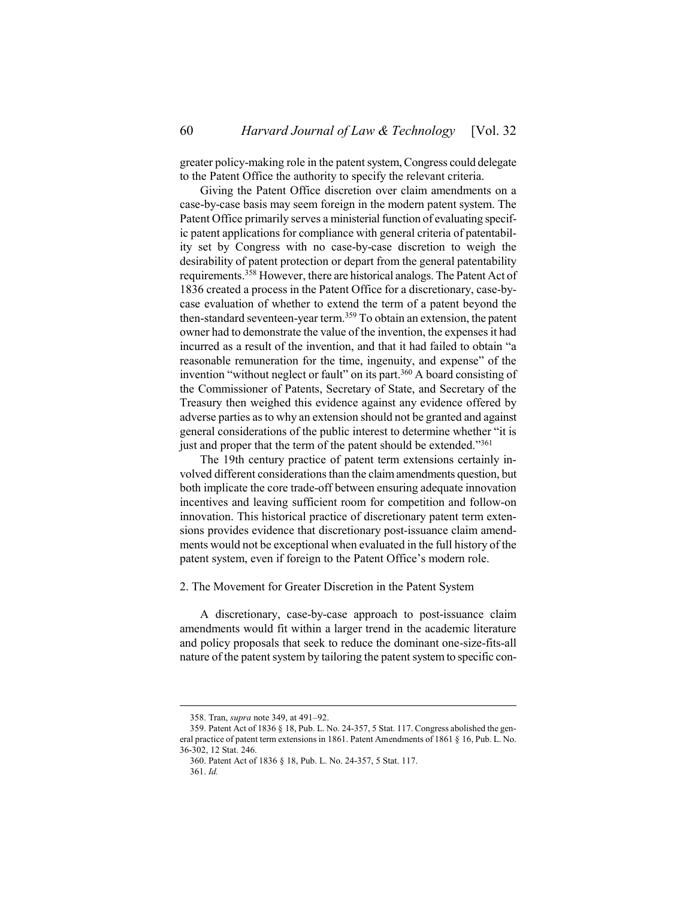greater policy-making role in the patent system, Congress could delegate to the Patent Office the authority to specify the relevant criteria.

Giving the Patent Office discretion over claim amendments on a case-by-case basis may seem foreign in the modern patent system. The Patent Office primarily serves a ministerial function of evaluating specific patent applications for compliance with general criteria of patentability set by Congress with no case-by-case discretion to weigh the desirability of patent protection or depart from the general patentability requirements.<sup>358</sup> However, there are historical analogs. The Patent Act of 1836 created a process in the Patent Office for a discretionary, case-bycase evaluation of whether to extend the term of a patent beyond the then-standard seventeen-year term.<sup>359</sup> To obtain an extension, the patent owner had to demonstrate the value of the invention, the expenses it had incurred as a result of the invention, and that it had failed to obtain "a reasonable remuneration for the time, ingenuity, and expense" of the invention "without neglect or fault" on its part.<sup>360</sup> A board consisting of the Commissioner of Patents, Secretary of State, and Secretary of the Treasury then weighed this evidence against any evidence offered by adverse parties as to why an extension should not be granted and against general considerations of the public interest to determine whether "it is just and proper that the term of the patent should be extended."361

The 19th century practice of patent term extensions certainly involved different considerations than the claim amendments question, but both implicate the core trade-off between ensuring adequate innovation incentives and leaving sufficient room for competition and follow-on innovation. This historical practice of discretionary patent term extensions provides evidence that discretionary post-issuance claim amendments would not be exceptional when evaluated in the full history of the patent system, even if foreign to the Patent Office's modern role.

<span id="page-59-0"></span>2. The Movement for Greater Discretion in the Patent System

A discretionary, case-by-case approach to post-issuance claim amendments would fit within a larger trend in the academic literature and policy proposals that seek to reduce the dominant one-size-fits-all nature of the patent system by tailoring the patent system to specific con-

<sup>358.</sup> Tran, *supra* not[e 349,](#page-55-0) at 491–92.

<sup>359.</sup> Patent Act of 1836 § 18, Pub. L. No. 24-357, 5 Stat. 117. Congress abolished the general practice of patent term extensions in 1861. Patent Amendments of 1861 § 16, Pub. L. No. 36-302, 12 Stat. 246.

<sup>360.</sup> Patent Act of 1836 § 18, Pub. L. No. 24-357, 5 Stat. 117.

<sup>361.</sup> *Id.*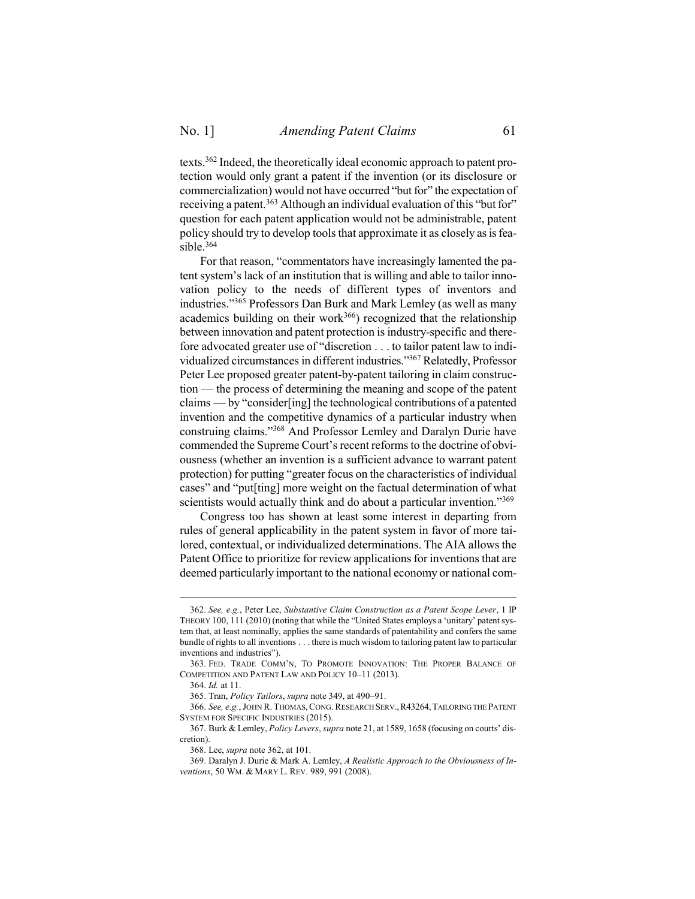<span id="page-60-1"></span><span id="page-60-0"></span>texts.<sup>362</sup> Indeed, the theoretically ideal economic approach to patent protection would only grant a patent if the invention (or its disclosure or commercialization) would not have occurred "but for" the expectation of receiving a patent.<sup>363</sup> Although an individual evaluation of this "but for" question for each patent application would not be administrable, patent policy should try to develop tools that approximate it as closely as is feasible.<sup>364</sup>

For that reason, "commentators have increasingly lamented the patent system's lack of an institution that is willing and able to tailor innovation policy to the needs of different types of inventors and industries."<sup>365</sup> Professors Dan Burk and Mark Lemley (as well as many academics building on their work<sup>366</sup>) recognized that the relationship between innovation and patent protection is industry-specific and therefore advocated greater use of "discretion . . . to tailor patent law to individualized circumstances in different industries."<sup>367</sup> Relatedly, Professor Peter Lee proposed greater patent-by-patent tailoring in claim construction — the process of determining the meaning and scope of the patent claims — by "consider[ing] the technological contributions of a patented invention and the competitive dynamics of a particular industry when construing claims."<sup>368</sup> And Professor Lemley and Daralyn Durie have commended the Supreme Court's recent reforms to the doctrine of obviousness (whether an invention is a sufficient advance to warrant patent protection) for putting "greater focus on the characteristics of individual cases" and "put[ting] more weight on the factual determination of what scientists would actually think and do about a particular invention."<sup>369</sup>

Congress too has shown at least some interest in departing from rules of general applicability in the patent system in favor of more tailored, contextual, or individualized determinations. The AIA allows the Patent Office to prioritize for review applications for inventions that are deemed particularly important to the national economy or national com-

<sup>362.</sup> *See, e.g.*, Peter Lee, *Substantive Claim Construction as a Patent Scope Lever*, 1 IP THEORY 100, 111 (2010) (noting that while the "United States employs a 'unitary' patent system that, at least nominally, applies the same standards of patentability and confers the same bundle of rights to all inventions . . . there is much wisdom to tailoring patent law to particular inventions and industries").

<sup>363.</sup> FED. TRADE COMM'N, TO PROMOTE INNOVATION: THE PROPER BALANCE OF COMPETITION AND PATENT LAW AND POLICY 10–11 (2013).

<sup>364.</sup> *Id.* at 11.

<sup>365.</sup> Tran, *Policy Tailors*, *supra* not[e 349,](#page-55-0) at 490–91.

<sup>366.</sup> *See, e.g.*, JOHN R. THOMAS, CONG. RESEARCH SERV.,R43264,TAILORING THE PATENT SYSTEM FOR SPECIFIC INDUSTRIES (2015).

<sup>367.</sup> Burk & Lemley, *Policy Levers*, *supra* note [21](#page-5-0), at 1589, 1658 (focusing on courts' discretion).

<sup>368.</sup> Lee, *supra* note [362,](#page-60-0) at 101.

<sup>369.</sup> Daralyn J. Durie & Mark A. Lemley, *A Realistic Approach to the Obviousness of Inventions*, 50 WM. & MARY L. REV. 989, 991 (2008).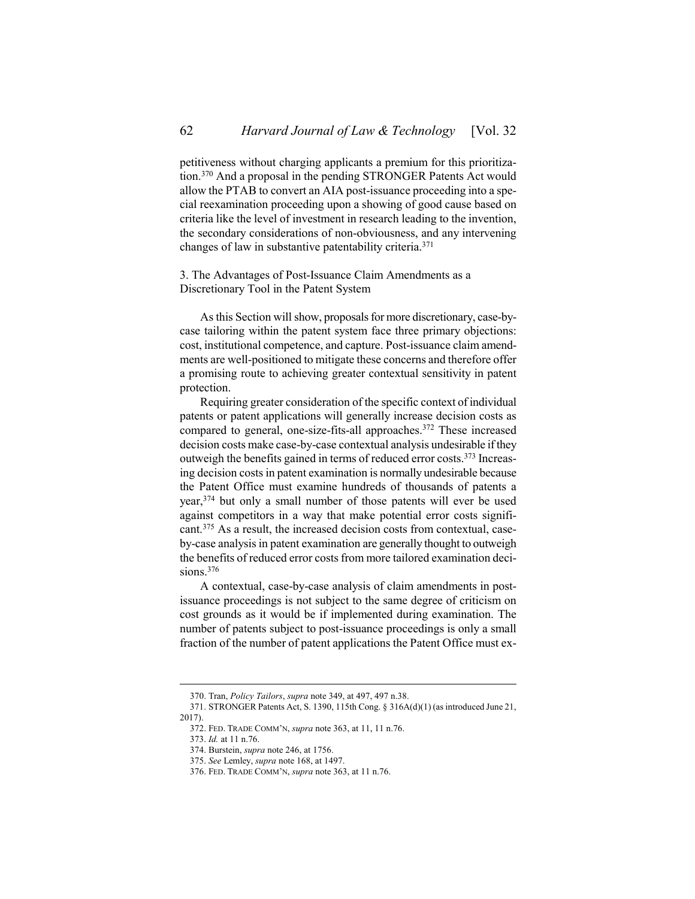petitiveness without charging applicants a premium for this prioritization.<sup>370</sup> And a proposal in the pending STRONGER Patents Act would allow the PTAB to convert an AIA post-issuance proceeding into a special reexamination proceeding upon a showing of good cause based on criteria like the level of investment in research leading to the invention, the secondary considerations of non-obviousness, and any intervening changes of law in substantive patentability criteria.<sup>371</sup>

<span id="page-61-0"></span>3. The Advantages of Post-Issuance Claim Amendments as a Discretionary Tool in the Patent System

As this Section will show, proposals for more discretionary, case-bycase tailoring within the patent system face three primary objections: cost, institutional competence, and capture. Post-issuance claim amendments are well-positioned to mitigate these concerns and therefore offer a promising route to achieving greater contextual sensitivity in patent protection.

Requiring greater consideration of the specific context of individual patents or patent applications will generally increase decision costs as compared to general, one-size-fits-all approaches.<sup>372</sup> These increased decision costs make case-by-case contextual analysis undesirable if they outweigh the benefits gained in terms of reduced error costs.<sup>373</sup> Increasing decision costs in patent examination is normally undesirable because the Patent Office must examine hundreds of thousands of patents a year,<sup>374</sup> but only a small number of those patents will ever be used against competitors in a way that make potential error costs significant.<sup>375</sup> As a result, the increased decision costs from contextual, caseby-case analysis in patent examination are generally thought to outweigh the benefits of reduced error costs from more tailored examination decisions.<sup>376</sup>

A contextual, case-by-case analysis of claim amendments in postissuance proceedings is not subject to the same degree of criticism on cost grounds as it would be if implemented during examination. The number of patents subject to post-issuance proceedings is only a small fraction of the number of patent applications the Patent Office must ex-

<sup>370.</sup> Tran, *Policy Tailors*, *supra* not[e 349,](#page-55-0) at 497, 497 n.38.

<sup>371.</sup> STRONGER Patents Act, S. 1390, 115th Cong. § 316A(d)(1) (as introduced June 21, 2017).

<sup>372.</sup> FED. TRADE COMM'N, *supra* not[e 363,](#page-60-1) at 11, 11 n.76.

<sup>373.</sup> *Id.* at 11 n.76.

<sup>374.</sup> Burstein, *supra* not[e 246,](#page-38-0) at 1756.

<sup>375.</sup> *See* Lemley, *supra* not[e 168,](#page-25-1) at 1497.

<sup>376.</sup> FED. TRADE COMM'N, *supra* not[e 363,](#page-60-1) at 11 n.76.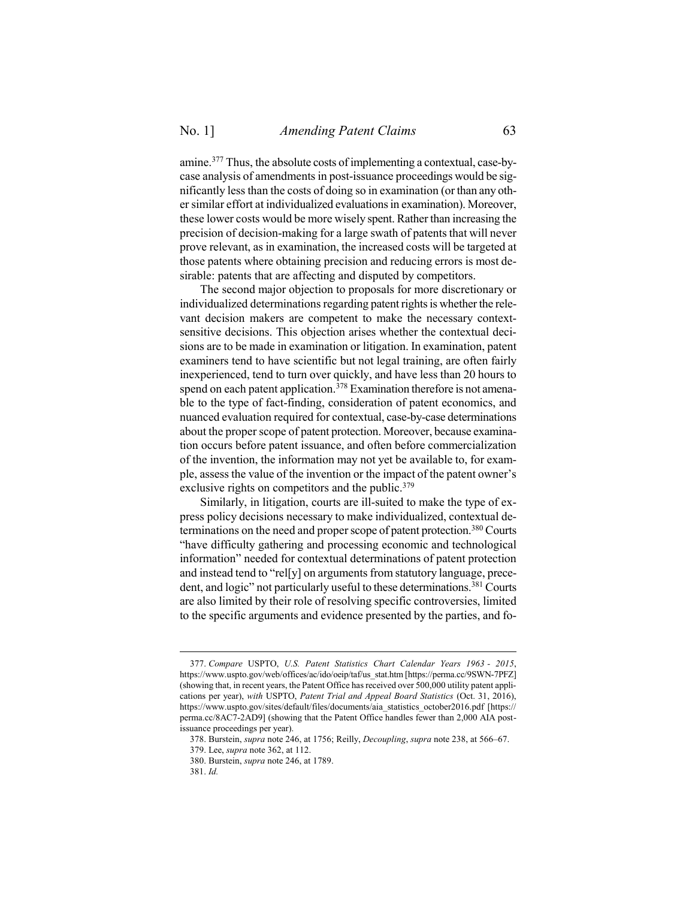<span id="page-62-0"></span>amine.<sup>377</sup> Thus, the absolute costs of implementing a contextual, case-bycase analysis of amendments in post-issuance proceedings would be significantly less than the costs of doing so in examination (or than any other similar effort at individualized evaluations in examination). Moreover, these lower costs would be more wisely spent. Rather than increasing the precision of decision-making for a large swath of patents that will never prove relevant, as in examination, the increased costs will be targeted at those patents where obtaining precision and reducing errors is most desirable: patents that are affecting and disputed by competitors.

The second major objection to proposals for more discretionary or individualized determinations regarding patent rights is whether the relevant decision makers are competent to make the necessary contextsensitive decisions. This objection arises whether the contextual decisions are to be made in examination or litigation. In examination, patent examiners tend to have scientific but not legal training, are often fairly inexperienced, tend to turn over quickly, and have less than 20 hours to spend on each patent application.<sup>378</sup> Examination therefore is not amenable to the type of fact-finding, consideration of patent economics, and nuanced evaluation required for contextual, case-by-case determinations about the proper scope of patent protection. Moreover, because examination occurs before patent issuance, and often before commercialization of the invention, the information may not yet be available to, for example, assess the value of the invention or the impact of the patent owner's exclusive rights on competitors and the public.<sup>379</sup>

Similarly, in litigation, courts are ill-suited to make the type of express policy decisions necessary to make individualized, contextual determinations on the need and proper scope of patent protection.<sup>380</sup> Courts "have difficulty gathering and processing economic and technological information" needed for contextual determinations of patent protection and instead tend to "rel[y] on arguments from statutory language, precedent, and logic" not particularly useful to these determinations.<sup>381</sup> Courts are also limited by their role of resolving specific controversies, limited to the specific arguments and evidence presented by the parties, and fo-

<sup>377.</sup> *Compare* USPTO, *U.S. Patent Statistics Chart Calendar Years 1963 - 2015*, https://www.uspto.gov/web/offices/ac/ido/oeip/taf/us\_stat.htm [https://perma.cc/9SWN-7PFZ] (showing that, in recent years, the Patent Office has received over 500,000 utility patent applications per year), *with* USPTO, *Patent Trial and Appeal Board Statistics* (Oct. 31, 2016), https://www.uspto.gov/sites/default/files/documents/aia\_statistics\_october2016.pdf [https:// perma.cc/8AC7-2AD9] (showing that the Patent Office handles fewer than 2,000 AIA postissuance proceedings per year).

<sup>378.</sup> Burstein, *supra* not[e 246,](#page-38-0) at 1756; Reilly, *Decoupling*, *supra* not[e 238,](#page-37-1) at 566–67.

<sup>379.</sup> Lee, *supra* note [362,](#page-60-0) at 112.

<sup>380.</sup> Burstein, *supra* not[e 246,](#page-38-0) at 1789.

<sup>381.</sup> *Id.*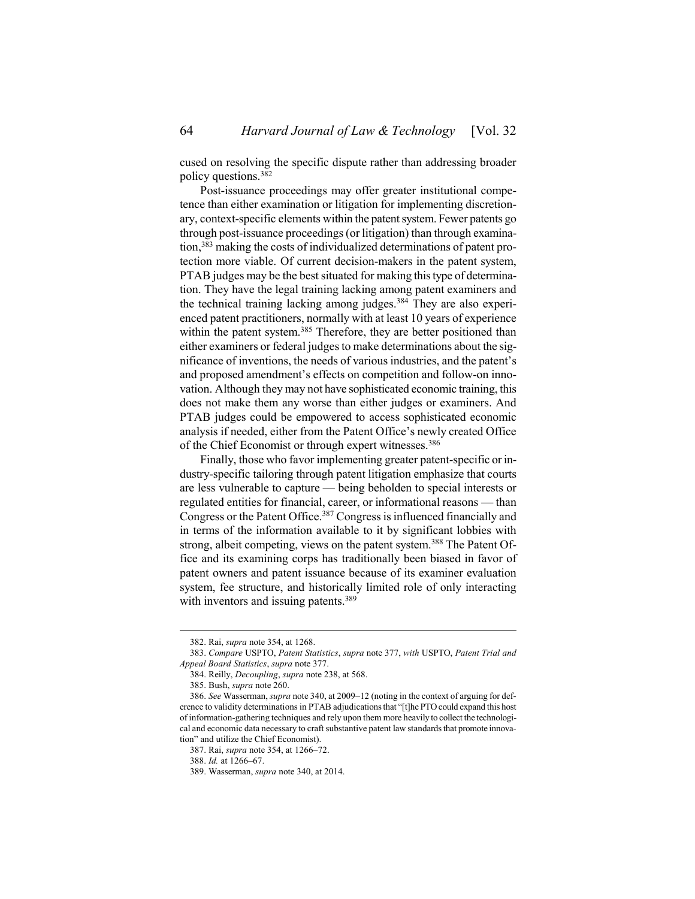cused on resolving the specific dispute rather than addressing broader policy questions.<sup>382</sup>

Post-issuance proceedings may offer greater institutional competence than either examination or litigation for implementing discretionary, context-specific elements within the patent system. Fewer patents go through post-issuance proceedings (or litigation) than through examination, <sup>383</sup> making the costs of individualized determinations of patent protection more viable. Of current decision-makers in the patent system, PTAB judges may be the best situated for making this type of determination. They have the legal training lacking among patent examiners and the technical training lacking among judges.<sup>384</sup> They are also experienced patent practitioners, normally with at least 10 years of experience within the patent system.<sup>385</sup> Therefore, they are better positioned than either examiners or federal judges to make determinations about the significance of inventions, the needs of various industries, and the patent's and proposed amendment's effects on competition and follow-on innovation. Although they may not have sophisticated economic training, this does not make them any worse than either judges or examiners. And PTAB judges could be empowered to access sophisticated economic analysis if needed, either from the Patent Office's newly created Office of the Chief Economist or through expert witnesses.<sup>386</sup>

Finally, those who favor implementing greater patent-specific or industry-specific tailoring through patent litigation emphasize that courts are less vulnerable to capture — being beholden to special interests or regulated entities for financial, career, or informational reasons — than Congress or the Patent Office.<sup>387</sup> Congress is influenced financially and in terms of the information available to it by significant lobbies with strong, albeit competing, views on the patent system.<sup>388</sup> The Patent Office and its examining corps has traditionally been biased in favor of patent owners and patent issuance because of its examiner evaluation system, fee structure, and historically limited role of only interacting with inventors and issuing patents.<sup>389</sup>

<sup>382.</sup> Rai, *supra* not[e 354,](#page-56-0) at 1268.

<sup>383.</sup> *Compare* USPTO, *Patent Statistics*, *supra* note [377,](#page-62-0) *with* USPTO, *Patent Trial and Appeal Board Statistics*, *supra* not[e 377.](#page-62-0)

<sup>384.</sup> Reilly, *Decoupling*, *supra* not[e 238,](#page-37-1) at 568.

<sup>385.</sup> Bush, *supra* note [260.](#page-41-1)

<sup>386.</sup> *See* Wasserman, *supra* not[e 340,](#page-54-0) at 2009–12 (noting in the context of arguing for deference to validity determinations in PTAB adjudications that "[t]he PTO could expand this host of information-gathering techniques and rely upon them more heavily to collect the technological and economic data necessary to craft substantive patent law standards that promote innovation" and utilize the Chief Economist).

<sup>387.</sup> Rai, *supra* not[e 354,](#page-56-0) at 1266–72.

<sup>388.</sup> *Id.* at 1266–67.

<sup>389.</sup> Wasserman, *supra* not[e 340,](#page-54-0) at 2014.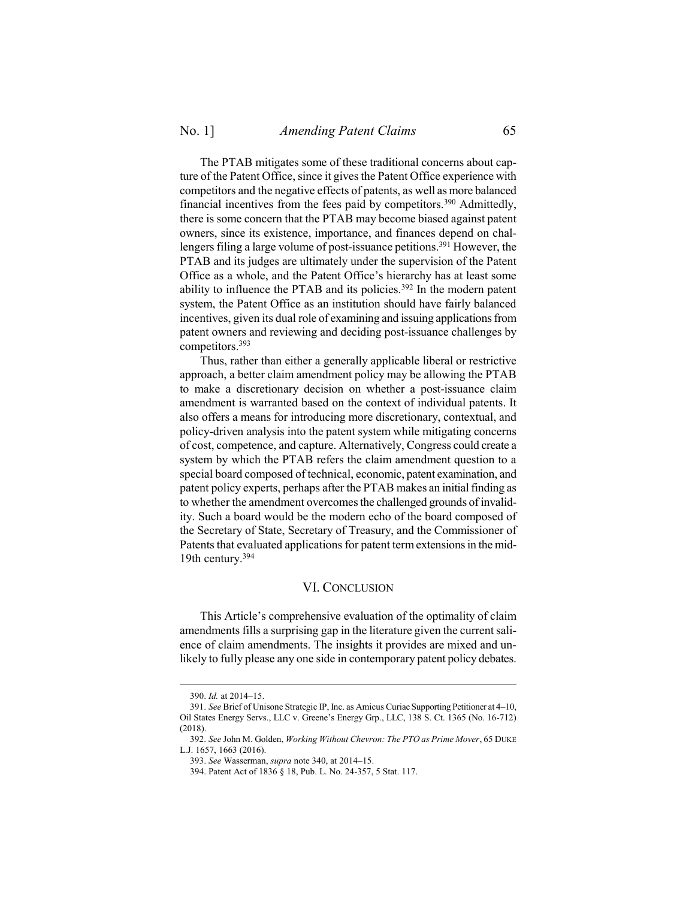The PTAB mitigates some of these traditional concerns about capture of the Patent Office, since it gives the Patent Office experience with competitors and the negative effects of patents, as well as more balanced financial incentives from the fees paid by competitors.<sup>390</sup> Admittedly, there is some concern that the PTAB may become biased against patent owners, since its existence, importance, and finances depend on challengers filing a large volume of post-issuance petitions.<sup>391</sup> However, the PTAB and its judges are ultimately under the supervision of the Patent Office as a whole, and the Patent Office's hierarchy has at least some ability to influence the PTAB and its policies.<sup>392</sup> In the modern patent system, the Patent Office as an institution should have fairly balanced incentives, given its dual role of examining and issuing applications from patent owners and reviewing and deciding post-issuance challenges by competitors.<sup>393</sup>

Thus, rather than either a generally applicable liberal or restrictive approach, a better claim amendment policy may be allowing the PTAB to make a discretionary decision on whether a post-issuance claim amendment is warranted based on the context of individual patents. It also offers a means for introducing more discretionary, contextual, and policy-driven analysis into the patent system while mitigating concerns of cost, competence, and capture. Alternatively, Congress could create a system by which the PTAB refers the claim amendment question to a special board composed of technical, economic, patent examination, and patent policy experts, perhaps after the PTAB makes an initial finding as to whether the amendment overcomes the challenged grounds of invalidity. Such a board would be the modern echo of the board composed of the Secretary of State, Secretary of Treasury, and the Commissioner of Patents that evaluated applications for patent term extensions in the mid-19th century.<sup>394</sup>

### VI. CONCLUSION

<span id="page-64-0"></span>This Article's comprehensive evaluation of the optimality of claim amendments fills a surprising gap in the literature given the current salience of claim amendments. The insights it provides are mixed and unlikely to fully please any one side in contemporary patent policy debates.

<sup>390.</sup> *Id.* at 2014–15.

<sup>391.</sup> *See* Brief of Unisone Strategic IP, Inc. as Amicus Curiae Supporting Petitioner at 4–10, Oil States Energy Servs., LLC v. Greene's Energy Grp., LLC, 138 S. Ct. 1365 (No. 16-712) (2018).

<sup>392.</sup> *See* John M. Golden, *Working Without Chevron: The PTO as Prime Mover*, 65 DUKE L.J. 1657, 1663 (2016).

<sup>393.</sup> *See* Wasserman, *supra* note [340,](#page-54-0) at 2014–15.

<sup>394.</sup> Patent Act of 1836 § 18, Pub. L. No. 24-357, 5 Stat. 117.